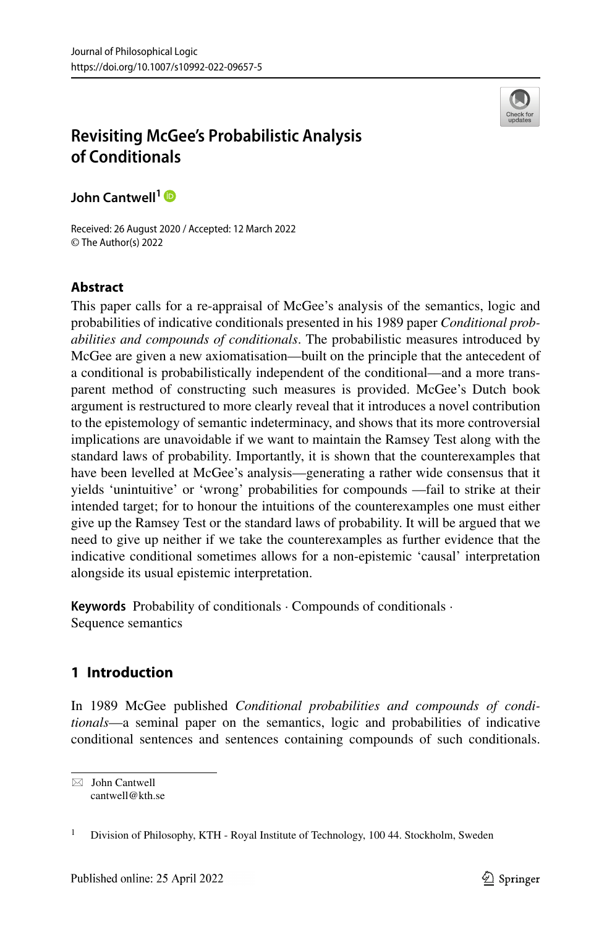

# **Revisiting McGee's Probabilistic Analysis of Conditionals**

**John Cantwell<sup>1</sup>**

Received: 26 August 2020 / Accepted: 12 March 2022 © The Author(s) 2022

# **Abstract**

This paper calls for a re-appraisal of McGee's analysis of the semantics, logic and probabilities of indicative conditionals presented in his 1989 paper *Conditional probabilities and compounds of conditionals*. The probabilistic measures introduced by McGee are given a new axiomatisation—built on the principle that the antecedent of a conditional is probabilistically independent of the conditional—and a more transparent method of constructing such measures is provided. McGee's Dutch book argument is restructured to more clearly reveal that it introduces a novel contribution to the epistemology of semantic indeterminacy, and shows that its more controversial implications are unavoidable if we want to maintain the Ramsey Test along with the standard laws of probability. Importantly, it is shown that the counterexamples that have been levelled at McGee's analysis—generating a rather wide consensus that it yields 'unintuitive' or 'wrong' probabilities for compounds —fail to strike at their intended target; for to honour the intuitions of the counterexamples one must either give up the Ramsey Test or the standard laws of probability. It will be argued that we need to give up neither if we take the counterexamples as further evidence that the indicative conditional sometimes allows for a non-epistemic 'causal' interpretation alongside its usual epistemic interpretation.

**Keywords** Probability of conditionals · Compounds of conditionals · Sequence semantics

# **1 Introduction**

In 1989 McGee published *Conditional probabilities and compounds of conditionals*—a seminal paper on the semantics, logic and probabilities of indicative conditional sentences and sentences containing compounds of such conditionals.

 $\boxtimes$  John Cantwell [cantwell@kth.se](mailto: cantwell@kth.se)

<sup>&</sup>lt;sup>1</sup> Division of Philosophy, KTH - Royal Institute of Technology, 100 44. Stockholm, Sweden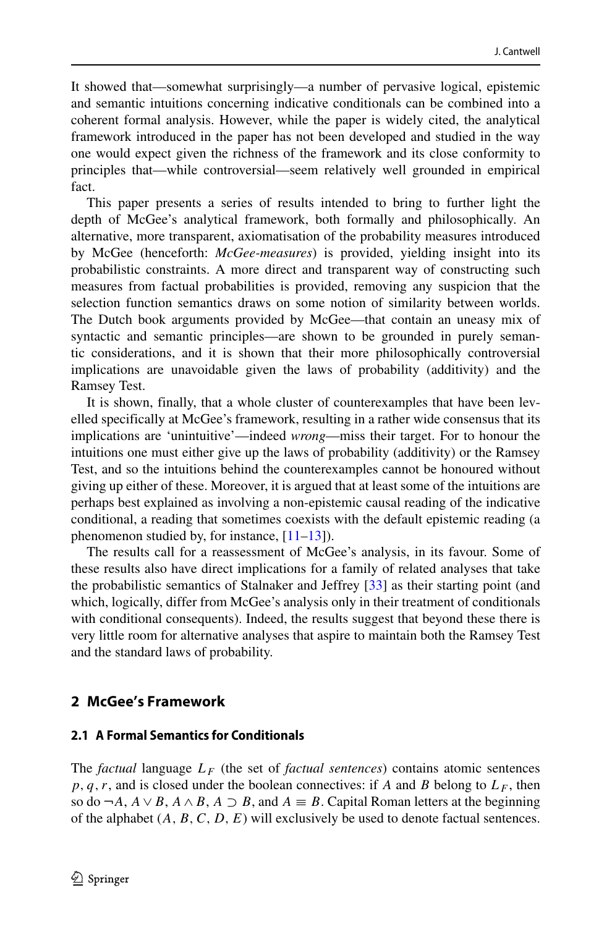It showed that—somewhat surprisingly—a number of pervasive logical, epistemic and semantic intuitions concerning indicative conditionals can be combined into a coherent formal analysis. However, while the paper is widely cited, the analytical framework introduced in the paper has not been developed and studied in the way one would expect given the richness of the framework and its close conformity to principles that—while controversial—seem relatively well grounded in empirical fact.

This paper presents a series of results intended to bring to further light the depth of McGee's analytical framework, both formally and philosophically. An alternative, more transparent, axiomatisation of the probability measures introduced by McGee (henceforth: *McGee-measures*) is provided, yielding insight into its probabilistic constraints. A more direct and transparent way of constructing such measures from factual probabilities is provided, removing any suspicion that the selection function semantics draws on some notion of similarity between worlds. The Dutch book arguments provided by McGee—that contain an uneasy mix of syntactic and semantic principles—are shown to be grounded in purely semantic considerations, and it is shown that their more philosophically controversial implications are unavoidable given the laws of probability (additivity) and the Ramsey Test.

It is shown, finally, that a whole cluster of counterexamples that have been levelled specifically at McGee's framework, resulting in a rather wide consensus that its implications are 'unintuitive'—indeed *wrong*—miss their target. For to honour the intuitions one must either give up the laws of probability (additivity) or the Ramsey Test, and so the intuitions behind the counterexamples cannot be honoured without giving up either of these. Moreover, it is argued that at least some of the intuitions are perhaps best explained as involving a non-epistemic causal reading of the indicative conditional, a reading that sometimes coexists with the default epistemic reading (a phenomenon studied by, for instance, [\[11](#page-43-0)[–13\]](#page-43-1)).

The results call for a reassessment of McGee's analysis, in its favour. Some of these results also have direct implications for a family of related analyses that take the probabilistic semantics of Stalnaker and Jeffrey [\[33\]](#page-43-2) as their starting point (and which, logically, differ from McGee's analysis only in their treatment of conditionals with conditional consequents). Indeed, the results suggest that beyond these there is very little room for alternative analyses that aspire to maintain both the Ramsey Test and the standard laws of probability.

## **2 McGee's Framework**

#### **2.1 A Formal Semantics for Conditionals**

The *factual* language  $L_F$  (the set of *factual sentences*) contains atomic sentences  $p, q, r$ , and is closed under the boolean connectives: if *A* and *B* belong to  $L_F$ , then so do  $\neg A$ ,  $A \lor B$ ,  $A \land B$ ,  $A \supset B$ , and  $A \equiv B$ . Capital Roman letters at the beginning of the alphabet (*A, B, C, D, E*) will exclusively be used to denote factual sentences.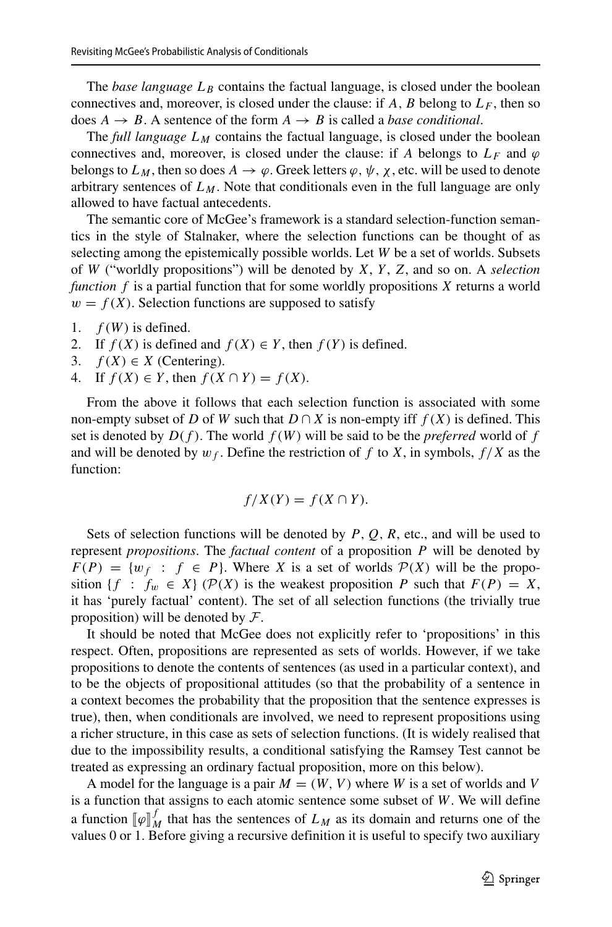The *base language*  $L_B$  contains the factual language, is closed under the boolean connectives and, moreover, is closed under the clause: if  $A$ ,  $B$  belong to  $L_F$ , then so does  $A \rightarrow B$ . A sentence of the form  $A \rightarrow B$  is called a *base conditional*.

The *full language*  $L_M$  contains the factual language, is closed under the boolean connectives and, moreover, is closed under the clause: if *A* belongs to  $L_F$  and  $\varphi$ belongs to  $L_M$ , then so does  $A \to \varphi$ . Greek letters  $\varphi, \psi, \chi$ , etc. will be used to denote arbitrary sentences of  $L_M$ . Note that conditionals even in the full language are only allowed to have factual antecedents.

The semantic core of McGee's framework is a standard selection-function semantics in the style of Stalnaker, where the selection functions can be thought of as selecting among the epistemically possible worlds. Let *W* be a set of worlds. Subsets of *W* ("worldly propositions") will be denoted by *X*, *Y* , *Z*, and so on. A *selection function f* is a partial function that for some worldly propositions *X* returns a world  $w = f(X)$ . Selection functions are supposed to satisfy

- 1.  $f(W)$  is defined.
- 2. If  $f(X)$  is defined and  $f(X) \in Y$ , then  $f(Y)$  is defined.
- 3.  $f(X) \in X$  (Centering).
- 4. If  $f(X) \in Y$ , then  $f(X \cap Y) = f(X)$ .

From the above it follows that each selection function is associated with some non-empty subset of *D* of *W* such that  $D \cap X$  is non-empty iff  $f(X)$  is defined. This set is denoted by  $D(f)$ . The world  $f(W)$  will be said to be the *preferred* world of f and will be denoted by  $w_f$ . Define the restriction of f to X, in symbols,  $f/X$  as the function:

$$
f/X(Y) = f(X \cap Y).
$$

Sets of selection functions will be denoted by *P , Q, R*, etc., and will be used to represent *propositions*. The *factual content* of a proposition *P* will be denoted by  $F(P) = \{w_f : f \in P\}$ . Where *X* is a set of worlds  $P(X)$  will be the proposition {*f* :  $f_w \in X$ } ( $\mathcal{P}(X)$  is the weakest proposition *P* such that  $F(P) = X$ , it has 'purely factual' content). The set of all selection functions (the trivially true proposition) will be denoted by  $\mathcal{F}$ .

It should be noted that McGee does not explicitly refer to 'propositions' in this respect. Often, propositions are represented as sets of worlds. However, if we take propositions to denote the contents of sentences (as used in a particular context), and to be the objects of propositional attitudes (so that the probability of a sentence in a context becomes the probability that the proposition that the sentence expresses is true), then, when conditionals are involved, we need to represent propositions using a richer structure, in this case as sets of selection functions. (It is widely realised that due to the impossibility results, a conditional satisfying the Ramsey Test cannot be treated as expressing an ordinary factual proposition, more on this below).

A model for the language is a pair  $M = (W, V)$  where *W* is a set of worlds and *V* is a function that assigns to each atomic sentence some subset of *W*. We will define a function  $\llbracket \varphi \rrbracket_M^f$  that has the sentences of  $L_M$  as its domain and returns one of the values 0 or 1. Before giving a recursive definition it is useful to specify two auxiliary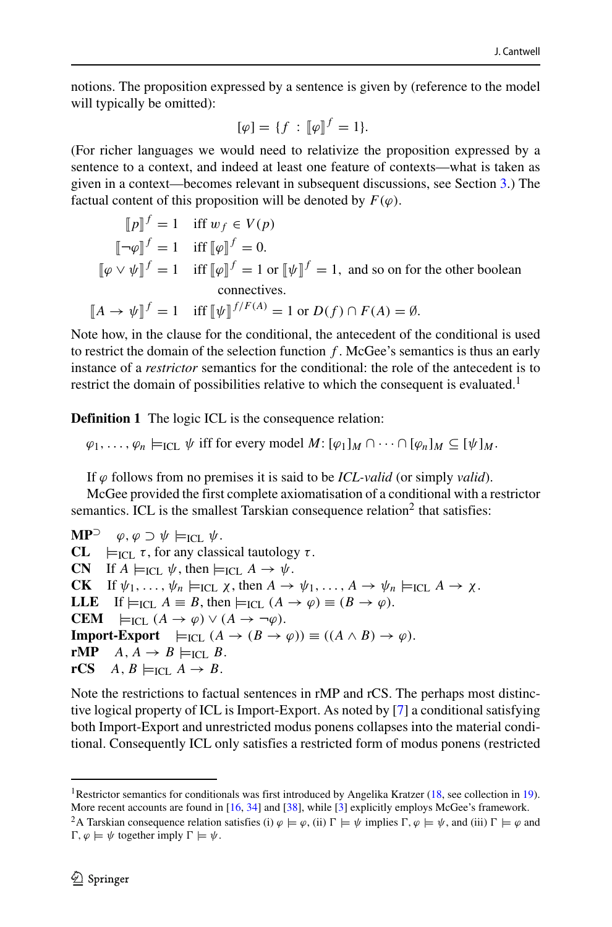notions. The proposition expressed by a sentence is given by (reference to the model will typically be omitted):

$$
[\varphi] = \{f : [\![\varphi]\!]^f = 1\}.
$$

(For richer languages we would need to relativize the proposition expressed by a sentence to a context, and indeed at least one feature of contexts—what is taken as given in a context—becomes relevant in subsequent discussions, see Section [3.](#page-6-0)) The factual content of this proposition will be denoted by  $F(\varphi)$ .

$$
[\![p]\!]^f = 1 \quad \text{iff } w_f \in V(p)
$$
  
\n
$$
[\![\neg \varphi]\!]^f = 1 \quad \text{iff } [\![\varphi]\!]^f = 0.
$$
  
\n
$$
[\![\varphi \vee \psi]\!]^f = 1 \quad \text{iff } [\![\varphi]\!]^f = 1 \text{ or } [\![\psi]\!]^f = 1, \text{ and so on for the other boolean connectives.}
$$
  
\n
$$
[\![A \to \psi]\!]^f = 1 \quad \text{iff } [\![\psi]\!]^{f/F(A)} = 1 \text{ or } D(f) \cap F(A) = \emptyset.
$$

Note how, in the clause for the conditional, the antecedent of the conditional is used to restrict the domain of the selection function *f* . McGee's semantics is thus an early instance of a *restrictor* semantics for the conditional: the role of the antecedent is to restrict the domain of possibilities relative to which the consequent is evaluated.<sup>1</sup>

**Definition 1** The logic ICL is the consequence relation:

 $\varphi_1, \ldots, \varphi_n \models_{\text{ICL}} \psi$  iff for every model  $M: [\varphi_1]_M \cap \cdots \cap [\varphi_n]_M \subseteq [\psi]_M$ .

If *ϕ* follows from no premises it is said to be *ICL-valid* (or simply *valid*).

McGee provided the first complete axiomatisation of a conditional with a restrictor semantics. ICL is the smallest Tarskian consequence relation<sup>2</sup> that satisfies:

**MP**<sup> $\supset \varphi, \varphi \supset \psi \models_{\text{ICL}} \psi.$ <br>**CL**  $\models_{\text{ICL}} \tau$ , for any class</sup>  $\models$ <sub>ICL</sub> *τ*, for any classical tautology *τ*. **CN** If  $A \models_{\text{ICL}} \psi$ , then  $\models_{\text{ICL}} A \rightarrow \psi$ .<br> **CK** If  $\psi_1, \ldots, \psi_n \models_{\text{ICL}} \chi$ , then  $A \rightarrow$ If  $\psi_1, \ldots, \psi_n \models_{\text{ICL}} \chi$ , then  $A \to \psi_1, \ldots, A \to \psi_n \models_{\text{ICL}} A \to \chi$ . **LLE** If  $\models$ <sub>ICL</sub>  $A \equiv B$ , then  $\models$ <sub>ICL</sub>  $(A \rightarrow \varphi) \equiv (B \rightarrow \varphi)$ . **CEM**  $\models$ <sub>ICL</sub>  $(A \rightarrow \varphi) \lor (A \rightarrow \neg \varphi)$ . **Import-Export**  $\models$ <sub>ICL</sub>  $(A \rightarrow (B \rightarrow \varphi)) \equiv ((A \land B) \rightarrow \varphi)$ .<br> **rMP**  $A \rightarrow B \models$ ICL  $B$ . **rMP**  $A, A \rightarrow B \models_{\text{ICL}} B$ .<br> **rCS**  $A, B \models_{\text{ICL}} A \rightarrow B$ .  $A, B \models_{\text{ICL}} A \rightarrow B.$ 

Note the restrictions to factual sentences in rMP and rCS. The perhaps most distinctive logical property of ICL is Import-Export. As noted by [\[7\]](#page-43-3) a conditional satisfying both Import-Export and unrestricted modus ponens collapses into the material conditional. Consequently ICL only satisfies a restricted form of modus ponens (restricted

<span id="page-3-0"></span><sup>&</sup>lt;sup>1</sup>Restrictor semantics for conditionals was first introduced by Angelika Kratzer [\(18,](#page-43-4) see collection in [19\)](#page-43-5). More recent accounts are found in [\[16,](#page-43-6) [34\]](#page-44-0) and [\[38\]](#page-44-1), while [\[3\]](#page-43-7) explicitly employs McGee's framework.

<span id="page-3-1"></span><sup>&</sup>lt;sup>2</sup>A Tarskian consequence relation satisfies (i)  $\varphi \models \varphi$ , (ii)  $\Gamma \models \psi$  implies  $\Gamma, \varphi \models \psi$ , and (iii)  $\Gamma \models \varphi$  and  $\Gamma, \varphi \models \psi$  together imply  $\Gamma \models \psi$ .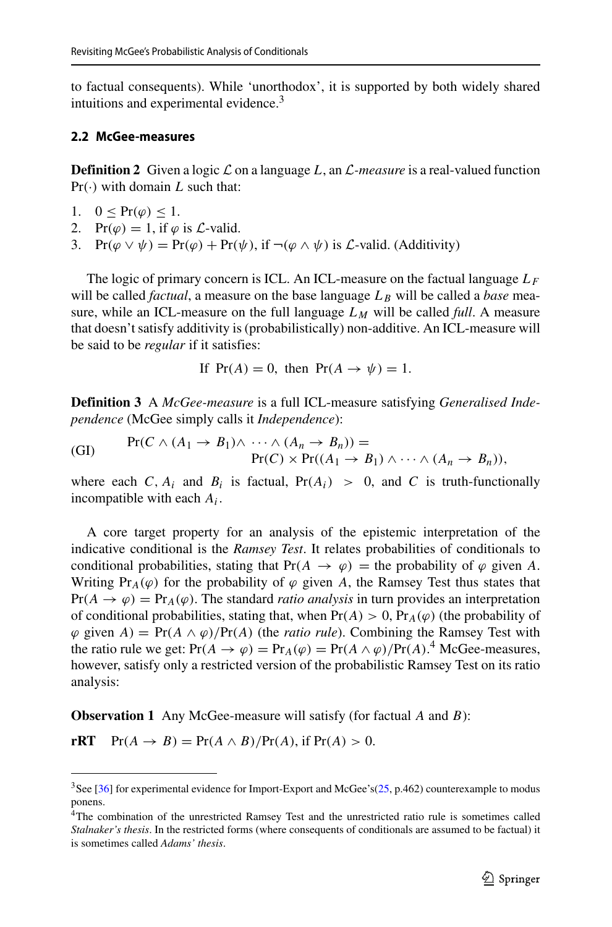to factual consequents). While 'unorthodox', it is supported by both widely shared intuitions and experimental evidence.<sup>3</sup>

#### **2.2 McGee-measures**

**Definition 2** Given a logic  $\mathcal L$  on a language L, an  $\mathcal L$ -measure is a real-valued function  $Pr(\cdot)$  with domain *L* such that:

- 1. 0 <  $Pr(\varphi)$  < 1.
- 2.  $Pr(\varphi) = 1$ , if  $\varphi$  is  $\mathcal{L}$ -valid.
- 3. Pr $(\varphi \lor \psi) = Pr(\varphi) + Pr(\psi)$ , if  $\neg(\varphi \land \psi)$  is *L*-valid. (Additivity)

The logic of primary concern is ICL. An ICL-measure on the factual language *LF* will be called *factual*, a measure on the base language  $L_B$  will be called a *base* measure, while an ICL-measure on the full language  $L_M$  will be called *full*. A measure that doesn't satisfy additivity is (probabilistically) non-additive. An ICL-measure will be said to be *regular* if it satisfies:

If  $Pr(A) = 0$ , then  $Pr(A \rightarrow \psi) = 1$ .

**Definition 3** A *McGee-measure* is a full ICL-measure satisfying *Generalised Independence* (McGee simply calls it *Independence*):

(GI) 
$$
\Pr(C \wedge (A_1 \rightarrow B_1) \wedge \cdots \wedge (A_n \rightarrow B_n)) =
$$

$$
\Pr(C) \times \Pr((A_1 \rightarrow B_1) \wedge \cdots \wedge (A_n \rightarrow B_n)),
$$

where each *C*,  $A_i$  and  $B_i$  is factual,  $Pr(A_i) > 0$ , and *C* is truth-functionally incompatible with each *Ai*.

A core target property for an analysis of the epistemic interpretation of the indicative conditional is the *Ramsey Test*. It relates probabilities of conditionals to conditional probabilities, stating that  $Pr(A \rightarrow \varphi) =$  the probability of  $\varphi$  given A. Writing Pr<sub>A</sub>( $\varphi$ ) for the probability of  $\varphi$  given *A*, the Ramsey Test thus states that  $Pr(A \to \varphi) = Pr_A(\varphi)$ . The standard *ratio analysis* in turn provides an interpretation of conditional probabilities, stating that, when  $Pr(A) > 0$ ,  $Pr_A(\varphi)$  (the probability of  $\varphi$  given *A*) = Pr(*A*  $\wedge$   $\varphi$ )/Pr(*A*) (the *ratio rule*). Combining the Ramsey Test with the ratio rule we get:  $Pr(A \to \varphi) = Pr_A(\varphi) = Pr(A \wedge \varphi)/Pr(A)$ .<sup>[4](#page-4-1)</sup> McGee-measures, however, satisfy only a restricted version of the probabilistic Ramsey Test on its ratio analysis:

**Observation 1** Any McGee-measure will satisfy (for factual *A* and *B*):

**rRT**  $Pr(A \rightarrow B) = Pr(A \land B)/Pr(A)$ , if  $Pr(A) > 0$ .

<span id="page-4-0"></span> $3$ See [\[36\]](#page-44-2) for experimental evidence for Import-Export and McGee's[\(25,](#page-43-8) p.462) counterexample to modus ponens.

<span id="page-4-1"></span><sup>4</sup>The combination of the unrestricted Ramsey Test and the unrestricted ratio rule is sometimes called *Stalnaker's thesis*. In the restricted forms (where consequents of conditionals are assumed to be factual) it is sometimes called *Adams' thesis*.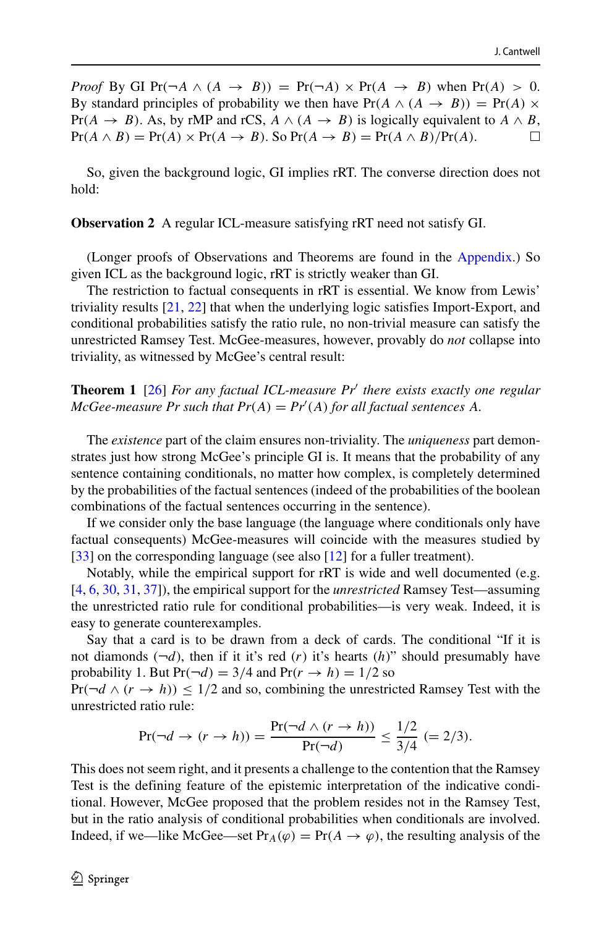*Proof* By GI Pr $(\neg A \land (A \rightarrow B))$  = Pr $(\neg A) \times Pr(A \rightarrow B)$  when Pr $(A) > 0$ . By standard principles of probability we then have  $Pr(A \wedge (A \rightarrow B)) = Pr(A) \times$ Pr(*A* → *B*). As, by rMP and rCS, *A* ∧ (*A* → *B*) is logically equivalent to *A* ∧ *B*, Pr(*A* ∧ *B*) = Pr(*A*) × Pr(*A* → *B*). So Pr(*A* → *B*) = Pr(*A* ∧ *B*)/Pr(*A*).  $Pr(A \wedge B) = Pr(A) \times Pr(A \rightarrow B)$ . So  $Pr(A \rightarrow B) = Pr(A \wedge B)/Pr(A)$ .

So, given the background logic, GI implies rRT. The converse direction does not hold:

<span id="page-5-0"></span>**Observation 2** A regular ICL-measure satisfying rRT need not satisfy GI.

(Longer proofs of Observations and Theorems are found in the Appendix.) So given ICL as the background logic, rRT is strictly weaker than GI.

The restriction to factual consequents in rRT is essential. We know from Lewis' triviality results [\[21,](#page-43-9) [22\]](#page-43-10) that when the underlying logic satisfies Import-Export, and conditional probabilities satisfy the ratio rule, no non-trivial measure can satisfy the unrestricted Ramsey Test. McGee-measures, however, provably do *not* collapse into triviality, as witnessed by McGee's central result:

**Theorem 1** [\[26\]](#page-43-11) *For any factual ICL-measure Pr there exists exactly one regular*  $McGee$ -measure Pr such that  $Pr(A) = Pr'(A)$  for all factual sentences A.

The *existence* part of the claim ensures non-triviality. The *uniqueness* part demonstrates just how strong McGee's principle GI is. It means that the probability of any sentence containing conditionals, no matter how complex, is completely determined by the probabilities of the factual sentences (indeed of the probabilities of the boolean combinations of the factual sentences occurring in the sentence).

If we consider only the base language (the language where conditionals only have factual consequents) McGee-measures will coincide with the measures studied by [\[33\]](#page-43-2) on the corresponding language (see also [\[12\]](#page-43-12) for a fuller treatment).

Notably, while the empirical support for rRT is wide and well documented (e.g. [\[4,](#page-43-13) [6,](#page-43-14) [30,](#page-43-15) [31,](#page-43-16) [37\]](#page-44-3)), the empirical support for the *unrestricted* Ramsey Test—assuming the unrestricted ratio rule for conditional probabilities—is very weak. Indeed, it is easy to generate counterexamples.

Say that a card is to be drawn from a deck of cards. The conditional "If it is not diamonds  $(\neg d)$ , then if it it's red  $(r)$  it's hearts  $(h)$ " should presumably have probability 1. But  $Pr(\neg d) = 3/4$  and  $Pr(r \rightarrow h) = 1/2$  so

 $Pr(\neg d \land (r \rightarrow h)) \leq 1/2$  and so, combining the unrestricted Ramsey Test with the unrestricted ratio rule:

$$
\Pr(\neg d \to (r \to h)) = \frac{\Pr(\neg d \land (r \to h))}{\Pr(\neg d)} \le \frac{1/2}{3/4} \ (=2/3).
$$

This does not seem right, and it presents a challenge to the contention that the Ramsey Test is the defining feature of the epistemic interpretation of the indicative conditional. However, McGee proposed that the problem resides not in the Ramsey Test, but in the ratio analysis of conditional probabilities when conditionals are involved. Indeed, if we—like McGee—set  $Pr_A(\varphi) = Pr(A \to \varphi)$ , the resulting analysis of the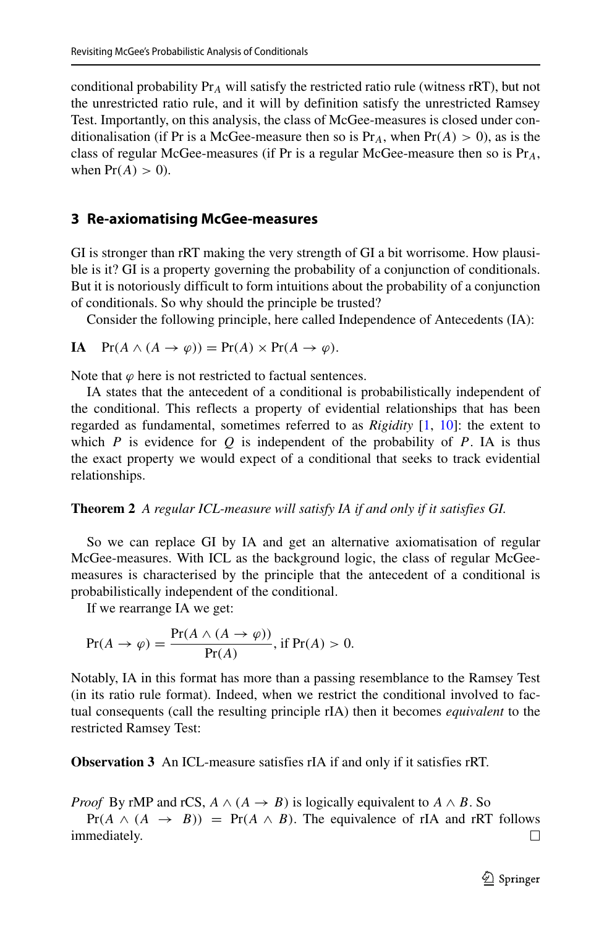conditional probability Pr*<sup>A</sup>* will satisfy the restricted ratio rule (witness rRT), but not the unrestricted ratio rule, and it will by definition satisfy the unrestricted Ramsey Test. Importantly, on this analysis, the class of McGee-measures is closed under conditionalisation (if Pr is a McGee-measure then so is  $Pr_A$ , when  $Pr(A) > 0$ ), as is the class of regular McGee-measures (if Pr is a regular McGee-measure then so is Pr*A*, when  $Pr(A) > 0$ ).

# <span id="page-6-0"></span>**3 Re-axiomatising McGee-measures**

GI is stronger than rRT making the very strength of GI a bit worrisome. How plausible is it? GI is a property governing the probability of a conjunction of conditionals. But it is notoriously difficult to form intuitions about the probability of a conjunction of conditionals. So why should the principle be trusted?

Consider the following principle, here called Independence of Antecedents (IA):

**IA** 
$$
Pr(A \wedge (A \rightarrow \varphi)) = Pr(A) \times Pr(A \rightarrow \varphi)
$$
.

Note that  $\varphi$  here is not restricted to factual sentences.

IA states that the antecedent of a conditional is probabilistically independent of the conditional. This reflects a property of evidential relationships that has been regarded as fundamental, sometimes referred to as *Rigidity* [\[1,](#page-42-0) [10\]](#page-43-17): the extent to which *P* is evidence for *Q* is independent of the probability of *P*. IA is thus the exact property we would expect of a conditional that seeks to track evidential relationships.

## **Theorem 2** *A regular ICL-measure will satisfy IA if and only if it satisfies GI.*

So we can replace GI by IA and get an alternative axiomatisation of regular McGee-measures. With ICL as the background logic, the class of regular McGeemeasures is characterised by the principle that the antecedent of a conditional is probabilistically independent of the conditional.

If we rearrange IA we get:

$$
Pr(A \to \varphi) = \frac{Pr(A \land (A \to \varphi))}{Pr(A)}, \text{ if } Pr(A) > 0.
$$

Notably, IA in this format has more than a passing resemblance to the Ramsey Test (in its ratio rule format). Indeed, when we restrict the conditional involved to factual consequents (call the resulting principle rIA) then it becomes *equivalent* to the restricted Ramsey Test:

**Observation 3** An ICL-measure satisfies rIA if and only if it satisfies rRT.

*Proof* By rMP and rCS,  $A \wedge (A \rightarrow B)$  is logically equivalent to  $A \wedge B$ . So

 $Pr(A \wedge (A \rightarrow B)) = Pr(A \wedge B)$ . The equivalence of rIA and rRT follows mediately. immediately.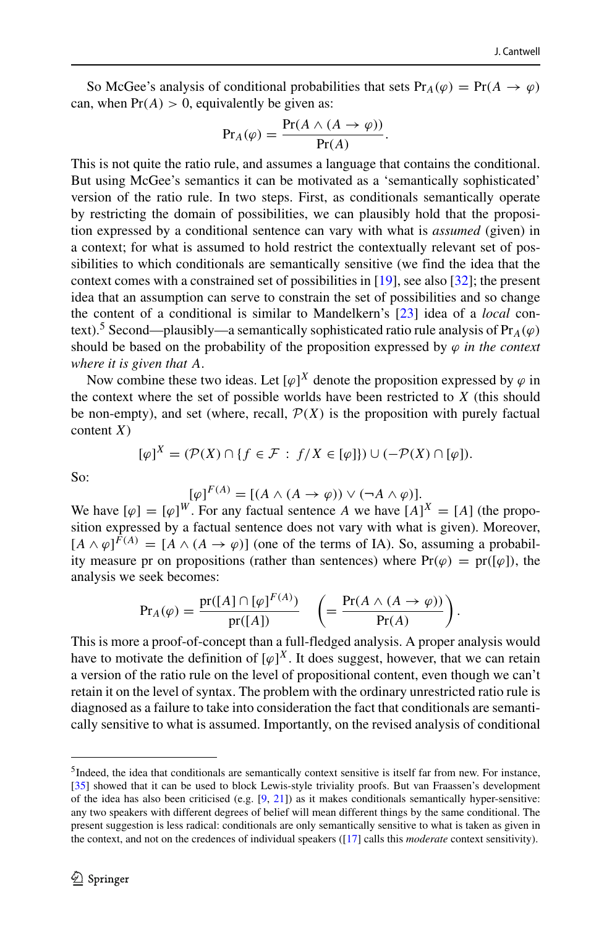So McGee's analysis of conditional probabilities that sets  $Pr_A(\varphi) = Pr(A \to \varphi)$ can, when  $Pr(A) > 0$ , equivalently be given as:

$$
Pr_A(\varphi) = \frac{Pr(A \land (A \to \varphi))}{Pr(A)}.
$$

This is not quite the ratio rule, and assumes a language that contains the conditional. But using McGee's semantics it can be motivated as a 'semantically sophisticated' version of the ratio rule. In two steps. First, as conditionals semantically operate by restricting the domain of possibilities, we can plausibly hold that the proposition expressed by a conditional sentence can vary with what is *assumed* (given) in a context; for what is assumed to hold restrict the contextually relevant set of possibilities to which conditionals are semantically sensitive (we find the idea that the context comes with a constrained set of possibilities in [\[19\]](#page-43-5), see also [\[32\]](#page-43-18); the present idea that an assumption can serve to constrain the set of possibilities and so change the content of a conditional is similar to Mandelkern's [\[23\]](#page-43-19) idea of a *local* con-text).<sup>[5](#page-7-0)</sup> Second—plausibly—a semantically sophisticated ratio rule analysis of  $Pr_A(\varphi)$ should be based on the probability of the proposition expressed by  $\varphi$  *in the context where it is given that A*.

Now combine these two ideas. Let  $[\varphi]^X$  denote the proposition expressed by  $\varphi$  in the context where the set of possible worlds have been restricted to *X* (this should be non-empty), and set (where, recall,  $\mathcal{P}(X)$  is the proposition with purely factual content *X*)

$$
[\varphi]^X = (\mathcal{P}(X) \cap \{f \in \mathcal{F} : f/X \in [\varphi]\}) \cup (-\mathcal{P}(X) \cap [\varphi]).
$$

So:

$$
[\varphi]^{F(A)} = [(A \wedge (A \to \varphi)) \vee (\neg A \wedge \varphi)].
$$

We have  $[\varphi] = [\varphi]^{W}$ . For any factual sentence *A* we have  $[A]^{X} = [A]$  (the proposition expressed by a factual sentence does not vary with what is given). Moreover,  $[A \wedge \varphi]^{F(A)} = [A \wedge (A \rightarrow \varphi)]$  (one of the terms of IA). So, assuming a probability measure pr on propositions (rather than sentences) where  $Pr(\varphi) = pr([\varphi])$ , the analysis we seek becomes:

$$
\Pr_A(\varphi) = \frac{\Pr([A] \cap [\varphi]^{F(A)})}{\Pr([A])} \quad \left( = \frac{\Pr(A \land (A \to \varphi))}{\Pr(A)} \right).
$$

This is more a proof-of-concept than a full-fledged analysis. A proper analysis would have to motivate the definition of  $[\varphi]^{X}$ . It does suggest, however, that we can retain a version of the ratio rule on the level of propositional content, even though we can't retain it on the level of syntax. The problem with the ordinary unrestricted ratio rule is diagnosed as a failure to take into consideration the fact that conditionals are semantically sensitive to what is assumed. Importantly, on the revised analysis of conditional

<span id="page-7-0"></span><sup>&</sup>lt;sup>5</sup>Indeed, the idea that conditionals are semantically context sensitive is itself far from new. For instance, [\[35\]](#page-44-4) showed that it can be used to block Lewis-style triviality proofs. But van Fraassen's development of the idea has also been criticised (e.g.  $[9, 21]$  $[9, 21]$  $[9, 21]$ ) as it makes conditionals semantically hyper-sensitive: any two speakers with different degrees of belief will mean different things by the same conditional. The present suggestion is less radical: conditionals are only semantically sensitive to what is taken as given in the context, and not on the credences of individual speakers ([\[17\]](#page-43-21) calls this *moderate* context sensitivity).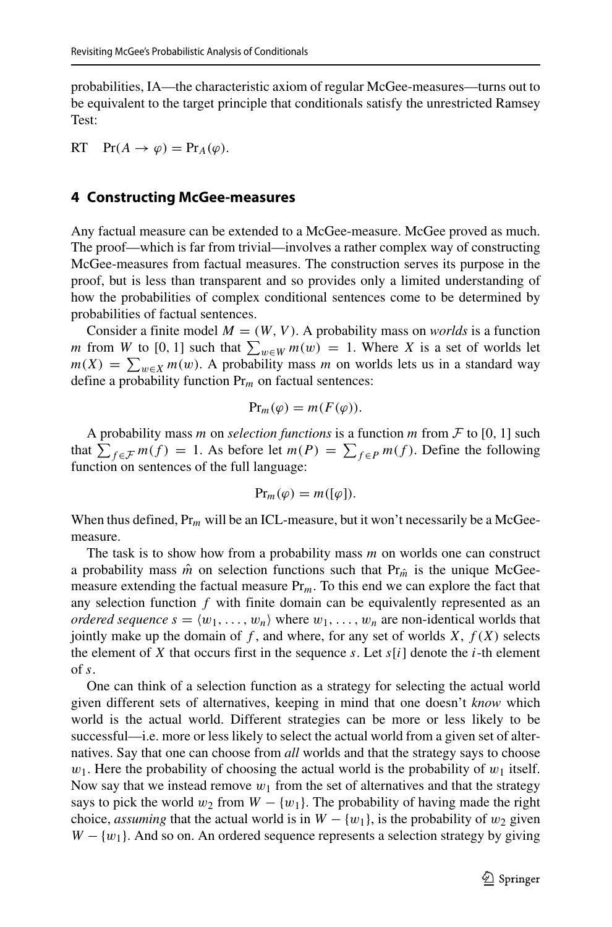probabilities, IA—the characteristic axiom of regular McGee-measures—turns out to be equivalent to the target principle that conditionals satisfy the unrestricted Ramsey Test:

RT  $Pr(A \rightarrow \varphi) = Pr_A(\varphi)$ .

#### <span id="page-8-0"></span>**4 Constructing McGee-measures**

Any factual measure can be extended to a McGee-measure. McGee proved as much. The proof—which is far from trivial—involves a rather complex way of constructing McGee-measures from factual measures. The construction serves its purpose in the proof, but is less than transparent and so provides only a limited understanding of how the probabilities of complex conditional sentences come to be determined by probabilities of factual sentences.

Consider a finite model  $M = (W, V)$ . A probability mass on *worlds* is a function *m* from *W* to [0, 1] such that  $\sum_{w \in W} m(w) = 1$ . Where *X* is a set of worlds let  $m(X) = \sum_{w \in X} m(w)$ . A probability mass *m* on worlds lets us in a standard way define a probability function Pr*<sup>m</sup>* on factual sentences:

$$
\Pr_m(\varphi) = m(F(\varphi)).
$$

A probability mass *m* on *selection functions* is a function *m* from  $\mathcal F$  to [0, 1] such that  $\sum_{f \in \mathcal{F}} m(f) = 1$ . As before let  $m(P) = \sum_{f \in P} m(f)$ . Define the following function on sentences of the full language:

$$
\Pr_m(\varphi) = m([\varphi]).
$$

When thus defined, Pr<sub>m</sub> will be an ICL-measure, but it won't necessarily be a McGeemeasure.

The task is to show how from a probability mass *m* on worlds one can construct a probability mass  $\hat{m}$  on selection functions such that Pr<sub> $\hat{m}$ </sub> is the unique McGeemeasure extending the factual measure Pr*m*. To this end we can explore the fact that any selection function *f* with finite domain can be equivalently represented as an *ordered sequence*  $s = \langle w_1, \ldots, w_n \rangle$  where  $w_1, \ldots, w_n$  are non-identical worlds that jointly make up the domain of  $f$ , and where, for any set of worlds  $X$ ,  $f(X)$  selects the element of *X* that occurs first in the sequence *s*. Let  $s[i]$  denote the *i*-th element of *s*.

One can think of a selection function as a strategy for selecting the actual world given different sets of alternatives, keeping in mind that one doesn't *know* which world is the actual world. Different strategies can be more or less likely to be successful—i.e. more or less likely to select the actual world from a given set of alternatives. Say that one can choose from *all* worlds and that the strategy says to choose  $w_1$ . Here the probability of choosing the actual world is the probability of  $w_1$  itself. Now say that we instead remove  $w_1$  from the set of alternatives and that the strategy says to pick the world  $w_2$  from  $W - \{w_1\}$ . The probability of having made the right choice, *assuming* that the actual world is in  $W - \{w_1\}$ , is the probability of  $w_2$  given  $W - \{w_1\}$ . And so on. An ordered sequence represents a selection strategy by giving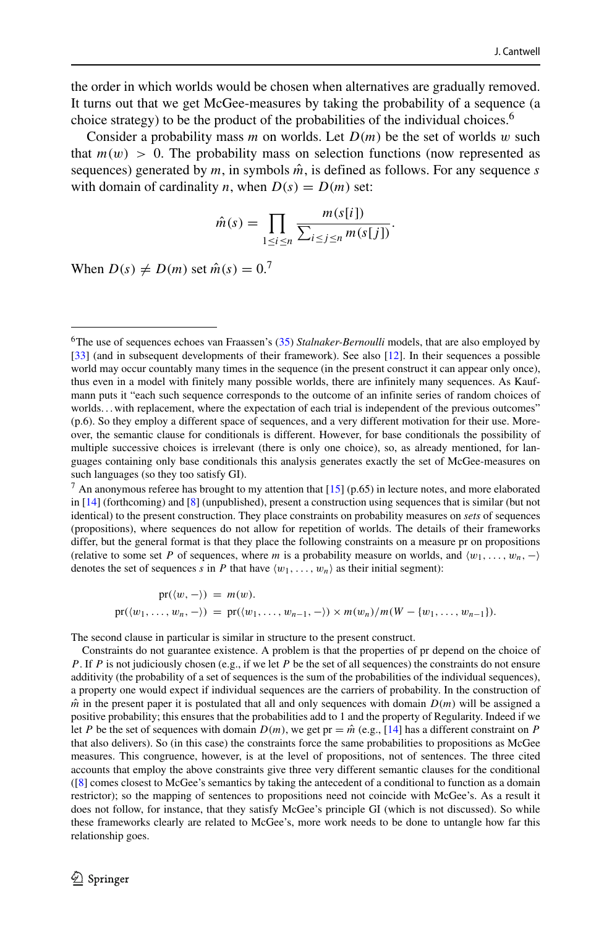the order in which worlds would be chosen when alternatives are gradually removed. It turns out that we get McGee-measures by taking the probability of a sequence (a choice strategy) to be the product of the probabilities of the individual choices.<sup>6</sup>

Consider a probability mass *m* on worlds. Let  $D(m)$  be the set of worlds *w* such that  $m(w) > 0$ . The probability mass on selection functions (now represented as sequences) generated by  $m$ , in symbols  $\hat{m}$ , is defined as follows. For any sequence  $s$ with domain of cardinality *n*, when  $D(s) = D(m)$  set:

$$
\hat{m}(s) = \prod_{1 \leq i \leq n} \frac{m(s[i])}{\sum_{i \leq j \leq n} m(s[j])}.
$$

When  $D(s) \neq D(m)$  set  $\hat{m}(s) = 0$ <sup>[7](#page-9-1)</sup>

$$
pr(\langle w, - \rangle) = m(w).
$$
  
 
$$
pr(\langle w_1, \ldots, w_n, - \rangle) = pr(\langle w_1, \ldots, w_{n-1}, - \rangle) \times m(w_n)/m(W - \{w_1, \ldots, w_{n-1}\}).
$$

The second clause in particular is similar in structure to the present construct.

Constraints do not guarantee existence. A problem is that the properties of pr depend on the choice of *P*. If *P* is not judiciously chosen (e.g., if we let *P* be the set of all sequences) the constraints do not ensure additivity (the probability of a set of sequences is the sum of the probabilities of the individual sequences), a property one would expect if individual sequences are the carriers of probability. In the construction of  $\hat{m}$  in the present paper it is postulated that all and only sequences with domain  $D(m)$  will be assigned a positive probability; this ensures that the probabilities add to 1 and the property of Regularity. Indeed if we let *P* be the set of sequences with domain  $D(m)$ , we get pr =  $\hat{m}$  (e.g., [\[14\]](#page-43-23) has a different constraint on *P* that also delivers). So (in this case) the constraints force the same probabilities to propositions as McGee measures. This congruence, however, is at the level of propositions, not of sentences. The three cited accounts that employ the above constraints give three very different semantic clauses for the conditional ([\[8\]](#page-43-24) comes closest to McGee's semantics by taking the antecedent of a conditional to function as a domain restrictor); so the mapping of sentences to propositions need not coincide with McGee's. As a result it does not follow, for instance, that they satisfy McGee's principle GI (which is not discussed). So while these frameworks clearly are related to McGee's, more work needs to be done to untangle how far this relationship goes.

<span id="page-9-0"></span><sup>6</sup>The use of sequences echoes van Fraassen's [\(35\)](#page-44-4) *Stalnaker-Bernoulli* models, that are also employed by [\[33\]](#page-43-2) (and in subsequent developments of their framework). See also [\[12\]](#page-43-12). In their sequences a possible world may occur countably many times in the sequence (in the present construct it can appear only once), thus even in a model with finitely many possible worlds, there are infinitely many sequences. As Kaufmann puts it "each such sequence corresponds to the outcome of an infinite series of random choices of worlds... with replacement, where the expectation of each trial is independent of the previous outcomes" (p.6). So they employ a different space of sequences, and a very different motivation for their use. Moreover, the semantic clause for conditionals is different. However, for base conditionals the possibility of multiple successive choices is irrelevant (there is only one choice), so, as already mentioned, for languages containing only base conditionals this analysis generates exactly the set of McGee-measures on such languages (so they too satisfy GI).

<span id="page-9-1"></span> $^7$  An anonymous referee has brought to my attention that [\[15\]](#page-43-22) (p.65) in lecture notes, and more elaborated in [\[14\]](#page-43-23) (forthcoming) and [\[8\]](#page-43-24) (unpublished), present a construction using sequences that is similar (but not identical) to the present construction. They place constraints on probability measures on *sets* of sequences (propositions), where sequences do not allow for repetition of worlds. The details of their frameworks differ, but the general format is that they place the following constraints on a measure pr on propositions (relative to some set *P* of sequences, where *m* is a probability measure on worlds, and  $\langle w_1, \ldots, w_n, - \rangle$ denotes the set of sequences *s* in *P* that have  $\langle w_1, \ldots, w_n \rangle$  as their initial segment):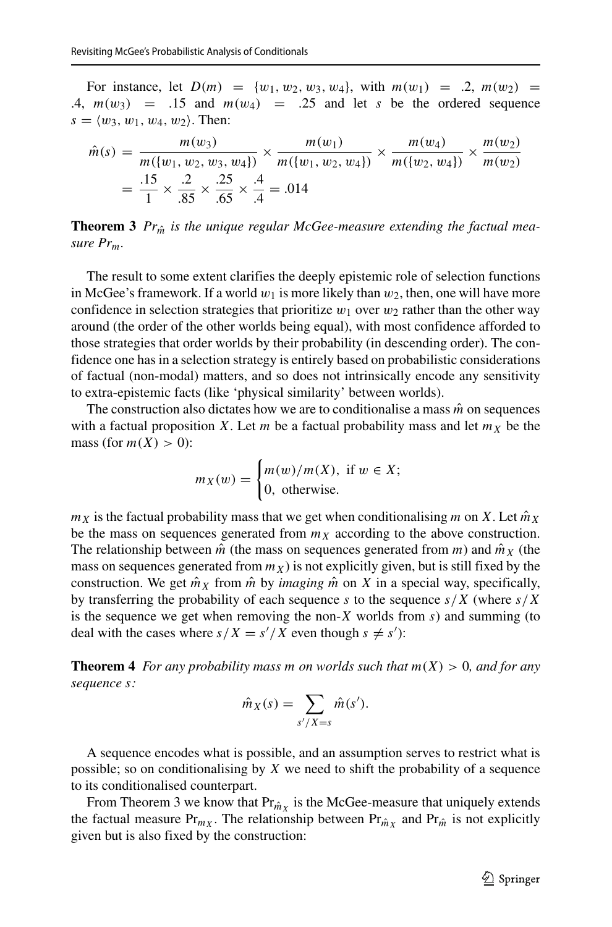For instance, let  $D(m) = \{w_1, w_2, w_3, w_4\}$ , with  $m(w_1) = .2, m(w_2) =$ .4,  $m(w_3)$  = .15 and  $m(w_4)$  = .25 and let *s* be the ordered sequence  $s = \langle w_3, w_1, w_4, w_2 \rangle$ . Then:

$$
\hat{m}(s) = \frac{m(w_3)}{m(\{w_1, w_2, w_3, w_4\})} \times \frac{m(w_1)}{m(\{w_1, w_2, w_4\})} \times \frac{m(w_4)}{m(\{w_2, w_4\})} \times \frac{m(w_2)}{m(w_2)}
$$

$$
= \frac{.15}{1} \times \frac{.2}{.85} \times \frac{.25}{.65} \times \frac{.4}{.4} = .014
$$

**Theorem 3**  $Pr_{\hat{m}}$  is the unique regular McGee-measure extending the factual mea*sure Prm.*

The result to some extent clarifies the deeply epistemic role of selection functions in McGee's framework. If a world  $w_1$  is more likely than  $w_2$ , then, one will have more confidence in selection strategies that prioritize  $w_1$  over  $w_2$  rather than the other way around (the order of the other worlds being equal), with most confidence afforded to those strategies that order worlds by their probability (in descending order). The confidence one has in a selection strategy is entirely based on probabilistic considerations of factual (non-modal) matters, and so does not intrinsically encode any sensitivity to extra-epistemic facts (like 'physical similarity' between worlds).

The construction also dictates how we are to conditionalise a mass  $\hat{m}$  on sequences with a factual proposition *X*. Let *m* be a factual probability mass and let  $m<sub>X</sub>$  be the mass (for  $m(X) > 0$ ):

$$
m_X(w) = \begin{cases} m(w)/m(X), & \text{if } w \in X; \\ 0, & \text{otherwise.} \end{cases}
$$

 $m_X$  is the factual probability mass that we get when conditionalising *m* on *X*. Let  $\hat{m}_X$ be the mass on sequences generated from  $m<sub>X</sub>$  according to the above construction. The relationship between  $\hat{m}$  (the mass on sequences generated from  $m$ ) and  $\hat{m}_X$  (the mass on sequences generated from  $m<sub>X</sub>$ ) is not explicitly given, but is still fixed by the construction. We get  $\hat{m}_X$  from  $\hat{m}$  by *imaging*  $\hat{m}$  on X in a special way, specifically, by transferring the probability of each sequence *s* to the sequence *s/X* (where *s/X* is the sequence we get when removing the non-*X* worlds from *s*) and summing (to deal with the cases where  $s/X = s'/X$  even though  $s \neq s'$ :

**Theorem 4** *For any probability mass m on worlds such that*  $m(X) > 0$ *, and for any sequence s:*

$$
\hat{m}_X(s) = \sum_{s'/X = s} \hat{m}(s').
$$

A sequence encodes what is possible, and an assumption serves to restrict what is possible; so on conditionalising by *X* we need to shift the probability of a sequence to its conditionalised counterpart.

From Theorem 3 we know that  $Pr_{\hat{m}_X}$  is the McGee-measure that uniquely extends the factual measure  $Pr_{m_X}$ . The relationship between  $Pr_{\hat{m}_Y}$  and  $Pr_{\hat{m}}$  is not explicitly given but is also fixed by the construction: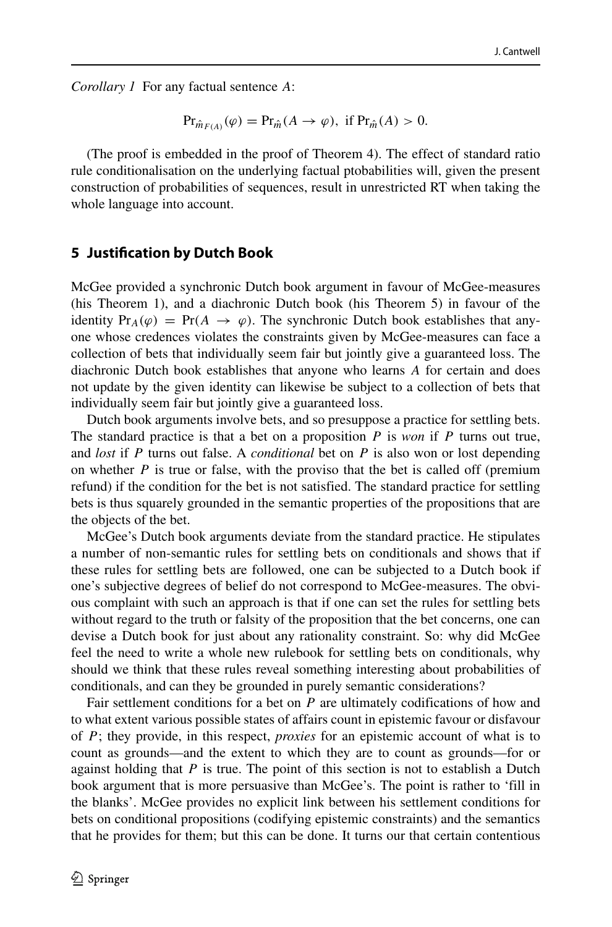*Corollary 1* For any factual sentence *A*:

$$
\mathrm{Pr}_{\hat{m}_{F(A)}}(\varphi) = \mathrm{Pr}_{\hat{m}}(A \to \varphi), \text{ if } \mathrm{Pr}_{\hat{m}}(A) > 0.
$$

(The proof is embedded in the proof of Theorem 4). The effect of standard ratio rule conditionalisation on the underlying factual ptobabilities will, given the present construction of probabilities of sequences, result in unrestricted RT when taking the whole language into account.

#### **5 Justification by Dutch Book**

McGee provided a synchronic Dutch book argument in favour of McGee-measures (his Theorem 1), and a diachronic Dutch book (his Theorem 5) in favour of the identity  $Pr_A(\varphi) = Pr(A \rightarrow \varphi)$ . The synchronic Dutch book establishes that anyone whose credences violates the constraints given by McGee-measures can face a collection of bets that individually seem fair but jointly give a guaranteed loss. The diachronic Dutch book establishes that anyone who learns *A* for certain and does not update by the given identity can likewise be subject to a collection of bets that individually seem fair but jointly give a guaranteed loss.

Dutch book arguments involve bets, and so presuppose a practice for settling bets. The standard practice is that a bet on a proposition *P* is *won* if *P* turns out true, and *lost* if *P* turns out false. A *conditional* bet on *P* is also won or lost depending on whether  $P$  is true or false, with the proviso that the bet is called off (premium refund) if the condition for the bet is not satisfied. The standard practice for settling bets is thus squarely grounded in the semantic properties of the propositions that are the objects of the bet.

McGee's Dutch book arguments deviate from the standard practice. He stipulates a number of non-semantic rules for settling bets on conditionals and shows that if these rules for settling bets are followed, one can be subjected to a Dutch book if one's subjective degrees of belief do not correspond to McGee-measures. The obvious complaint with such an approach is that if one can set the rules for settling bets without regard to the truth or falsity of the proposition that the bet concerns, one can devise a Dutch book for just about any rationality constraint. So: why did McGee feel the need to write a whole new rulebook for settling bets on conditionals, why should we think that these rules reveal something interesting about probabilities of conditionals, and can they be grounded in purely semantic considerations?

Fair settlement conditions for a bet on *P* are ultimately codifications of how and to what extent various possible states of affairs count in epistemic favour or disfavour of *P*; they provide, in this respect, *proxies* for an epistemic account of what is to count as grounds—and the extent to which they are to count as grounds—for or against holding that *P* is true. The point of this section is not to establish a Dutch book argument that is more persuasive than McGee's. The point is rather to 'fill in the blanks'. McGee provides no explicit link between his settlement conditions for bets on conditional propositions (codifying epistemic constraints) and the semantics that he provides for them; but this can be done. It turns our that certain contentious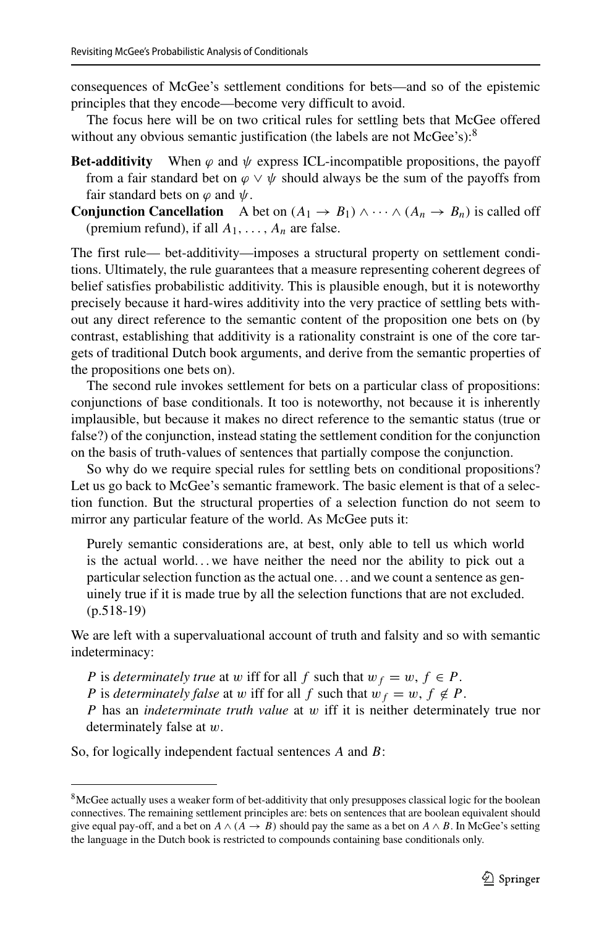consequences of McGee's settlement conditions for bets—and so of the epistemic principles that they encode—become very difficult to avoid.

The focus here will be on two critical rules for settling bets that McGee offered without any obvious semantic justification (the labels are not McGee's):<sup>8</sup>

- **Bet-additivity** When  $\varphi$  and  $\psi$  express ICL-incompatible propositions, the payoff from a fair standard bet on  $\varphi \lor \psi$  should always be the sum of the payoffs from fair standard bets on  $\varphi$  and  $\psi$ .
- **Conjunction Cancellation** A bet on  $(A_1 \rightarrow B_1) \land \cdots \land (A_n \rightarrow B_n)$  is called off (premium refund), if all *A*1*,...,An* are false.

The first rule— bet-additivity—imposes a structural property on settlement conditions. Ultimately, the rule guarantees that a measure representing coherent degrees of belief satisfies probabilistic additivity. This is plausible enough, but it is noteworthy precisely because it hard-wires additivity into the very practice of settling bets without any direct reference to the semantic content of the proposition one bets on (by contrast, establishing that additivity is a rationality constraint is one of the core targets of traditional Dutch book arguments, and derive from the semantic properties of the propositions one bets on).

The second rule invokes settlement for bets on a particular class of propositions: conjunctions of base conditionals. It too is noteworthy, not because it is inherently implausible, but because it makes no direct reference to the semantic status (true or false?) of the conjunction, instead stating the settlement condition for the conjunction on the basis of truth-values of sentences that partially compose the conjunction.

So why do we require special rules for settling bets on conditional propositions? Let us go back to McGee's semantic framework. The basic element is that of a selection function. But the structural properties of a selection function do not seem to mirror any particular feature of the world. As McGee puts it:

Purely semantic considerations are, at best, only able to tell us which world is the actual world...we have neither the need nor the ability to pick out a particular selection function as the actual one. . . and we count a sentence as genuinely true if it is made true by all the selection functions that are not excluded. (p.518-19)

We are left with a supervaluational account of truth and falsity and so with semantic indeterminacy:

- *P* is *determinately true* at *w* iff for all *f* such that  $w_f = w$ ,  $f \in P$ .
- *P* is *determinately false* at *w* iff for all *f* such that  $w_f = w$ ,  $f \notin P$ .

*P* has an *indeterminate truth value* at *w* iff it is neither determinately true nor determinately false at *w*.

So, for logically independent factual sentences *A* and *B*:

<span id="page-12-0"></span><sup>&</sup>lt;sup>8</sup>McGee actually uses a weaker form of bet-additivity that only presupposes classical logic for the boolean connectives. The remaining settlement principles are: bets on sentences that are boolean equivalent should give equal pay-off, and a bet on  $A \land (A \rightarrow B)$  should pay the same as a bet on  $A \land B$ . In McGee's setting the language in the Dutch book is restricted to compounds containing base conditionals only.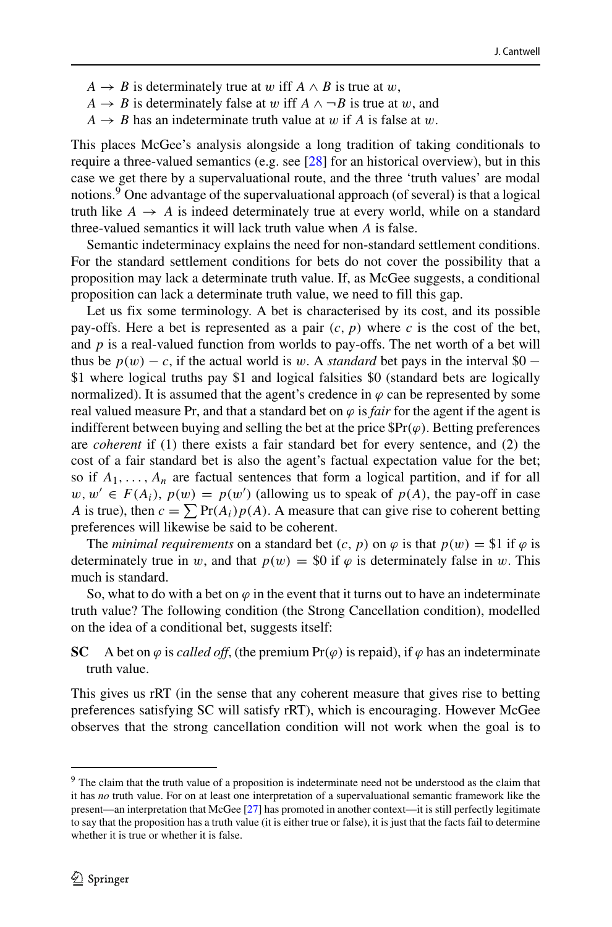- $A \rightarrow B$  is determinately true at *w* iff  $A \wedge B$  is true at *w*,
- *A*  $\rightarrow$  *B* is determinately false at *w* iff *A*  $\land$   $\neg$ *B* is true at *w*, and
- $A \rightarrow B$  has an indeterminate truth value at *w* if *A* is false at *w*.

This places McGee's analysis alongside a long tradition of taking conditionals to require a three-valued semantics (e.g. see [\[28\]](#page-43-25) for an historical overview), but in this case we get there by a supervaluational route, and the three 'truth values' are modal notions.<sup>[9](#page-13-0)</sup> One advantage of the supervaluational approach (of several) is that a logical truth like  $A \rightarrow A$  is indeed determinately true at every world, while on a standard three-valued semantics it will lack truth value when *A* is false.

Semantic indeterminacy explains the need for non-standard settlement conditions. For the standard settlement conditions for bets do not cover the possibility that a proposition may lack a determinate truth value. If, as McGee suggests, a conditional proposition can lack a determinate truth value, we need to fill this gap.

Let us fix some terminology. A bet is characterised by its cost, and its possible pay-offs. Here a bet is represented as a pair  $(c, p)$  where  $c$  is the cost of the bet, and  $p$  is a real-valued function from worlds to pay-offs. The net worth of a bet will thus be  $p(w) - c$ , if the actual world is *w*. A *standard* bet pays in the interval \$0 − \$1 where logical truths pay \$1 and logical falsities \$0 (standard bets are logically normalized). It is assumed that the agent's credence in  $\varphi$  can be represented by some real valued measure Pr, and that a standard bet on  $\varphi$  is *fair* for the agent if the agent is indifferent between buying and selling the bet at the price  $\mathbb{S}Pr(\varphi)$ . Betting preferences are *coherent* if (1) there exists a fair standard bet for every sentence, and (2) the cost of a fair standard bet is also the agent's factual expectation value for the bet; so if  $A_1, \ldots, A_n$  are factual sentences that form a logical partition, and if for all  $w, w' \in F(A_i)$ ,  $p(w) = p(w')$  (allowing us to speak of  $p(A)$ , the pay-off in case *A* is true), then  $c = \sum Pr(A_i)p(A)$ . A measure that can give rise to coherent betting preferences will likewise be said to be coherent.

The *minimal requirements* on a standard bet  $(c, p)$  on  $\varphi$  is that  $p(w) = $1$  if  $\varphi$  is determinately true in *w*, and that  $p(w) = $0$  if  $\varphi$  is determinately false in *w*. This much is standard.

So, what to do with a bet on  $\varphi$  in the event that it turns out to have an indeterminate truth value? The following condition (the Strong Cancellation condition), modelled on the idea of a conditional bet, suggests itself:

**SC** A bet on  $\varphi$  is *called off*, (the premium Pr $(\varphi)$  is repaid), if  $\varphi$  has an indeterminate truth value.

This gives us rRT (in the sense that any coherent measure that gives rise to betting preferences satisfying SC will satisfy rRT), which is encouraging. However McGee observes that the strong cancellation condition will not work when the goal is to

<span id="page-13-0"></span><sup>&</sup>lt;sup>9</sup> The claim that the truth value of a proposition is indeterminate need not be understood as the claim that it has *no* truth value. For on at least one interpretation of a supervaluational semantic framework like the present—an interpretation that McGee [\[27\]](#page-43-26) has promoted in another context—it is still perfectly legitimate to say that the proposition has a truth value (it is either true or false), it is just that the facts fail to determine whether it is true or whether it is false.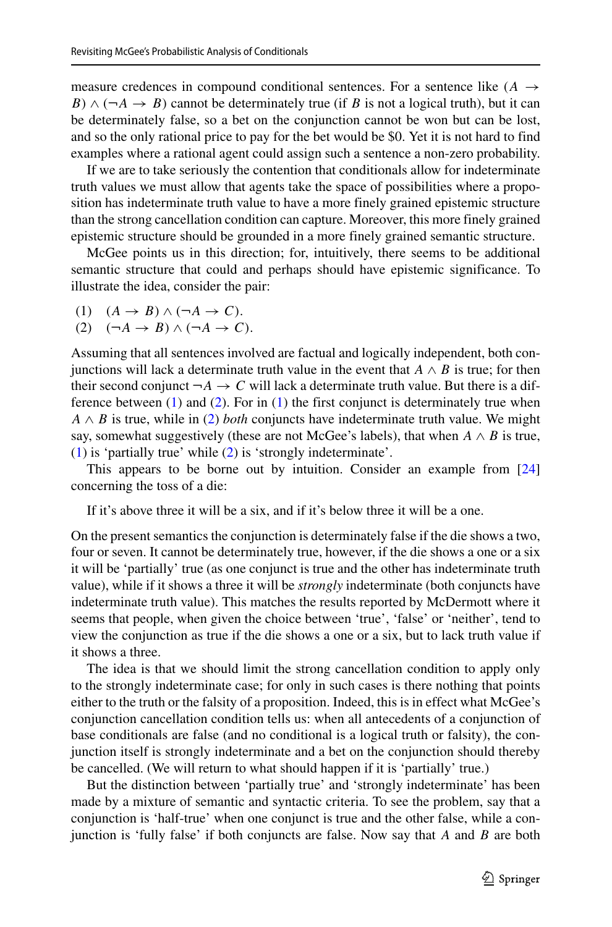measure credences in compound conditional sentences. For a sentence like  $(A \rightarrow$ *B*)  $\land$  ( $\neg A \rightarrow B$ ) cannot be determinately true (if *B* is not a logical truth), but it can be determinately false, so a bet on the conjunction cannot be won but can be lost, and so the only rational price to pay for the bet would be \$0. Yet it is not hard to find examples where a rational agent could assign such a sentence a non-zero probability.

If we are to take seriously the contention that conditionals allow for indeterminate truth values we must allow that agents take the space of possibilities where a proposition has indeterminate truth value to have a more finely grained epistemic structure than the strong cancellation condition can capture. Moreover, this more finely grained epistemic structure should be grounded in a more finely grained semantic structure.

McGee points us in this direction; for, intuitively, there seems to be additional semantic structure that could and perhaps should have epistemic significance. To illustrate the idea, consider the pair:

- <span id="page-14-1"></span><span id="page-14-0"></span>(1)  $(A \rightarrow B) \land (\neg A \rightarrow C)$ .<br>(2)  $(\neg A \rightarrow B) \land (\neg A \rightarrow C)$
- $(\neg A \rightarrow B) \land (\neg A \rightarrow C).$

Assuming that all sentences involved are factual and logically independent, both conjunctions will lack a determinate truth value in the event that  $A \wedge B$  is true; for then their second conjunct  $\neg A \rightarrow C$  will lack a determinate truth value. But there is a difference between  $(1)$  and  $(2)$ . For in  $(1)$  the first conjunct is determinately true when  $A \wedge B$  is true, while in [\(2\)](#page-14-1) *both* conjuncts have indeterminate truth value. We might say, somewhat suggestively (these are not McGee's labels), that when  $A \wedge B$  is true, [\(1\)](#page-14-0) is 'partially true' while [\(2\)](#page-14-1) is 'strongly indeterminate'.

This appears to be borne out by intuition. Consider an example from [\[24\]](#page-43-27) concerning the toss of a die:

If it's above three it will be a six, and if it's below three it will be a one.

On the present semantics the conjunction is determinately false if the die shows a two, four or seven. It cannot be determinately true, however, if the die shows a one or a six it will be 'partially' true (as one conjunct is true and the other has indeterminate truth value), while if it shows a three it will be *strongly* indeterminate (both conjuncts have indeterminate truth value). This matches the results reported by McDermott where it seems that people, when given the choice between 'true', 'false' or 'neither', tend to view the conjunction as true if the die shows a one or a six, but to lack truth value if it shows a three.

The idea is that we should limit the strong cancellation condition to apply only to the strongly indeterminate case; for only in such cases is there nothing that points either to the truth or the falsity of a proposition. Indeed, this is in effect what McGee's conjunction cancellation condition tells us: when all antecedents of a conjunction of base conditionals are false (and no conditional is a logical truth or falsity), the conjunction itself is strongly indeterminate and a bet on the conjunction should thereby be cancelled. (We will return to what should happen if it is 'partially' true.)

But the distinction between 'partially true' and 'strongly indeterminate' has been made by a mixture of semantic and syntactic criteria. To see the problem, say that a conjunction is 'half-true' when one conjunct is true and the other false, while a conjunction is 'fully false' if both conjuncts are false. Now say that *A* and *B* are both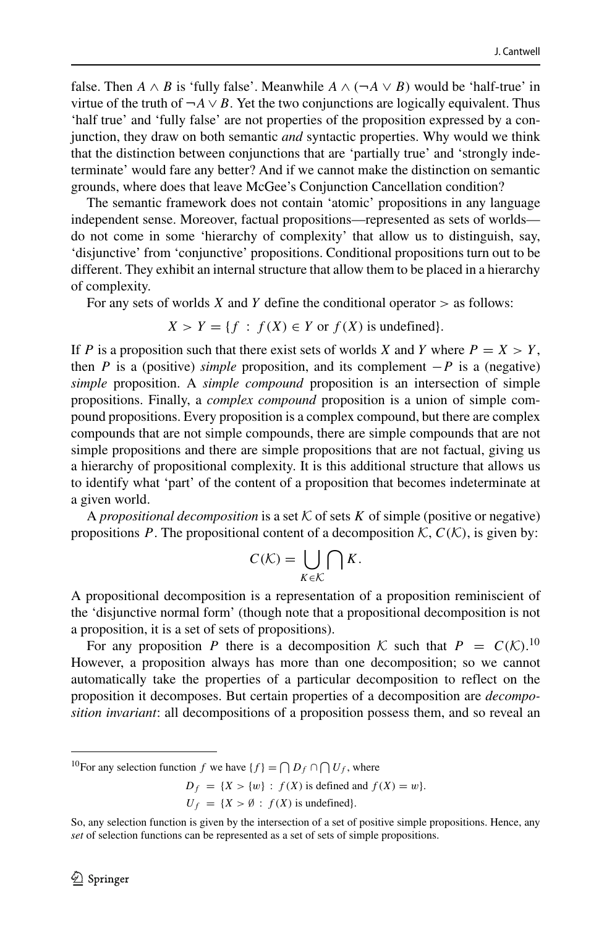false. Then *A*  $\land$  *B* is 'fully false'. Meanwhile *A*  $\land$  ( $\neg$ *A*  $\lor$  *B*) would be 'half-true' in virtue of the truth of  $\neg A \lor B$ . Yet the two conjunctions are logically equivalent. Thus 'half true' and 'fully false' are not properties of the proposition expressed by a conjunction, they draw on both semantic *and* syntactic properties. Why would we think that the distinction between conjunctions that are 'partially true' and 'strongly indeterminate' would fare any better? And if we cannot make the distinction on semantic grounds, where does that leave McGee's Conjunction Cancellation condition?

The semantic framework does not contain 'atomic' propositions in any language independent sense. Moreover, factual propositions—represented as sets of worlds do not come in some 'hierarchy of complexity' that allow us to distinguish, say, 'disjunctive' from 'conjunctive' propositions. Conditional propositions turn out to be different. They exhibit an internal structure that allow them to be placed in a hierarchy of complexity.

For any sets of worlds *X* and *Y* define the conditional operator *>* as follows:

$$
X > Y = \{ f : f(X) \in Y \text{ or } f(X) \text{ is undefined} \}.
$$

If *P* is a proposition such that there exist sets of worlds *X* and *Y* where  $P = X > Y$ , then *P* is a (positive) *simple* proposition, and its complement −*P* is a (negative) *simple* proposition. A *simple compound* proposition is an intersection of simple propositions. Finally, a *complex compound* proposition is a union of simple compound propositions. Every proposition is a complex compound, but there are complex compounds that are not simple compounds, there are simple compounds that are not simple propositions and there are simple propositions that are not factual, giving us a hierarchy of propositional complexity. It is this additional structure that allows us to identify what 'part' of the content of a proposition that becomes indeterminate at a given world.

A *propositional decomposition* is a set K of sets *K* of simple (positive or negative) propositions *P*. The propositional content of a decomposition  $K$ ,  $C(K)$ , is given by:

$$
C(\mathcal{K}) = \bigcup_{K \in \mathcal{K}} \bigcap K.
$$

A propositional decomposition is a representation of a proposition reminiscient of the 'disjunctive normal form' (though note that a propositional decomposition is not a proposition, it is a set of sets of propositions).

For any proposition *P* there is a decomposition *K* such that  $P = C(K)$ .<sup>[10](#page-15-0)</sup> However, a proposition always has more than one decomposition; so we cannot automatically take the properties of a particular decomposition to reflect on the proposition it decomposes. But certain properties of a decomposition are *decomposition invariant*: all decompositions of a proposition possess them, and so reveal an

```
D_f = \{X > \{w\} : f(X) is defined and f(X) = w\}.U_f = \{X > \emptyset : f(X) is undefined}.
```
<span id="page-15-0"></span><sup>&</sup>lt;sup>10</sup>For any selection function *f* we have  $\{f\} = \bigcap D_f \cap \bigcap U_f$ , where

So, any selection function is given by the intersection of a set of positive simple propositions. Hence, any *set* of selection functions can be represented as a set of sets of simple propositions.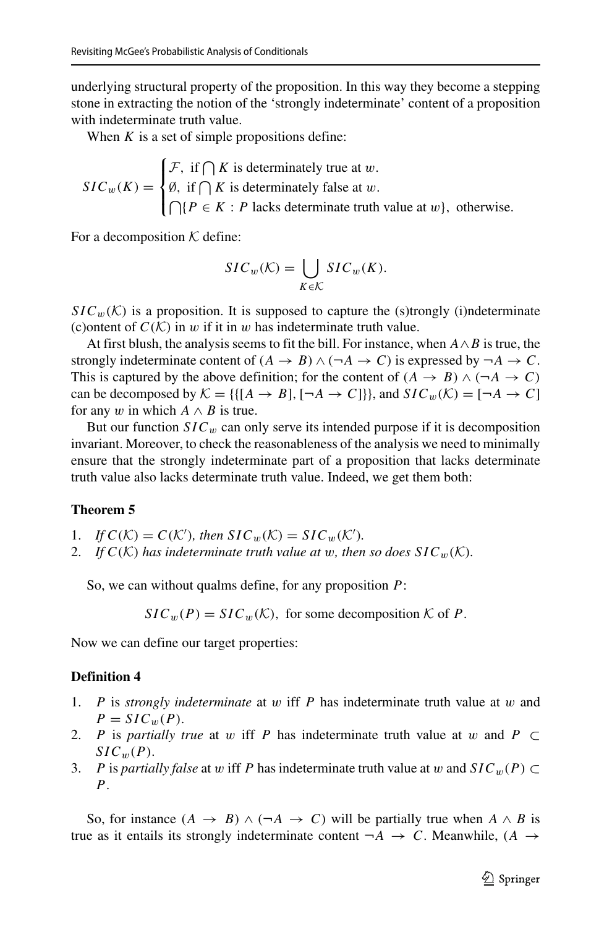underlying structural property of the proposition. In this way they become a stepping stone in extracting the notion of the 'strongly indeterminate' content of a proposition with indeterminate truth value.

When  $K$  is a set of simple propositions define:

 $SIC_w(K) =$  $\mathbf{r}$  $\int$  $\mathbf{I}$ F, if  $\bigcap K$  is determinately true at *w*.  $\emptyset$ , if  $\bigcap K$  is determinately false at *w*.  ${ }{\bigcap}{P \in K : P}$  lacks determinate truth value at *w*}, otherwise.

For a decomposition  $K$  define:

$$
SIC_w(\mathcal{K}) = \bigcup_{K \in \mathcal{K}} SIC_w(K).
$$

 $SIC_w(\mathcal{K})$  is a proposition. It is supposed to capture the (s)trongly (i)ndeterminate (c) ontent of  $C(K)$  in *w* if it in *w* has indeterminate truth value.

At first blush, the analysis seems to fit the bill. For instance, when *A*∧*B* is true, the strongly indeterminate content of  $(A \rightarrow B) \land (\neg A \rightarrow C)$  is expressed by  $\neg A \rightarrow C$ . This is captured by the above definition; for the content of  $(A \rightarrow B) \land (\neg A \rightarrow C)$ can be decomposed by  $K = \{ \{ [A \rightarrow B], [\neg A \rightarrow C] \} \}$ , and  $SIC_w(\mathcal{K}) = [\neg A \rightarrow C]$ for any *w* in which  $A \wedge B$  is true.

But our function  $SIC_w$  can only serve its intended purpose if it is decomposition invariant. Moreover, to check the reasonableness of the analysis we need to minimally ensure that the strongly indeterminate part of a proposition that lacks determinate truth value also lacks determinate truth value. Indeed, we get them both:

#### **Theorem 5**

- 1. If  $C(K) = C(K')$ , then  $SIC_w(K) = SIC_w(K')$ .
- 2. If  $C(K)$  has indeterminate truth value at w, then so does  $SLC_w(K)$ .

So, we can without qualms define, for any proposition *P*:

 $SIC_w(P) = SIC_w(\mathcal{K})$ , for some decomposition  $\mathcal K$  of *P*.

Now we can define our target properties:

#### **Definition 4**

- 1. *P* is *strongly indeterminate* at *w* iff *P* has indeterminate truth value at *w* and  $P = SIC_w(P)$ .
- 2. *P* is *partially true* at *w* iff *P* has indeterminate truth value at *w* and *P* ⊂  $SIC_{w}(P)$ .
- 3. *P* is *partially false* at *w* iff *P* has indeterminate truth value at *w* and  $SIC_w(P) \subset$ *P*.

So, for instance  $(A \rightarrow B) \land (\neg A \rightarrow C)$  will be partially true when  $A \land B$  is true as it entails its strongly indeterminate content  $\neg A \rightarrow C$ . Meanwhile,  $(A \rightarrow$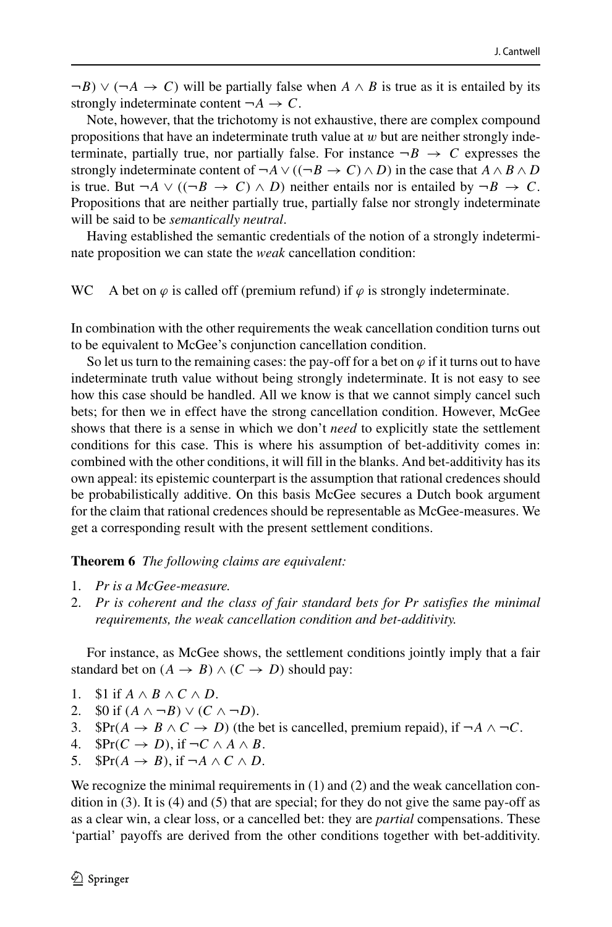$\neg B$ )  $\vee$  ( $\neg A \rightarrow C$ ) will be partially false when  $A \wedge B$  is true as it is entailed by its strongly indeterminate content  $\neg A \rightarrow C$ .

Note, however, that the trichotomy is not exhaustive, there are complex compound propositions that have an indeterminate truth value at *w* but are neither strongly indeterminate, partially true, nor partially false. For instance  $\neg B \rightarrow C$  expresses the strongly indeterminate content of  $\neg A \lor ((\neg B \rightarrow C) \land D)$  in the case that  $A \land B \land D$ is true. But  $\neg A$  ∨ *(* $(\neg B \rightarrow C) \land D$ *)* neither entails nor is entailed by  $\neg B \rightarrow C$ . Propositions that are neither partially true, partially false nor strongly indeterminate will be said to be *semantically neutral*.

Having established the semantic credentials of the notion of a strongly indeterminate proposition we can state the *weak* cancellation condition:

WC A bet on  $\varphi$  is called off (premium refund) if  $\varphi$  is strongly indeterminate.

In combination with the other requirements the weak cancellation condition turns out to be equivalent to McGee's conjunction cancellation condition.

So let us turn to the remaining cases: the pay-off for a bet on  $\varphi$  if it turns out to have indeterminate truth value without being strongly indeterminate. It is not easy to see how this case should be handled. All we know is that we cannot simply cancel such bets; for then we in effect have the strong cancellation condition. However, McGee shows that there is a sense in which we don't *need* to explicitly state the settlement conditions for this case. This is where his assumption of bet-additivity comes in: combined with the other conditions, it will fill in the blanks. And bet-additivity has its own appeal: its epistemic counterpart is the assumption that rational credences should be probabilistically additive. On this basis McGee secures a Dutch book argument for the claim that rational credences should be representable as McGee-measures. We get a corresponding result with the present settlement conditions.

#### **Theorem 6** *The following claims are equivalent:*

- 1. *Pr is a McGee-measure.*
- 2. *Pr is coherent and the class of fair standard bets for Pr satisfies the minimal requirements, the weak cancellation condition and bet-additivity.*

For instance, as McGee shows, the settlement conditions jointly imply that a fair standard bet on  $(A \rightarrow B) \land (C \rightarrow D)$  should pay:

- 1. \$1 if  $A \wedge B \wedge C \wedge D$ .<br>2. \$0 if  $(A \wedge \neg B) \vee (C)$ .
- 2. \$0 if  $(A \land \neg B) \lor (C \land \neg D)$ .<br>3. \$Pr $(A \rightarrow B \land C \rightarrow D)$  (the l
- 3. \$Pr( $A \rightarrow B \land C \rightarrow D$ ) (the bet is cancelled, premium repaid), if  $\neg A \land \neg C$ .<br>4. \$Pr( $C \rightarrow D$ ), if  $\neg C \land A \land B$ .
- 4.  $\oint Pr(C \to D)$ , if  $\neg C \land A \land B$ .<br>5.  $\oint Pr(A \to B)$ , if  $\neg A \land C \land D$ .
- $\text{SPr}(A \rightarrow B)$ , if  $\neg A \land C \land D$ .

We recognize the minimal requirements in (1) and (2) and the weak cancellation condition in  $(3)$ . It is  $(4)$  and  $(5)$  that are special; for they do not give the same pay-off as as a clear win, a clear loss, or a cancelled bet: they are *partial* compensations. These 'partial' payoffs are derived from the other conditions together with bet-additivity.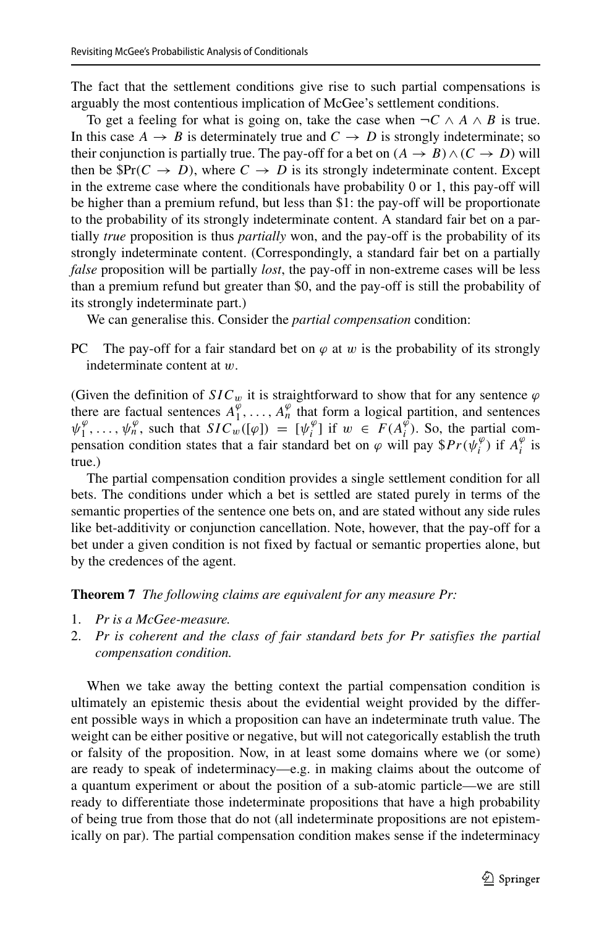The fact that the settlement conditions give rise to such partial compensations is arguably the most contentious implication of McGee's settlement conditions.

To get a feeling for what is going on, take the case when  $\neg C \land A \land B$  is true. In this case  $A \rightarrow B$  is determinately true and  $C \rightarrow D$  is strongly indeterminate; so their conjunction is partially true. The pay-off for a bet on  $(A \rightarrow B) \land (C \rightarrow D)$  will then be  $\mathbb{S}Pr(C \to D)$ , where  $C \to D$  is its strongly indeterminate content. Except in the extreme case where the conditionals have probability 0 or 1, this pay-off will be higher than a premium refund, but less than \$1: the pay-off will be proportionate to the probability of its strongly indeterminate content. A standard fair bet on a partially *true* proposition is thus *partially* won, and the pay-off is the probability of its strongly indeterminate content. (Correspondingly, a standard fair bet on a partially *false* proposition will be partially *lost*, the pay-off in non-extreme cases will be less than a premium refund but greater than \$0, and the pay-off is still the probability of its strongly indeterminate part.)

We can generalise this. Consider the *partial compensation* condition:

PC The pay-off for a fair standard bet on  $\varphi$  at  $w$  is the probability of its strongly indeterminate content at *w*.

(Given the definition of  $SIC_w$  it is straightforward to show that for any sentence  $\varphi$ there are factual sentences  $A_1^{\varphi}$ ,  $\ldots$ ,  $A_n^{\varphi}$  that form a logical partition, and sentences  $\psi_1^{\varphi}, \ldots, \psi_n^{\varphi}$ , such that  $SLC_w(\varphi) = [\psi_i^{\varphi}]$  if  $w \in F(A_i^{\varphi})$ . So, the partial compensation condition states that a fair standard bet on  $\varphi$  will pay  $\oint Pr(\psi_i^{\varphi})$  if  $A_i^{\varphi}$  is true.)

The partial compensation condition provides a single settlement condition for all bets. The conditions under which a bet is settled are stated purely in terms of the semantic properties of the sentence one bets on, and are stated without any side rules like bet-additivity or conjunction cancellation. Note, however, that the pay-off for a bet under a given condition is not fixed by factual or semantic properties alone, but by the credences of the agent.

**Theorem 7** *The following claims are equivalent for any measure Pr:*

- 1. *Pr is a McGee-measure.*
- 2. *Pr is coherent and the class of fair standard bets for Pr satisfies the partial compensation condition.*

When we take away the betting context the partial compensation condition is ultimately an epistemic thesis about the evidential weight provided by the different possible ways in which a proposition can have an indeterminate truth value. The weight can be either positive or negative, but will not categorically establish the truth or falsity of the proposition. Now, in at least some domains where we (or some) are ready to speak of indeterminacy—e.g. in making claims about the outcome of a quantum experiment or about the position of a sub-atomic particle—we are still ready to differentiate those indeterminate propositions that have a high probability of being true from those that do not (all indeterminate propositions are not epistemically on par). The partial compensation condition makes sense if the indeterminacy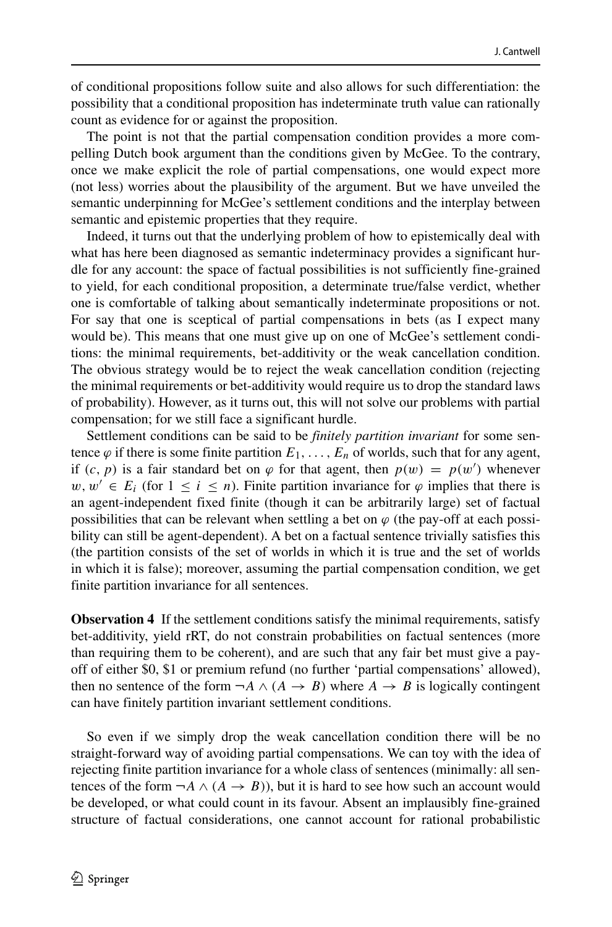of conditional propositions follow suite and also allows for such differentiation: the possibility that a conditional proposition has indeterminate truth value can rationally count as evidence for or against the proposition.

The point is not that the partial compensation condition provides a more compelling Dutch book argument than the conditions given by McGee. To the contrary, once we make explicit the role of partial compensations, one would expect more (not less) worries about the plausibility of the argument. But we have unveiled the semantic underpinning for McGee's settlement conditions and the interplay between semantic and epistemic properties that they require.

Indeed, it turns out that the underlying problem of how to epistemically deal with what has here been diagnosed as semantic indeterminacy provides a significant hurdle for any account: the space of factual possibilities is not sufficiently fine-grained to yield, for each conditional proposition, a determinate true/false verdict, whether one is comfortable of talking about semantically indeterminate propositions or not. For say that one is sceptical of partial compensations in bets (as I expect many would be). This means that one must give up on one of McGee's settlement conditions: the minimal requirements, bet-additivity or the weak cancellation condition. The obvious strategy would be to reject the weak cancellation condition (rejecting the minimal requirements or bet-additivity would require us to drop the standard laws of probability). However, as it turns out, this will not solve our problems with partial compensation; for we still face a significant hurdle.

Settlement conditions can be said to be *finitely partition invariant* for some sentence  $\varphi$  if there is some finite partition  $E_1, \ldots, E_n$  of worlds, such that for any agent, if  $(c, p)$  is a fair standard bet on  $\varphi$  for that agent, then  $p(w) = p(w')$  whenever *w*,  $w'$  ∈  $E_i$  (for  $1 \le i \le n$ ). Finite partition invariance for  $\varphi$  implies that there is an agent-independent fixed finite (though it can be arbitrarily large) set of factual possibilities that can be relevant when settling a bet on  $\varphi$  (the pay-off at each possibility can still be agent-dependent). A bet on a factual sentence trivially satisfies this (the partition consists of the set of worlds in which it is true and the set of worlds in which it is false); moreover, assuming the partial compensation condition, we get finite partition invariance for all sentences.

**Observation 4** If the settlement conditions satisfy the minimal requirements, satisfy bet-additivity, yield rRT, do not constrain probabilities on factual sentences (more than requiring them to be coherent), and are such that any fair bet must give a payoff of either \$0, \$1 or premium refund (no further 'partial compensations' allowed), then no sentence of the form  $\neg A \land (A \rightarrow B)$  where  $A \rightarrow B$  is logically contingent can have finitely partition invariant settlement conditions.

So even if we simply drop the weak cancellation condition there will be no straight-forward way of avoiding partial compensations. We can toy with the idea of rejecting finite partition invariance for a whole class of sentences (minimally: all sentences of the form  $\neg A \land (A \rightarrow B)$ , but it is hard to see how such an account would be developed, or what could count in its favour. Absent an implausibly fine-grained structure of factual considerations, one cannot account for rational probabilistic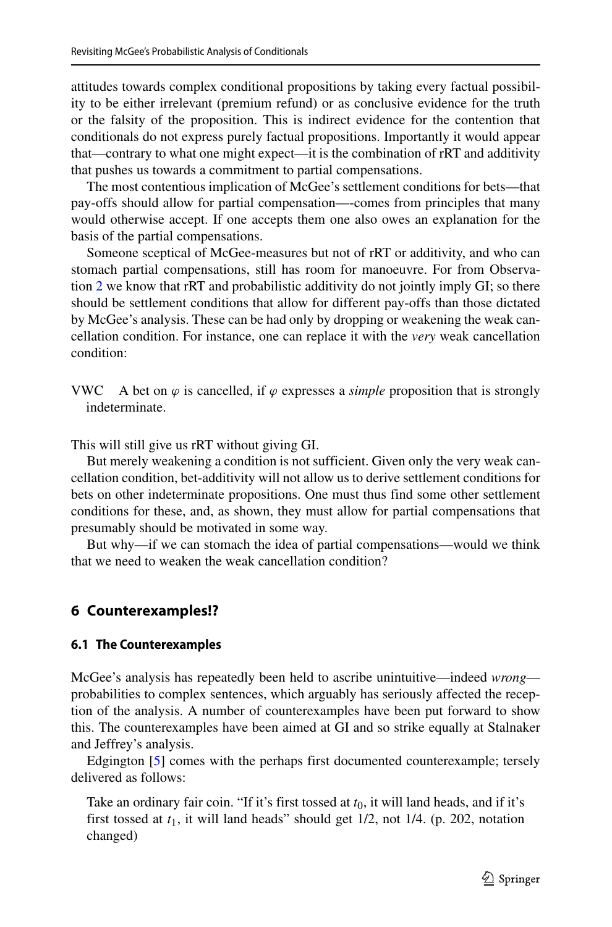attitudes towards complex conditional propositions by taking every factual possibility to be either irrelevant (premium refund) or as conclusive evidence for the truth or the falsity of the proposition. This is indirect evidence for the contention that conditionals do not express purely factual propositions. Importantly it would appear that—contrary to what one might expect—it is the combination of rRT and additivity that pushes us towards a commitment to partial compensations.

The most contentious implication of McGee's settlement conditions for bets—that pay-offs should allow for partial compensation—-comes from principles that many would otherwise accept. If one accepts them one also owes an explanation for the basis of the partial compensations.

Someone sceptical of McGee-measures but not of rRT or additivity, and who can stomach partial compensations, still has room for manoeuvre. For from Observation [2](#page-5-0) we know that rRT and probabilistic additivity do not jointly imply GI; so there should be settlement conditions that allow for different pay-offs than those dictated by McGee's analysis. These can be had only by dropping or weakening the weak cancellation condition. For instance, one can replace it with the *very* weak cancellation condition:

VWC A bet on  $\varphi$  is cancelled, if  $\varphi$  expresses a *simple* proposition that is strongly indeterminate.

This will still give us rRT without giving GI.

But merely weakening a condition is not sufficient. Given only the very weak cancellation condition, bet-additivity will not allow us to derive settlement conditions for bets on other indeterminate propositions. One must thus find some other settlement conditions for these, and, as shown, they must allow for partial compensations that presumably should be motivated in some way.

But why—if we can stomach the idea of partial compensations—would we think that we need to weaken the weak cancellation condition?

# **6 Counterexamples!?**

#### **6.1 The Counterexamples**

McGee's analysis has repeatedly been held to ascribe unintuitive—indeed *wrong* probabilities to complex sentences, which arguably has seriously affected the reception of the analysis. A number of counterexamples have been put forward to show this. The counterexamples have been aimed at GI and so strike equally at Stalnaker and Jeffrey's analysis.

Edgington [\[5\]](#page-43-28) comes with the perhaps first documented counterexample; tersely delivered as follows:

Take an ordinary fair coin. "If it's first tossed at  $t_0$ , it will land heads, and if it's first tossed at *t*1, it will land heads" should get 1/2, not 1/4. (p. 202, notation changed)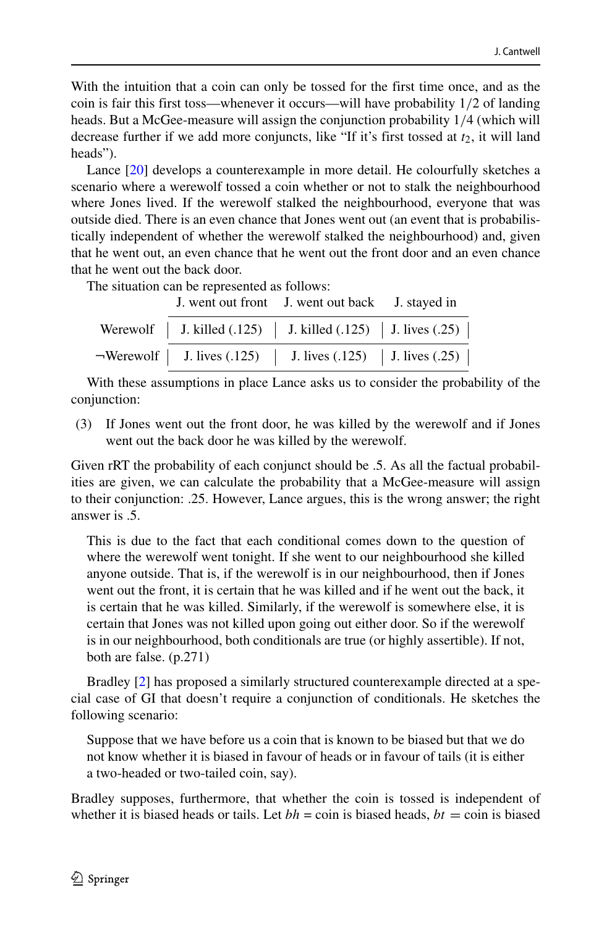With the intuition that a coin can only be tossed for the first time once, and as the coin is fair this first toss—whenever it occurs—will have probability 1*/*2 of landing heads. But a McGee-measure will assign the conjunction probability 1*/*4 (which will decrease further if we add more conjuncts, like "If it's first tossed at  $t_2$ , it will land heads").

Lance [\[20\]](#page-43-29) develops a counterexample in more detail. He colourfully sketches a scenario where a werewolf tossed a coin whether or not to stalk the neighbourhood where Jones lived. If the werewolf stalked the neighbourhood, everyone that was outside died. There is an even chance that Jones went out (an event that is probabilistically independent of whether the werewolf stalked the neighbourhood) and, given that he went out, an even chance that he went out the front door and an even chance that he went out the back door.

The situation can be represented as follows:

J. went out front J. went out back J. stayed in

| Werewolf   J. killed (.125)   J. killed (.125)   J. lives (.25)      |  |
|----------------------------------------------------------------------|--|
| $\neg$ Werewolf   J. lives (.125)   J. lives (.125)   J. lives (.25) |  |

With these assumptions in place Lance asks us to consider the probability of the conjunction:

(3) If Jones went out the front door, he was killed by the werewolf and if Jones went out the back door he was killed by the werewolf.

Given rRT the probability of each conjunct should be .5. As all the factual probabilities are given, we can calculate the probability that a McGee-measure will assign to their conjunction: .25. However, Lance argues, this is the wrong answer; the right answer is .5.

This is due to the fact that each conditional comes down to the question of where the werewolf went tonight. If she went to our neighbourhood she killed anyone outside. That is, if the werewolf is in our neighbourhood, then if Jones went out the front, it is certain that he was killed and if he went out the back, it is certain that he was killed. Similarly, if the werewolf is somewhere else, it is certain that Jones was not killed upon going out either door. So if the werewolf is in our neighbourhood, both conditionals are true (or highly assertible). If not, both are false. (p.271)

Bradley [\[2\]](#page-43-30) has proposed a similarly structured counterexample directed at a special case of GI that doesn't require a conjunction of conditionals. He sketches the following scenario:

Suppose that we have before us a coin that is known to be biased but that we do not know whether it is biased in favour of heads or in favour of tails (it is either a two-headed or two-tailed coin, say).

Bradley supposes, furthermore, that whether the coin is tossed is independent of whether it is biased heads or tails. Let  $bh = \text{coin}$  is biased heads,  $bt = \text{coin}$  is biased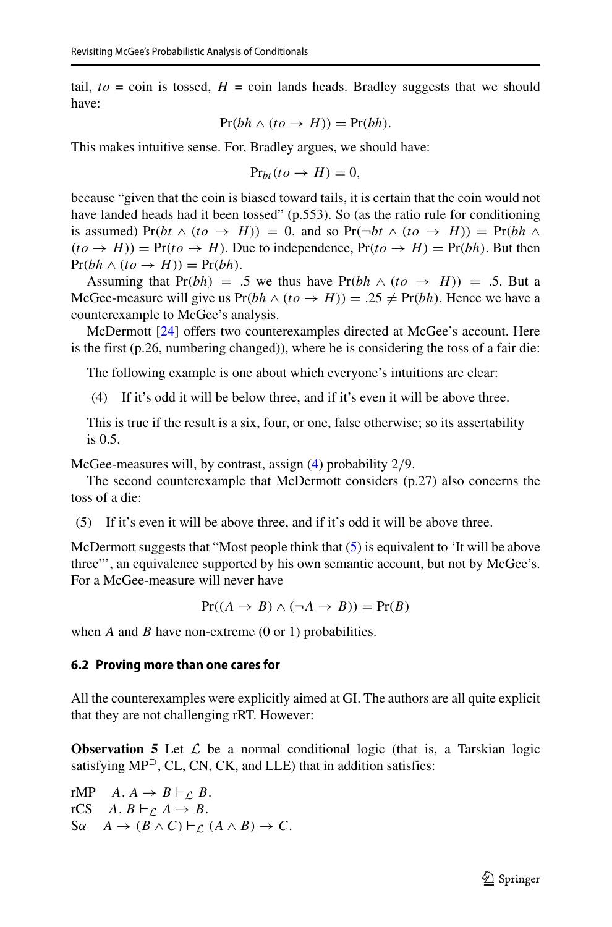tail,  $to = \text{coin}$  is tossed,  $H = \text{coin}$  lands heads. Bradley suggests that we should have:

$$
Pr(bh \land (to \rightarrow H)) = Pr(bh).
$$

This makes intuitive sense. For, Bradley argues, we should have:

$$
\Pr_{bt}(to \to H) = 0,
$$

because "given that the coin is biased toward tails, it is certain that the coin would not have landed heads had it been tossed" (p.553). So (as the ratio rule for conditioning is assumed) Pr(bt  $\wedge$  (to  $\rightarrow$  *H*)) = 0, and so Pr( $\neg bt \wedge (to \rightarrow H)$ ) = Pr(bh  $\wedge$  $(to \rightarrow H)$  = Pr $(to \rightarrow H)$ . Due to independence, Pr $(to \rightarrow H)$  = Pr $(bh)$ . But then  $Pr(bh \wedge (to \rightarrow H)) = Pr(bh).$ 

Assuming that Pr(bh) = .5 we thus have Pr(bh  $\land$  (to  $\rightarrow$  *H*)) = .5. But a McGee-measure will give us  $Pr(bh \wedge (to \rightarrow H)) = .25 \neq Pr(bh)$ . Hence we have a counterexample to McGee's analysis.

McDermott [\[24\]](#page-43-27) offers two counterexamples directed at McGee's account. Here is the first (p.26, numbering changed)), where he is considering the toss of a fair die:

<span id="page-22-0"></span>The following example is one about which everyone's intuitions are clear:

(4) If it's odd it will be below three, and if it's even it will be above three.

This is true if the result is a six, four, or one, false otherwise; so its assertability is 0.5.

McGee-measures will, by contrast, assign [\(4\)](#page-22-0) probability 2*/*9.

The second counterexample that McDermott considers (p.27) also concerns the toss of a die:

<span id="page-22-1"></span>(5) If it's even it will be above three, and if it's odd it will be above three.

McDermott suggests that "Most people think that  $(5)$  is equivalent to 'It will be above three"', an equivalence supported by his own semantic account, but not by McGee's. For a McGee-measure will never have

$$
Pr((A \to B) \land (\neg A \to B)) = Pr(B)
$$

when *A* and *B* have non-extreme (0 or 1) probabilities.

#### **6.2 Proving more than one cares for**

All the counterexamples were explicitly aimed at GI. The authors are all quite explicit that they are not challenging rRT. However:

**Observation 5** Let  $\mathcal{L}$  be a normal conditional logic (that is, a Tarskian logic satisfying MP<sup>⊃</sup>, CL, CN, CK, and LLE) that in addition satisfies:

rMP  $A, A \rightarrow B \vdash_C B$ . rCS  $A, B \vdash_{\mathcal{L}} A \rightarrow B$ .  $S\alpha$   $A \rightarrow (B \wedge C) \vdash_{\mathcal{L}} (A \wedge B) \rightarrow C$ .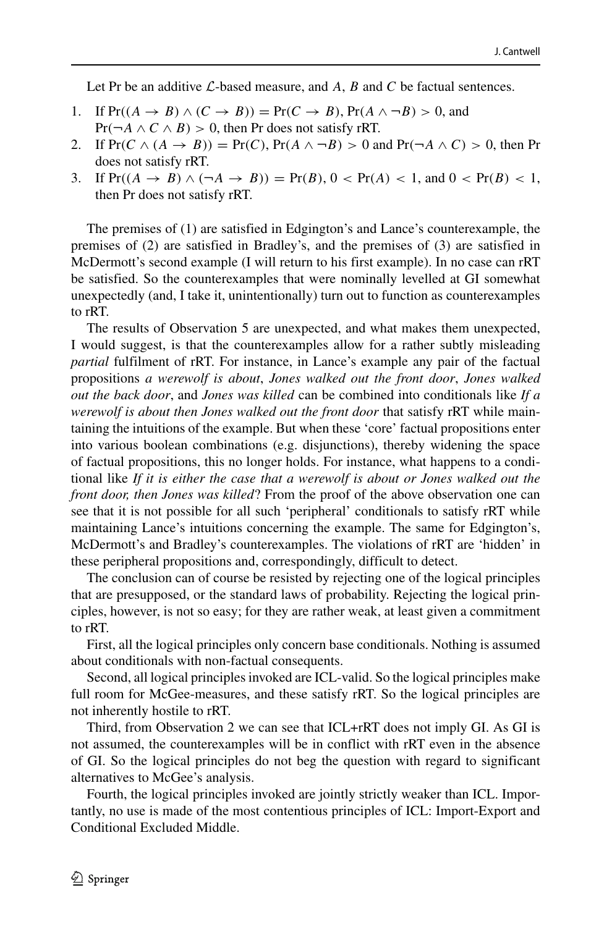Let Pr be an additive *L*-based measure, and *A*, *B* and *C* be factual sentences.

- 1. If  $Pr((A \rightarrow B) \land (C \rightarrow B)) = Pr(C \rightarrow B)$ ,  $Pr(A \land \neg B) > 0$ , and  $Pr(\neg A \land C \land B) > 0$ , then Pr does not satisfy rRT.
- 2. If  $Pr(C \wedge (A \rightarrow B)) = Pr(C)$ ,  $Pr(A \wedge \neg B) > 0$  and  $Pr(\neg A \wedge C) > 0$ , then Pr does not satisfy rRT.
- 3. If  $Pr((A \to B) \land (\neg A \to B)) = Pr(B), 0 < Pr(A) < 1, \text{ and } 0 < Pr(B) < 1,$ then Pr does not satisfy rRT.

The premises of (1) are satisfied in Edgington's and Lance's counterexample, the premises of (2) are satisfied in Bradley's, and the premises of (3) are satisfied in McDermott's second example (I will return to his first example). In no case can rRT be satisfied. So the counterexamples that were nominally levelled at GI somewhat unexpectedly (and, I take it, unintentionally) turn out to function as counterexamples to rRT.

The results of Observation 5 are unexpected, and what makes them unexpected, I would suggest, is that the counterexamples allow for a rather subtly misleading *partial* fulfilment of rRT. For instance, in Lance's example any pair of the factual propositions *a werewolf is about*, *Jones walked out the front door*, *Jones walked out the back door*, and *Jones was killed* can be combined into conditionals like *If a werewolf is about then Jones walked out the front door* that satisfy rRT while maintaining the intuitions of the example. But when these 'core' factual propositions enter into various boolean combinations (e.g. disjunctions), thereby widening the space of factual propositions, this no longer holds. For instance, what happens to a conditional like *If it is either the case that a werewolf is about or Jones walked out the front door, then Jones was killed*? From the proof of the above observation one can see that it is not possible for all such 'peripheral' conditionals to satisfy rRT while maintaining Lance's intuitions concerning the example. The same for Edgington's, McDermott's and Bradley's counterexamples. The violations of rRT are 'hidden' in these peripheral propositions and, correspondingly, difficult to detect.

The conclusion can of course be resisted by rejecting one of the logical principles that are presupposed, or the standard laws of probability. Rejecting the logical principles, however, is not so easy; for they are rather weak, at least given a commitment to rRT.

First, all the logical principles only concern base conditionals. Nothing is assumed about conditionals with non-factual consequents.

Second, all logical principles invoked are ICL-valid. So the logical principles make full room for McGee-measures, and these satisfy rRT. So the logical principles are not inherently hostile to rRT.

Third, from Observation 2 we can see that ICL+rRT does not imply GI. As GI is not assumed, the counterexamples will be in conflict with rRT even in the absence of GI. So the logical principles do not beg the question with regard to significant alternatives to McGee's analysis.

Fourth, the logical principles invoked are jointly strictly weaker than ICL. Importantly, no use is made of the most contentious principles of ICL: Import-Export and Conditional Excluded Middle.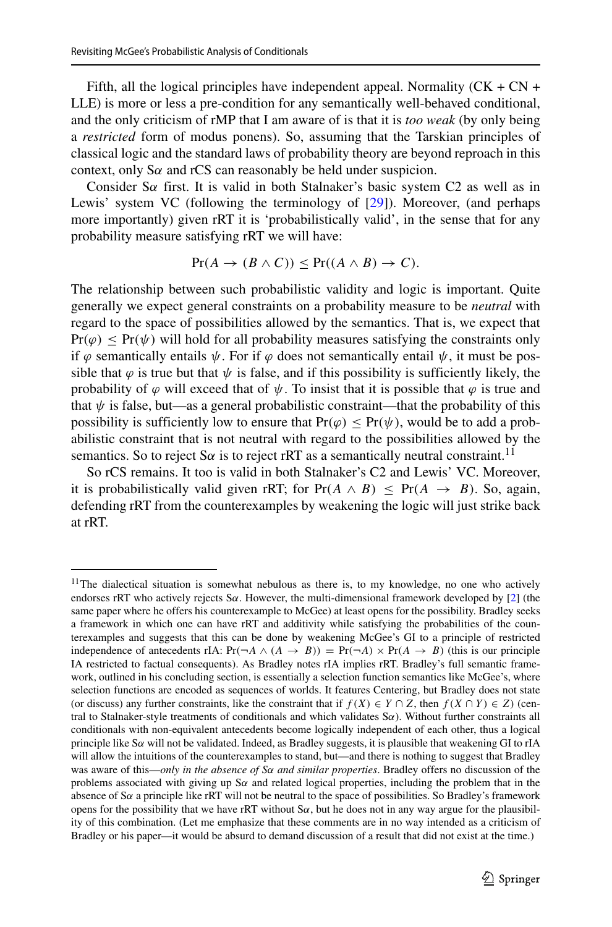Fifth, all the logical principles have independent appeal. Normality ( $CK + CN +$ LLE) is more or less a pre-condition for any semantically well-behaved conditional, and the only criticism of rMP that I am aware of is that it is *too weak* (by only being a *restricted* form of modus ponens). So, assuming that the Tarskian principles of classical logic and the standard laws of probability theory are beyond reproach in this context, only S*α* and rCS can reasonably be held under suspicion.

Consider S*α* first. It is valid in both Stalnaker's basic system C2 as well as in Lewis' system VC (following the terminology of [\[29\]](#page-43-31)). Moreover, (and perhaps more importantly) given rRT it is 'probabilistically valid', in the sense that for any probability measure satisfying rRT we will have:

$$
Pr(A \to (B \land C)) \le Pr((A \land B) \to C).
$$

The relationship between such probabilistic validity and logic is important. Quite generally we expect general constraints on a probability measure to be *neutral* with regard to the space of possibilities allowed by the semantics. That is, we expect that  $Pr(\varphi) \leq Pr(\psi)$  will hold for all probability measures satisfying the constraints only if *ϕ* semantically entails *ψ*. For if *ϕ* does not semantically entail *ψ*, it must be possible that  $\varphi$  is true but that  $\psi$  is false, and if this possibility is sufficiently likely, the probability of  $\varphi$  will exceed that of  $\psi$ . To insist that it is possible that  $\varphi$  is true and that  $\psi$  is false, but—as a general probabilistic constraint—that the probability of this possibility is sufficiently low to ensure that  $Pr(\varphi) \leq Pr(\psi)$ , would be to add a probabilistic constraint that is not neutral with regard to the possibilities allowed by the semantics. So to reject S $\alpha$  is to reject rRT as a semantically neutral constraint.<sup>11</sup>

So rCS remains. It too is valid in both Stalnaker's C2 and Lewis' VC. Moreover, it is probabilistically valid given rRT; for  $Pr(A \wedge B) < Pr(A \rightarrow B)$ . So, again, defending rRT from the counterexamples by weakening the logic will just strike back at rRT.

<span id="page-24-0"></span><sup>&</sup>lt;sup>11</sup>The dialectical situation is somewhat nebulous as there is, to my knowledge, no one who actively endorses rRT who actively rejects S*α*. However, the multi-dimensional framework developed by [\[2\]](#page-43-30) (the same paper where he offers his counterexample to McGee) at least opens for the possibility. Bradley seeks a framework in which one can have rRT and additivity while satisfying the probabilities of the counterexamples and suggests that this can be done by weakening McGee's GI to a principle of restricted independence of antecedents rIA:  $Pr(\neg A \land (A \rightarrow B)) = Pr(\neg A) \times Pr(A \rightarrow B)$  (this is our principle IA restricted to factual consequents). As Bradley notes rIA implies rRT. Bradley's full semantic framework, outlined in his concluding section, is essentially a selection function semantics like McGee's, where selection functions are encoded as sequences of worlds. It features Centering, but Bradley does not state (or discuss) any further constraints, like the constraint that if  $f(X) \in Y \cap Z$ , then  $f(X \cap Y) \in Z$ ) (central to Stalnaker-style treatments of conditionals and which validates S*α*). Without further constraints all conditionals with non-equivalent antecedents become logically independent of each other, thus a logical principle like S*α* will not be validated. Indeed, as Bradley suggests, it is plausible that weakening GI to rIA will allow the intuitions of the counterexamples to stand, but—and there is nothing to suggest that Bradley was aware of this—*only in the absence of Sα and similar properties*. Bradley offers no discussion of the problems associated with giving up S*α* and related logical properties, including the problem that in the absence of S*α* a principle like rRT will not be neutral to the space of possibilities. So Bradley's framework opens for the possibility that we have rRT without  $S\alpha$ , but he does not in any way argue for the plausibility of this combination. (Let me emphasize that these comments are in no way intended as a criticism of Bradley or his paper—it would be absurd to demand discussion of a result that did not exist at the time.)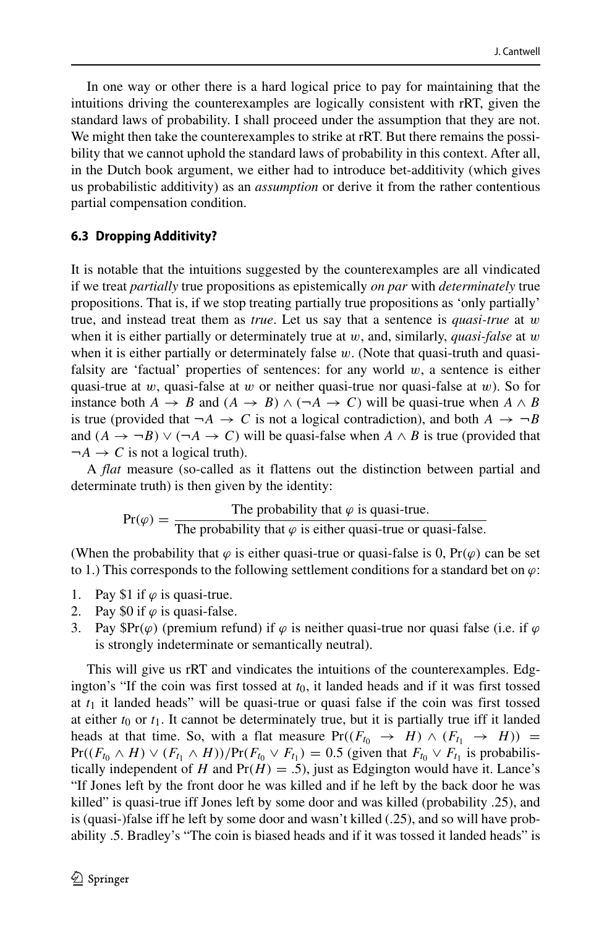In one way or other there is a hard logical price to pay for maintaining that the intuitions driving the counterexamples are logically consistent with rRT, given the standard laws of probability. I shall proceed under the assumption that they are not. We might then take the counterexamples to strike at rRT. But there remains the possibility that we cannot uphold the standard laws of probability in this context. After all, in the Dutch book argument, we either had to introduce bet-additivity (which gives us probabilistic additivity) as an *assumption* or derive it from the rather contentious partial compensation condition.

#### **6.3 Dropping Additivity?**

It is notable that the intuitions suggested by the counterexamples are all vindicated if we treat *partially* true propositions as epistemically *on par* with *determinately* true propositions. That is, if we stop treating partially true propositions as 'only partially' true, and instead treat them as *true*. Let us say that a sentence is *quasi-true* at *w* when it is either partially or determinately true at *w*, and, similarly, *quasi-false* at *w* when it is either partially or determinately false *w*. (Note that quasi-truth and quasifalsity are 'factual' properties of sentences: for any world *w*, a sentence is either quasi-true at *w*, quasi-false at *w* or neither quasi-true nor quasi-false at *w*). So for instance both *A*  $\rightarrow$  *B* and  $(A \rightarrow B) \land (\neg A \rightarrow C)$  will be quasi-true when  $A \land B$ is true (provided that  $\neg A \rightarrow C$  is not a logical contradiction), and both  $A \rightarrow \neg B$ and  $(A \rightarrow \neg B) \lor (\neg A \rightarrow C)$  will be quasi-false when  $A \land B$  is true (provided that  $\neg A \rightarrow C$  is not a logical truth).

A *flat* measure (so-called as it flattens out the distinction between partial and determinate truth) is then given by the identity:

$$
Pr(\varphi) = \frac{\text{The probability that } \varphi \text{ is quasi-true.}}{\text{The probability that } \varphi \text{ is either quasi-true or quasi-false.}}
$$

(When the probability that  $\varphi$  is either quasi-true or quasi-false is 0, Pr( $\varphi$ ) can be set to 1.) This corresponds to the following settlement conditions for a standard bet on  $\varphi$ :

- 1. Pay \$1 if  $\varphi$  is quasi-true.
- 2. Pay \$0 if  $\varphi$  is quasi-false.
- 3. Pay  $\mathbb{S}\text{Pr}(\varphi)$  (premium refund) if  $\varphi$  is neither quasi-true nor quasi false (i.e. if  $\varphi$ is strongly indeterminate or semantically neutral).

This will give us rRT and vindicates the intuitions of the counterexamples. Edgington's "If the coin was first tossed at  $t<sub>0</sub>$ , it landed heads and if it was first tossed at  $t_1$  it landed heads" will be quasi-true or quasi false if the coin was first tossed at either  $t_0$  or  $t_1$ . It cannot be determinately true, but it is partially true iff it landed heads at that time. So, with a flat measure  $Pr((F_{t_0} \rightarrow H) \land (F_{t_1} \rightarrow H))$  =  $Pr((F_{t_0} \wedge H) \vee (F_{t_1} \wedge H)) / Pr(F_{t_0} \vee F_{t_1}) = 0.5$  (given that  $F_{t_0} \vee F_{t_1}$  is probabilistically independent of *H* and  $Pr(H) = .5$ ), just as Edgington would have it. Lance's "If Jones left by the front door he was killed and if he left by the back door he was killed" is quasi-true iff Jones left by some door and was killed (probability .25), and is (quasi-)false iff he left by some door and wasn't killed (.25), and so will have probability .5. Bradley's "The coin is biased heads and if it was tossed it landed heads" is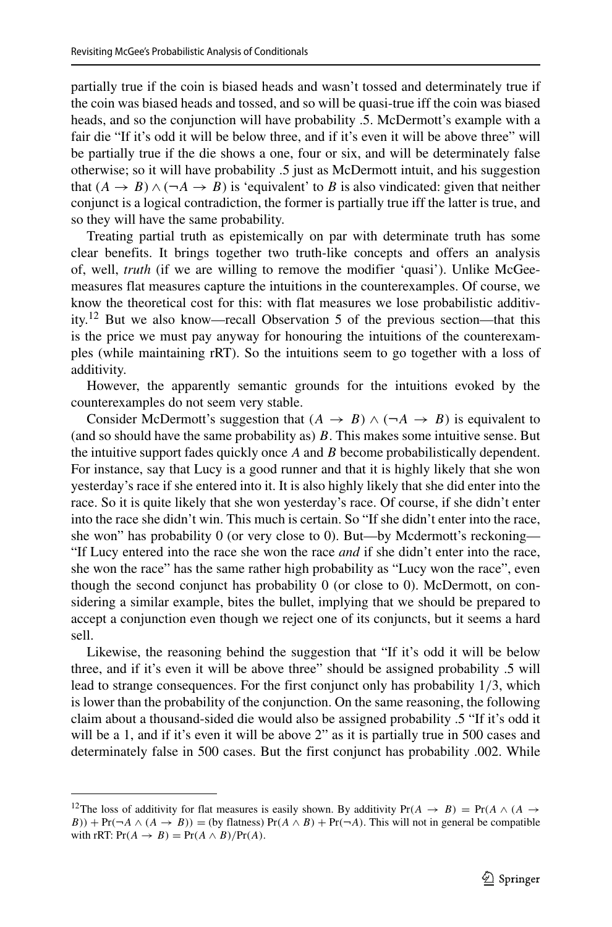partially true if the coin is biased heads and wasn't tossed and determinately true if the coin was biased heads and tossed, and so will be quasi-true iff the coin was biased heads, and so the conjunction will have probability .5. McDermott's example with a fair die "If it's odd it will be below three, and if it's even it will be above three" will be partially true if the die shows a one, four or six, and will be determinately false otherwise; so it will have probability .5 just as McDermott intuit, and his suggestion that  $(A \rightarrow B) \land (\neg A \rightarrow B)$  is 'equivalent' to *B* is also vindicated: given that neither conjunct is a logical contradiction, the former is partially true iff the latter is true, and so they will have the same probability.

Treating partial truth as epistemically on par with determinate truth has some clear benefits. It brings together two truth-like concepts and offers an analysis of, well, *truth* (if we are willing to remove the modifier 'quasi'). Unlike McGeemeasures flat measures capture the intuitions in the counterexamples. Of course, we know the theoretical cost for this: with flat measures we lose probabilistic additivity.[12](#page-26-0) But we also know—recall Observation 5 of the previous section—that this is the price we must pay anyway for honouring the intuitions of the counterexamples (while maintaining rRT). So the intuitions seem to go together with a loss of additivity.

However, the apparently semantic grounds for the intuitions evoked by the counterexamples do not seem very stable.

Consider McDermott's suggestion that  $(A \rightarrow B) \land (\neg A \rightarrow B)$  is equivalent to (and so should have the same probability as) *B*. This makes some intuitive sense. But the intuitive support fades quickly once *A* and *B* become probabilistically dependent. For instance, say that Lucy is a good runner and that it is highly likely that she won yesterday's race if she entered into it. It is also highly likely that she did enter into the race. So it is quite likely that she won yesterday's race. Of course, if she didn't enter into the race she didn't win. This much is certain. So "If she didn't enter into the race, she won" has probability 0 (or very close to 0). But—by Mcdermott's reckoning— "If Lucy entered into the race she won the race *and* if she didn't enter into the race, she won the race" has the same rather high probability as "Lucy won the race", even though the second conjunct has probability 0 (or close to 0). McDermott, on considering a similar example, bites the bullet, implying that we should be prepared to accept a conjunction even though we reject one of its conjuncts, but it seems a hard sell.

Likewise, the reasoning behind the suggestion that "If it's odd it will be below three, and if it's even it will be above three" should be assigned probability .5 will lead to strange consequences. For the first conjunct only has probability 1*/*3, which is lower than the probability of the conjunction. On the same reasoning, the following claim about a thousand-sided die would also be assigned probability .5 "If it's odd it will be a 1, and if it's even it will be above 2" as it is partially true in 500 cases and determinately false in 500 cases. But the first conjunct has probability .002. While

<span id="page-26-0"></span><sup>&</sup>lt;sup>12</sup>The loss of additivity for flat measures is easily shown. By additivity  $Pr(A \rightarrow B) = Pr(A \land (A \rightarrow B))$ *B*)) + Pr( $\neg A \land (A \rightarrow B)$ ) = (by flatness) Pr( $A \land B$ ) + Pr( $\neg A$ ). This will not in general be compatible with rRT:  $Pr(A \rightarrow B) = Pr(A \land B)/Pr(A)$ .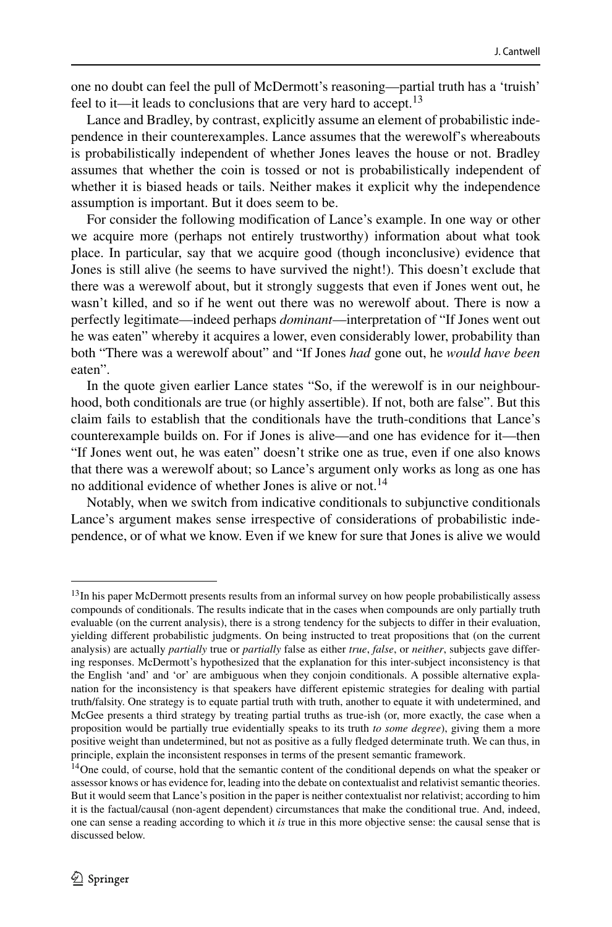one no doubt can feel the pull of McDermott's reasoning—partial truth has a 'truish' feel to it—it leads to conclusions that are very hard to accept.<sup>[13](#page-27-0)</sup>

Lance and Bradley, by contrast, explicitly assume an element of probabilistic independence in their counterexamples. Lance assumes that the werewolf's whereabouts is probabilistically independent of whether Jones leaves the house or not. Bradley assumes that whether the coin is tossed or not is probabilistically independent of whether it is biased heads or tails. Neither makes it explicit why the independence assumption is important. But it does seem to be.

For consider the following modification of Lance's example. In one way or other we acquire more (perhaps not entirely trustworthy) information about what took place. In particular, say that we acquire good (though inconclusive) evidence that Jones is still alive (he seems to have survived the night!). This doesn't exclude that there was a werewolf about, but it strongly suggests that even if Jones went out, he wasn't killed, and so if he went out there was no werewolf about. There is now a perfectly legitimate—indeed perhaps *dominant*—interpretation of "If Jones went out he was eaten" whereby it acquires a lower, even considerably lower, probability than both "There was a werewolf about" and "If Jones *had* gone out, he *would have been* eaten".

In the quote given earlier Lance states "So, if the werewolf is in our neighbourhood, both conditionals are true (or highly assertible). If not, both are false". But this claim fails to establish that the conditionals have the truth-conditions that Lance's counterexample builds on. For if Jones is alive—and one has evidence for it—then "If Jones went out, he was eaten" doesn't strike one as true, even if one also knows that there was a werewolf about; so Lance's argument only works as long as one has no additional evidence of whether Jones is alive or not.<sup>[14](#page-27-1)</sup>

Notably, when we switch from indicative conditionals to subjunctive conditionals Lance's argument makes sense irrespective of considerations of probabilistic independence, or of what we know. Even if we knew for sure that Jones is alive we would

<span id="page-27-0"></span><sup>&</sup>lt;sup>13</sup>In his paper McDermott presents results from an informal survey on how people probabilistically assess compounds of conditionals. The results indicate that in the cases when compounds are only partially truth evaluable (on the current analysis), there is a strong tendency for the subjects to differ in their evaluation, yielding different probabilistic judgments. On being instructed to treat propositions that (on the current analysis) are actually *partially* true or *partially* false as either *true*, *false*, or *neither*, subjects gave differing responses. McDermott's hypothesized that the explanation for this inter-subject inconsistency is that the English 'and' and 'or' are ambiguous when they conjoin conditionals. A possible alternative explanation for the inconsistency is that speakers have different epistemic strategies for dealing with partial truth/falsity. One strategy is to equate partial truth with truth, another to equate it with undetermined, and McGee presents a third strategy by treating partial truths as true-ish (or, more exactly, the case when a proposition would be partially true evidentially speaks to its truth *to some degree*), giving them a more positive weight than undetermined, but not as positive as a fully fledged determinate truth. We can thus, in principle, explain the inconsistent responses in terms of the present semantic framework.

<span id="page-27-1"></span><sup>&</sup>lt;sup>14</sup>One could, of course, hold that the semantic content of the conditional depends on what the speaker or assessor knows or has evidence for, leading into the debate on contextualist and relativist semantic theories. But it would seem that Lance's position in the paper is neither contextualist nor relativist; according to him it is the factual/causal (non-agent dependent) circumstances that make the conditional true. And, indeed, one can sense a reading according to which it *is* true in this more objective sense: the causal sense that is discussed below.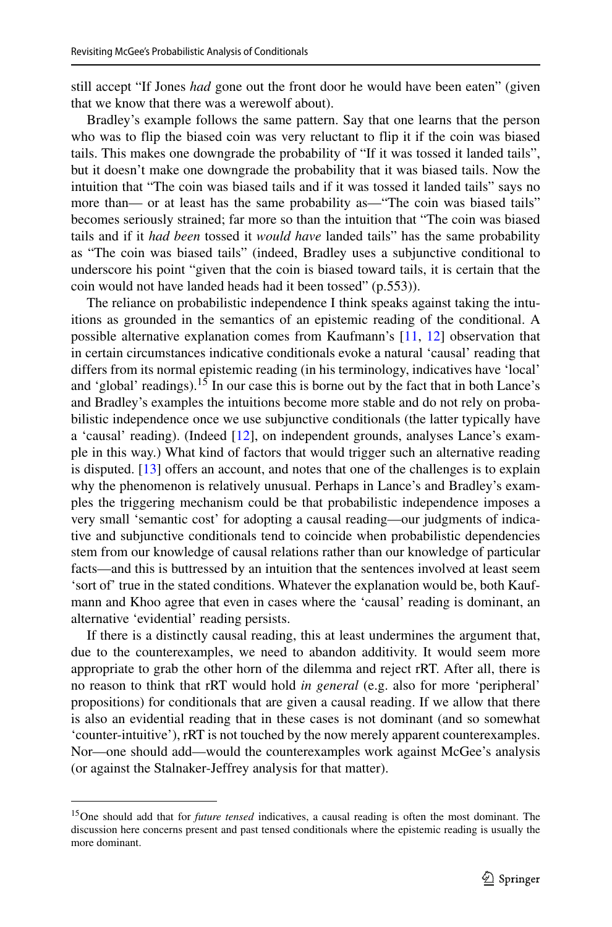still accept "If Jones *had* gone out the front door he would have been eaten" (given that we know that there was a werewolf about).

Bradley's example follows the same pattern. Say that one learns that the person who was to flip the biased coin was very reluctant to flip it if the coin was biased tails. This makes one downgrade the probability of "If it was tossed it landed tails", but it doesn't make one downgrade the probability that it was biased tails. Now the intuition that "The coin was biased tails and if it was tossed it landed tails" says no more than— or at least has the same probability as—"The coin was biased tails" becomes seriously strained; far more so than the intuition that "The coin was biased tails and if it *had been* tossed it *would have* landed tails" has the same probability as "The coin was biased tails" (indeed, Bradley uses a subjunctive conditional to underscore his point "given that the coin is biased toward tails, it is certain that the coin would not have landed heads had it been tossed" (p.553)).

The reliance on probabilistic independence I think speaks against taking the intuitions as grounded in the semantics of an epistemic reading of the conditional. A possible alternative explanation comes from Kaufmann's [\[11,](#page-43-0) [12\]](#page-43-12) observation that in certain circumstances indicative conditionals evoke a natural 'causal' reading that differs from its normal epistemic reading (in his terminology, indicatives have 'local' and 'global' readings).<sup>[15](#page-28-0)</sup> In our case this is borne out by the fact that in both Lance's and Bradley's examples the intuitions become more stable and do not rely on probabilistic independence once we use subjunctive conditionals (the latter typically have a 'causal' reading). (Indeed [\[12\]](#page-43-12), on independent grounds, analyses Lance's example in this way.) What kind of factors that would trigger such an alternative reading is disputed. [\[13\]](#page-43-1) offers an account, and notes that one of the challenges is to explain why the phenomenon is relatively unusual. Perhaps in Lance's and Bradley's examples the triggering mechanism could be that probabilistic independence imposes a very small 'semantic cost' for adopting a causal reading—our judgments of indicative and subjunctive conditionals tend to coincide when probabilistic dependencies stem from our knowledge of causal relations rather than our knowledge of particular facts—and this is buttressed by an intuition that the sentences involved at least seem 'sort of' true in the stated conditions. Whatever the explanation would be, both Kaufmann and Khoo agree that even in cases where the 'causal' reading is dominant, an alternative 'evidential' reading persists.

If there is a distinctly causal reading, this at least undermines the argument that, due to the counterexamples, we need to abandon additivity. It would seem more appropriate to grab the other horn of the dilemma and reject rRT. After all, there is no reason to think that rRT would hold *in general* (e.g. also for more 'peripheral' propositions) for conditionals that are given a causal reading. If we allow that there is also an evidential reading that in these cases is not dominant (and so somewhat 'counter-intuitive'), rRT is not touched by the now merely apparent counterexamples. Nor—one should add—would the counterexamples work against McGee's analysis (or against the Stalnaker-Jeffrey analysis for that matter).

<span id="page-28-0"></span><sup>15</sup>One should add that for *future tensed* indicatives, a causal reading is often the most dominant. The discussion here concerns present and past tensed conditionals where the epistemic reading is usually the more dominant.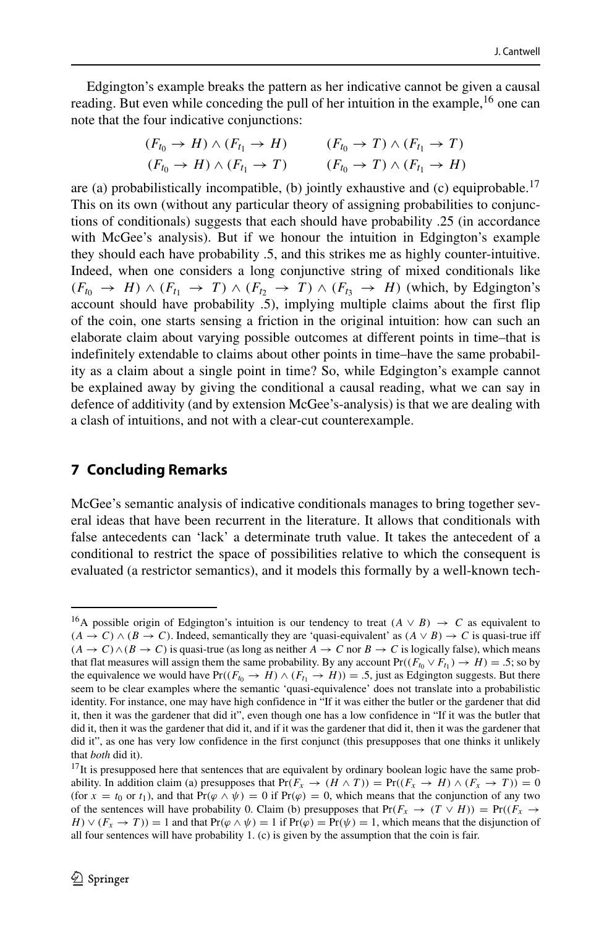Edgington's example breaks the pattern as her indicative cannot be given a causal reading. But even while conceding the pull of her intuition in the example,  $^{16}$  $^{16}$  $^{16}$  one can note that the four indicative conjunctions:

$$
(F_{t_0} \to H) \land (F_{t_1} \to H) \qquad (F_{t_0} \to T) \land (F_{t_1} \to T)
$$
  

$$
(F_{t_0} \to H) \land (F_{t_1} \to T) \qquad (F_{t_0} \to T) \land (F_{t_1} \to H)
$$

are (a) probabilistically incompatible, (b) jointly exhaustive and (c) equiprobable.<sup>17</sup> This on its own (without any particular theory of assigning probabilities to conjunctions of conditionals) suggests that each should have probability .25 (in accordance with McGee's analysis). But if we honour the intuition in Edgington's example they should each have probability .5, and this strikes me as highly counter-intuitive. Indeed, when one considers a long conjunctive string of mixed conditionals like  $(F_{t_0} \rightarrow H) \wedge (F_{t_1} \rightarrow T) \wedge (F_{t_2} \rightarrow T) \wedge (F_{t_3} \rightarrow H)$  (which, by Edgington's account should have probability .5), implying multiple claims about the first flip of the coin, one starts sensing a friction in the original intuition: how can such an elaborate claim about varying possible outcomes at different points in time–that is indefinitely extendable to claims about other points in time–have the same probability as a claim about a single point in time? So, while Edgington's example cannot be explained away by giving the conditional a causal reading, what we can say in defence of additivity (and by extension McGee's-analysis) is that we are dealing with a clash of intuitions, and not with a clear-cut counterexample.

# **7 Concluding Remarks**

McGee's semantic analysis of indicative conditionals manages to bring together several ideas that have been recurrent in the literature. It allows that conditionals with false antecedents can 'lack' a determinate truth value. It takes the antecedent of a conditional to restrict the space of possibilities relative to which the consequent is evaluated (a restrictor semantics), and it models this formally by a well-known tech-

<span id="page-29-0"></span><sup>&</sup>lt;sup>16</sup>A possible origin of Edgington's intuition is our tendency to treat  $(A \vee B) \rightarrow C$  as equivalent to  $(A \rightarrow C) \land (B \rightarrow C)$ . Indeed, semantically they are 'quasi-equivalent' as  $(A \lor B) \rightarrow C$  is quasi-true iff  $(A \to C) \land (B \to C)$  is quasi-true (as long as neither  $A \to C$  nor  $B \to C$  is logically false), which means that flat measures will assign them the same probability. By any account  $Pr((F_{t_0} \vee F_{t_1}) \rightarrow H) = .5$ ; so by the equivalence we would have  $Pr((F_{t_0} \to H) \land (F_{t_1} \to H)) = .5$ , just as Edgington suggests. But there seem to be clear examples where the semantic 'quasi-equivalence' does not translate into a probabilistic identity. For instance, one may have high confidence in "If it was either the butler or the gardener that did it, then it was the gardener that did it", even though one has a low confidence in "If it was the butler that did it, then it was the gardener that did it, and if it was the gardener that did it, then it was the gardener that did it", as one has very low confidence in the first conjunct (this presupposes that one thinks it unlikely that *both* did it).

<span id="page-29-1"></span> $17$ It is presupposed here that sentences that are equivalent by ordinary boolean logic have the same probability. In addition claim (a) presupposes that  $Pr(F_x \to (H \land T)) = Pr((F_x \to H) \land (F_x \to T)) = 0$ (for  $x = t_0$  or  $t_1$ ), and that Pr $(\varphi \wedge \psi) = 0$  if Pr $(\varphi) = 0$ , which means that the conjunction of any two of the sentences will have probability 0. Claim (b) presupposes that  $Pr(F_x \rightarrow (T \vee H)) = Pr((F_x \rightarrow$  $H(y) \vee (F_x \rightarrow T) = 1$  and that Pr $(\varphi \wedge \psi) = 1$  if Pr $(\varphi) = \Pr(\psi) = 1$ , which means that the disjunction of all four sentences will have probability 1. (c) is given by the assumption that the coin is fair.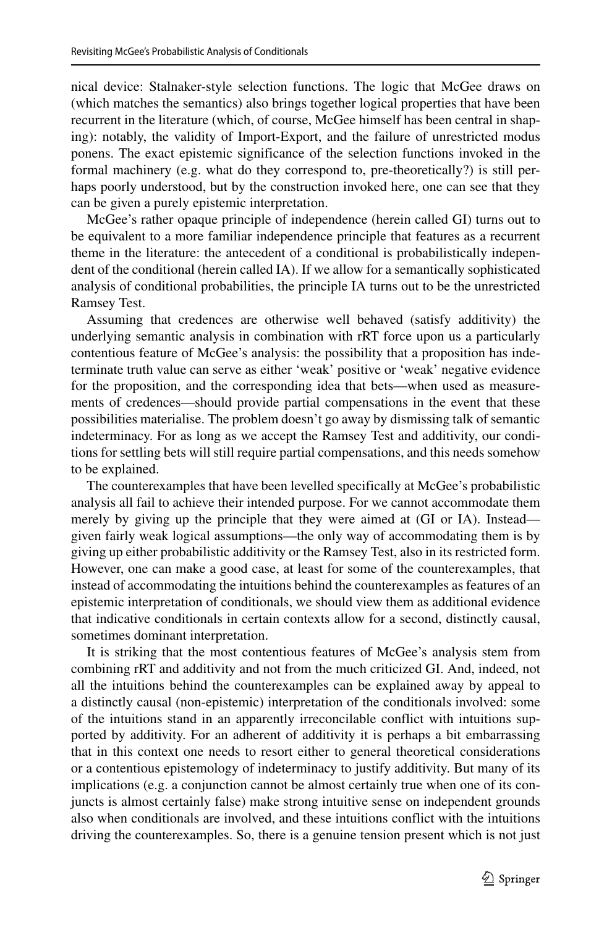nical device: Stalnaker-style selection functions. The logic that McGee draws on (which matches the semantics) also brings together logical properties that have been recurrent in the literature (which, of course, McGee himself has been central in shaping): notably, the validity of Import-Export, and the failure of unrestricted modus ponens. The exact epistemic significance of the selection functions invoked in the formal machinery (e.g. what do they correspond to, pre-theoretically?) is still perhaps poorly understood, but by the construction invoked here, one can see that they can be given a purely epistemic interpretation.

McGee's rather opaque principle of independence (herein called GI) turns out to be equivalent to a more familiar independence principle that features as a recurrent theme in the literature: the antecedent of a conditional is probabilistically independent of the conditional (herein called IA). If we allow for a semantically sophisticated analysis of conditional probabilities, the principle IA turns out to be the unrestricted Ramsey Test.

Assuming that credences are otherwise well behaved (satisfy additivity) the underlying semantic analysis in combination with rRT force upon us a particularly contentious feature of McGee's analysis: the possibility that a proposition has indeterminate truth value can serve as either 'weak' positive or 'weak' negative evidence for the proposition, and the corresponding idea that bets—when used as measurements of credences—should provide partial compensations in the event that these possibilities materialise. The problem doesn't go away by dismissing talk of semantic indeterminacy. For as long as we accept the Ramsey Test and additivity, our conditions for settling bets will still require partial compensations, and this needs somehow to be explained.

The counterexamples that have been levelled specifically at McGee's probabilistic analysis all fail to achieve their intended purpose. For we cannot accommodate them merely by giving up the principle that they were aimed at (GI or IA). Instead given fairly weak logical assumptions—the only way of accommodating them is by giving up either probabilistic additivity or the Ramsey Test, also in its restricted form. However, one can make a good case, at least for some of the counterexamples, that instead of accommodating the intuitions behind the counterexamples as features of an epistemic interpretation of conditionals, we should view them as additional evidence that indicative conditionals in certain contexts allow for a second, distinctly causal, sometimes dominant interpretation.

It is striking that the most contentious features of McGee's analysis stem from combining rRT and additivity and not from the much criticized GI. And, indeed, not all the intuitions behind the counterexamples can be explained away by appeal to a distinctly causal (non-epistemic) interpretation of the conditionals involved: some of the intuitions stand in an apparently irreconcilable conflict with intuitions supported by additivity. For an adherent of additivity it is perhaps a bit embarrassing that in this context one needs to resort either to general theoretical considerations or a contentious epistemology of indeterminacy to justify additivity. But many of its implications (e.g. a conjunction cannot be almost certainly true when one of its conjuncts is almost certainly false) make strong intuitive sense on independent grounds also when conditionals are involved, and these intuitions conflict with the intuitions driving the counterexamples. So, there is a genuine tension present which is not just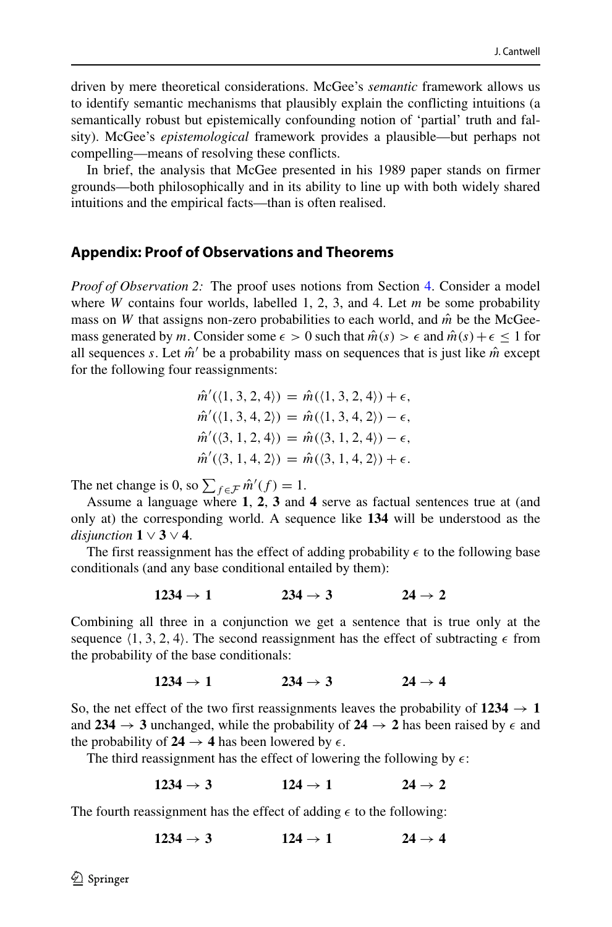driven by mere theoretical considerations. McGee's *semantic* framework allows us to identify semantic mechanisms that plausibly explain the conflicting intuitions (a semantically robust but epistemically confounding notion of 'partial' truth and falsity). McGee's *epistemological* framework provides a plausible—but perhaps not compelling—means of resolving these conflicts.

In brief, the analysis that McGee presented in his 1989 paper stands on firmer grounds—both philosophically and in its ability to line up with both widely shared intuitions and the empirical facts—than is often realised.

## **Appendix: Proof of Observations and Theorems**

*Proof of Observation 2:* The proof uses notions from Section [4.](#page-8-0) Consider a model where *W* contains four worlds, labelled 1, 2, 3, and 4. Let *m* be some probability mass on *W* that assigns non-zero probabilities to each world, and  $\hat{m}$  be the McGeemass generated by *m*. Consider some  $\epsilon > 0$  such that  $\hat{m}(s) > \epsilon$  and  $\hat{m}(s) + \epsilon \leq 1$  for all sequences *s*. Let  $\hat{m}'$  be a probability mass on sequences that is just like  $\hat{m}$  except for the following four reassignments:

$$
\hat{m}'(\langle 1, 3, 2, 4 \rangle) = \hat{m}(\langle 1, 3, 2, 4 \rangle) + \epsilon,
$$
  

$$
\hat{m}'(\langle 1, 3, 4, 2 \rangle) = \hat{m}(\langle 1, 3, 4, 2 \rangle) - \epsilon,
$$
  

$$
\hat{m}'(\langle 3, 1, 2, 4 \rangle) = \hat{m}(\langle 3, 1, 2, 4 \rangle) - \epsilon,
$$
  

$$
\hat{m}'(\langle 3, 1, 4, 2 \rangle) = \hat{m}(\langle 3, 1, 4, 2 \rangle) + \epsilon.
$$

The net change is 0, so  $\sum_{f \in \mathcal{F}} \hat{m}'(f) = 1$ .

Assume a language where **1**, **2**, **3** and **4** serve as factual sentences true at (and only at) the corresponding world. A sequence like **134** will be understood as the *disjunction*  $1 \vee 3 \vee 4$ .

The first reassignment has the effect of adding probability  $\epsilon$  to the following base conditionals (and any base conditional entailed by them):

$$
1234 \rightarrow 1 \hspace{1.5cm} 234 \rightarrow 3 \hspace{1.5cm} 24 \rightarrow 2
$$

Combining all three in a conjunction we get a sentence that is true only at the sequence  $\langle 1, 3, 2, 4 \rangle$ . The second reassignment has the effect of subtracting  $\epsilon$  from the probability of the base conditionals:

$$
1234 \rightarrow 1 \hspace{1.5cm} 234 \rightarrow 3 \hspace{1.5cm} 24 \rightarrow 4
$$

So, the net effect of the two first reassignments leaves the probability of  $1234 \rightarrow 1$ and  $234 \rightarrow 3$  unchanged, while the probability of  $24 \rightarrow 2$  has been raised by  $\epsilon$  and the probability of  $24 \rightarrow 4$  has been lowered by  $\epsilon$ .

The third reassignment has the effect of lowering the following by  $\epsilon$ :

 $1234 \rightarrow 3$   $124 \rightarrow 1$   $24 \rightarrow 2$ 

The fourth reassignment has the effect of adding  $\epsilon$  to the following:

$$
1234 \rightarrow 3 \hspace{1.5cm} 124 \rightarrow 1 \hspace{1.5cm} 24 \rightarrow 4
$$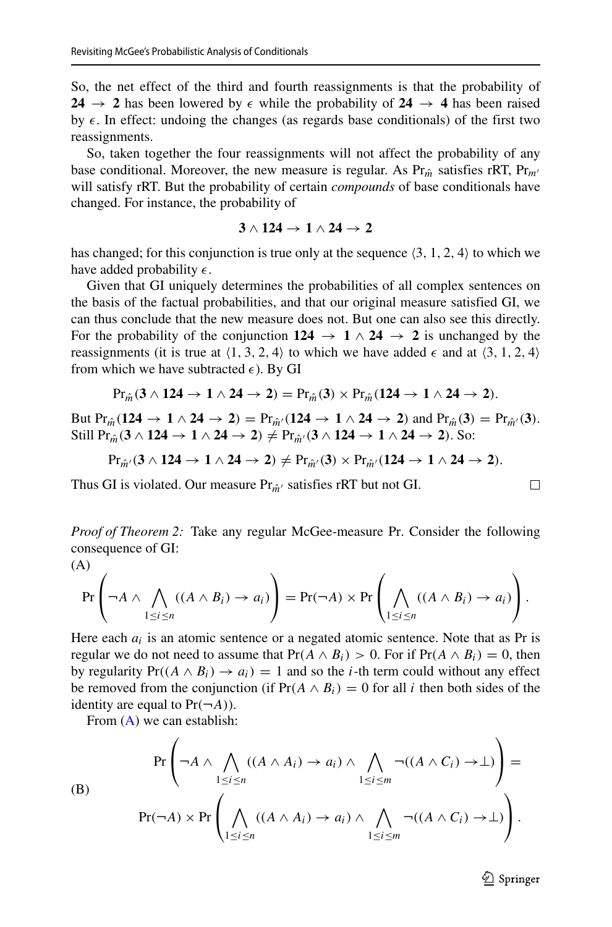So, the net effect of the third and fourth reassignments is that the probability of **24**  $\rightarrow$  **2** has been lowered by  $\epsilon$  while the probability of **24**  $\rightarrow$  **4** has been raised by  $\epsilon$ . In effect: undoing the changes (as regards base conditionals) of the first two reassignments.

So, taken together the four reassignments will not affect the probability of any base conditional. Moreover, the new measure is regular. As  $Pr_{\hat{m}}$  satisfies rRT,  $Pr_{m'}$ will satisfy rRT. But the probability of certain *compounds* of base conditionals have changed. For instance, the probability of

$$
3 \wedge 124 \rightarrow 1 \wedge 24 \rightarrow 2
$$

has changed; for this conjunction is true only at the sequence  $\langle 3, 1, 2, 4 \rangle$  to which we have added probability  $\epsilon$ .

Given that GI uniquely determines the probabilities of all complex sentences on the basis of the factual probabilities, and that our original measure satisfied GI, we can thus conclude that the new measure does not. But one can also see this directly. For the probability of the conjunction  $124 \rightarrow 1 \wedge 24 \rightarrow 2$  is unchanged by the reassignments (it is true at  $\langle 1, 3, 2, 4 \rangle$  to which we have added  $\epsilon$  and at  $\langle 3, 1, 2, 4 \rangle$ from which we have subtracted  $\epsilon$ ). By GI

$$
\mathrm{Pr}_{\hat{m}}(3\wedge 124 \rightarrow 1\wedge 24 \rightarrow 2)=\mathrm{Pr}_{\hat{m}}(3)\times \mathrm{Pr}_{\hat{m}}(124 \rightarrow 1\wedge 24 \rightarrow 2).
$$

But  $Pr_{\hat{m}}(124 \rightarrow 1 \wedge 24 \rightarrow 2) = Pr_{\hat{m}'}(124 \rightarrow 1 \wedge 24 \rightarrow 2)$  and  $Pr_{\hat{m}}(3) = Pr_{\hat{m}'}(3)$ . Still Pr<sub>*m*</sub><sup> $\hat{i}$ </sup> (3 ∧ **124** → **1** ∧ **24** → **2**)  $\neq$  Pr<sub>*m*<sup> $\hat{i}$ </sup> (3 ∧ **124** → **1** ∧ **24** → **2**). So:</sub>

 $Pr_{\hat{m}'}(3 \wedge 124 \rightarrow 1 \wedge 24 \rightarrow 2) \neq Pr_{\hat{m}'}(3) \times Pr_{\hat{m}'}(124 \rightarrow 1 \wedge 24 \rightarrow 2)$ .

Thus GI is violated. Our measure  $Pr_{\hat{m}'}$  satisfies rRT but not GI.

*Proof of Theorem 2:* Take any regular McGee-measure Pr. Consider the following consequence of GI:

<span id="page-32-0"></span>(A)  
\n
$$
\Pr\left(\neg A \land \bigwedge_{1 \leq i \leq n} ((A \land B_i) \to a_i)\right) = \Pr(\neg A) \times \Pr\left(\bigwedge_{1 \leq i \leq n} ((A \land B_i) \to a_i)\right)
$$

Here each  $a_i$  is an atomic sentence or a negated atomic sentence. Note that as Pr is regular we do not need to assume that  $Pr(A \wedge B_i) > 0$ . For if  $Pr(A \wedge B_i) = 0$ , then by regularity  $Pr((A \wedge B_i) \rightarrow a_i) = 1$  and so the *i*-th term could without any effect be removed from the conjunction (if  $Pr(A \wedge B_i) = 0$  for all *i* then both sides of the identity are equal to  $Pr(\neg A)$ ).

From [\(A\)](#page-32-0) we can establish:

<span id="page-32-1"></span>(B)  
\n
$$
\Pr\left(\neg A \land \bigwedge_{1 \leq i \leq n} ((A \land A_i) \to a_i) \land \bigwedge_{1 \leq i \leq m} \neg((A \land C_i) \to \bot)\right) =
$$
\n
$$
\Pr(\neg A) \times \Pr\left(\bigwedge_{1 \leq i \leq n} ((A \land A_i) \to a_i) \land \bigwedge_{1 \leq i \leq m} \neg((A \land C_i) \to \bot)\right).
$$

 $\textcircled{2}$  Springer

⎞  $\vert \cdot \vert$ 

 $\Box$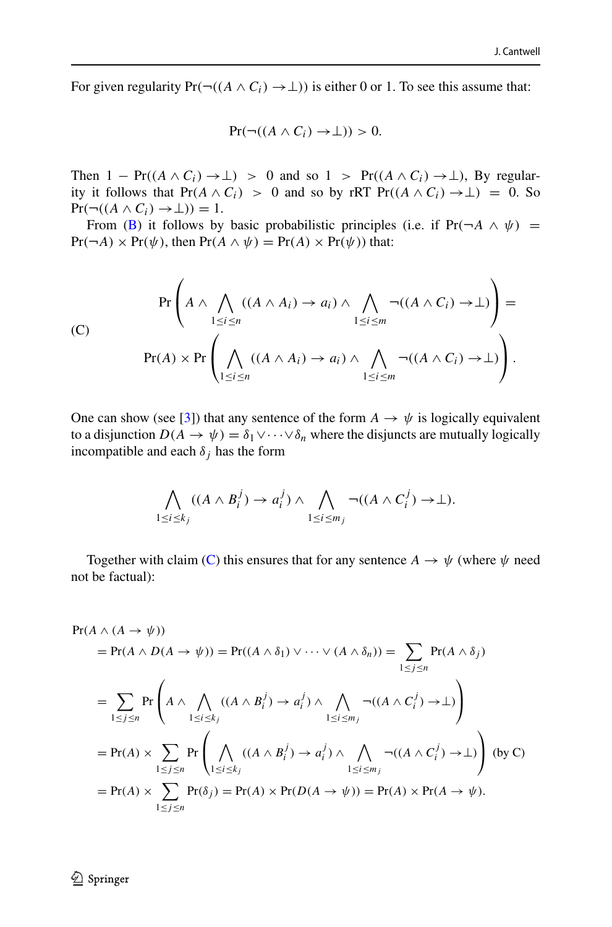For given regularity  $Pr(\neg((A \land C_i) \rightarrow \bot))$  is either 0 or 1. To see this assume that:

$$
Pr(\neg((A \land C_i) \to \bot)) > 0.
$$

Then  $1 - \Pr((A \wedge C_i) \rightarrow \perp) > 0$  and so  $1 > \Pr((A \wedge C_i) \rightarrow \perp)$ , By regularity it follows that  $Pr(A \wedge C_i) > 0$  and so by rRT  $Pr((A \wedge C_i) \rightarrow \bot) = 0$ . So  $Pr(\neg((A \land C_i) \rightarrow \bot)) = 1.$ 

From [\(B\)](#page-32-1) it follows by basic probabilistic principles (i.e. if  $Pr(\neg A \land \psi)$  =  $Pr(\neg A) \times Pr(\psi)$ , then  $Pr(A \land \psi) = Pr(A) \times Pr(\psi)$  that:

<span id="page-33-0"></span>(C)  
\n
$$
\Pr\left(A \wedge \bigwedge_{1 \leq i \leq n} ((A \wedge A_i) \to a_i) \wedge \bigwedge_{1 \leq i \leq m} \neg((A \wedge C_i) \to \bot)\right) =
$$
\n
$$
\Pr(A) \times \Pr\left(\bigwedge_{1 \leq i \leq n} ((A \wedge A_i) \to a_i) \wedge \bigwedge_{1 \leq i \leq m} \neg((A \wedge C_i) \to \bot)\right).
$$

One can show (see [\[3\]](#page-43-7)) that any sentence of the form  $A \rightarrow \psi$  is logically equivalent to a disjunction  $D(A \to \psi) = \delta_1 \vee \cdots \vee \delta_n$  where the disjuncts are mutually logically incompatible and each  $\delta_j$  has the form

$$
\bigwedge_{1 \leq i \leq k_j} ((A \wedge B_i^j) \rightarrow a_i^j) \wedge \bigwedge_{1 \leq i \leq m_j} \neg ((A \wedge C_i^j) \rightarrow \bot).
$$

Together with claim [\(C\)](#page-33-0) this ensures that for any sentence  $A \rightarrow \psi$  (where  $\psi$  need not be factual):

$$
Pr(A \wedge (A \rightarrow \psi))
$$
  
=  $Pr(A \wedge D(A \rightarrow \psi))$  =  $Pr((A \wedge \delta_1) \vee \cdots \vee (A \wedge \delta_n))$  =  $\sum_{1 \le j \le n} Pr(A \wedge \delta_j)$   
=  $\sum_{1 \le j \le n} Pr\left(A \wedge \bigwedge_{1 \le i \le k_j} ((A \wedge B_i^j) \rightarrow a_i^j) \wedge \bigwedge_{1 \le i \le m_j} \neg((A \wedge C_i^j) \rightarrow \bot)\right)$   
=  $Pr(A) \times \sum_{1 \le j \le n} Pr\left(\bigwedge_{1 \le i \le k_j} ((A \wedge B_i^j) \rightarrow a_i^j) \wedge \bigwedge_{1 \le i \le m_j} \neg((A \wedge C_i^j) \rightarrow \bot)\right)$  (by C)  
=  $Pr(A) \times \sum_{1 \le j \le n} Pr(\delta_j) = Pr(A) \times Pr(D(A \rightarrow \psi)) = Pr(A) \times Pr(A \rightarrow \psi).$ 

 $\textcircled{2}$  Springer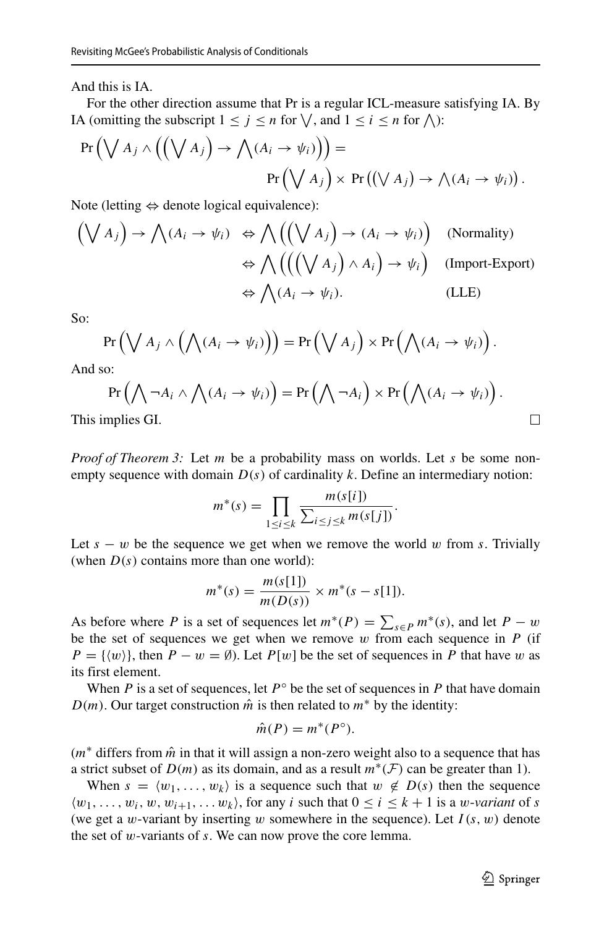And this is IA.

For the other direction assume that Pr is a regular ICL-measure satisfying IA. By IA (omitting the subscript  $1 \leq j \leq n$  for  $\setminus$ , and  $1 \leq i \leq n$  for  $\setminus$ ):

$$
Pr(\bigvee A_j \wedge ((\bigvee A_j) \rightarrow \bigwedge (A_i \rightarrow \psi_i))\big) =
$$
  
 
$$
Pr(\bigvee A_j) \times Pr((\bigvee A_j) \rightarrow \bigwedge (A_i \rightarrow \psi_i)).
$$

Note (letting  $\Leftrightarrow$  denote logical equivalence):

$$
(\bigvee A_j) \to \bigwedge (A_i \to \psi_i) \iff \bigwedge \left( (\bigvee A_j) \to (A_i \to \psi_i) \right) \quad \text{(Normally)}
$$
\n
$$
\Leftrightarrow \bigwedge \left( ((\bigvee A_j) \land A_i \right) \to \psi_i \right) \quad \text{(Import-Export)}
$$
\n
$$
\Leftrightarrow \bigwedge (A_i \to \psi_i).
$$
\n(LLE)

So:

$$
\Pr\left(\bigvee A_j \wedge \left(\bigwedge (A_i \rightarrow \psi_i)\right)\right) = \Pr\left(\bigvee A_j\right) \times \Pr\left(\bigwedge (A_i \rightarrow \psi_i)\right).
$$

And so:

 $\Pr\left(\bigwedge \neg A_i \land \bigwedge (A_i \to \psi_i)\right) = \Pr\left(\bigwedge \neg A_i\right) \times \Pr\left(\bigwedge (A_i \to \psi_i)\right).$ 

This implies GI.

*Proof of Theorem 3:* Let *m* be a probability mass on worlds. Let *s* be some nonempty sequence with domain  $D(s)$  of cardinality k. Define an intermediary notion:

$$
m^*(s) = \prod_{1 \le i \le k} \frac{m(s[i])}{\sum_{i \le j \le k} m(s[j])}.
$$

Let *s* − *w* be the sequence we get when we remove the world *w* from *s*. Trivially (when  $D(s)$  contains more than one world):

$$
m^*(s) = \frac{m(s[1])}{m(D(s))} \times m^*(s - s[1]).
$$

As before where *P* is a set of sequences let  $m^*(P) = \sum_{s \in P} m^*(s)$ , and let  $P - w$ be the set of sequences we get when we remove *w* from each sequence in *P* (if  $P = \{ \langle w \rangle \}$ , then  $P - w = \emptyset$ ). Let  $P[w]$  be the set of sequences in *P* that have *w* as its first element.

When *P* is a set of sequences, let  $P^\circ$  be the set of sequences in *P* that have domain *D(m)*. Our target construction  $\hat{m}$  is then related to  $m^*$  by the identity:

$$
\hat{m}(P) = m^*(P^{\circ}).
$$

(*m*<sup>∗</sup> differs from *m*ˆ in that it will assign a non-zero weight also to a sequence that has a strict subset of  $D(m)$  as its domain, and as a result  $m^*(\mathcal{F})$  can be greater than 1).

When  $s = \langle w_1, \ldots, w_k \rangle$  is a sequence such that  $w \notin D(s)$  then the sequence  $\langle w_1, \ldots, w_i, w, w_{i+1}, \ldots, w_k \rangle$ , for any *i* such that  $0 \le i \le k+1$  is a *w*-*variant* of *s* (we get a *w*-variant by inserting *w* somewhere in the sequence). Let  $I(s, w)$  denote the set of *w*-variants of *s*. We can now prove the core lemma.

 $\Box$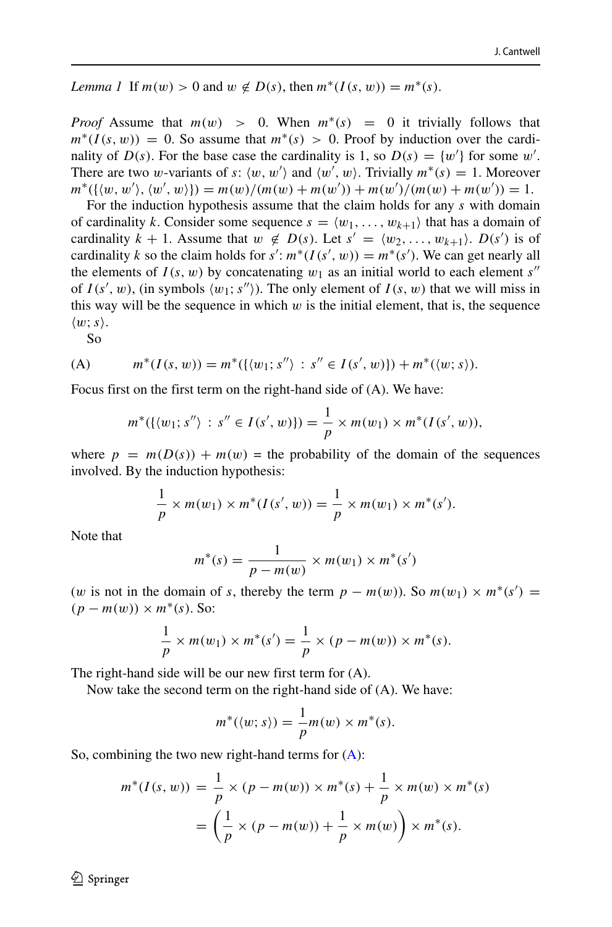*Lemma 1* If  $m(w) > 0$  and  $w \notin D(s)$ , then  $m^*(I(s, w)) = m^*(s)$ .

*Proof* Assume that  $m(w) > 0$ . When  $m^*(s) = 0$  it trivially follows that  $m^*(I(s, w)) = 0$ . So assume that  $m^*(s) > 0$ . Proof by induction over the cardinality of  $D(s)$ . For the base case the cardinality is 1, so  $D(s) = \{w'\}$  for some w'. There are two *w*-variants of *s*:  $\langle w, w' \rangle$  and  $\langle w', w \rangle$ . Trivially  $m^*(s) = 1$ . Moreover  $m^*(\{\langle w, w' \rangle, \langle w', w \rangle\}) = m(w)/(m(w) + m(w')) + m(w')/(m(w) + m(w')) = 1.$ 

For the induction hypothesis assume that the claim holds for any *s* with domain of cardinality *k*. Consider some sequence  $s = \langle w_1, \ldots, w_{k+1} \rangle$  that has a domain of cardinality  $k + 1$ . Assume that  $w \notin D(s)$ . Let  $s' = \langle w_2, \ldots, w_{k+1} \rangle$ .  $D(s')$  is of cardinality *k* so the claim holds for  $s' : m^*(I(s', w)) = m^*(s')$ . We can get nearly all the elements of  $I(s, w)$  by concatenating  $w_1$  as an initial world to each element *s''* of  $I(s', w)$ , (in symbols  $\langle w_1; s'' \rangle$ ). The only element of  $I(s, w)$  that we will miss in this way will be the sequence in which *w* is the initial element, that is, the sequence  $\langle w; s \rangle$ .

So

(A) 
$$
m^*(I(s, w)) = m^*( \{ \langle w_1; s'' \rangle : s'' \in I(s', w) \} ) + m^*(\langle w; s \rangle ).
$$

Focus first on the first term on the right-hand side of (A). We have:

<span id="page-35-0"></span>
$$
m^*(\{(w_1; s'') : s'' \in I(s', w)\}) = \frac{1}{p} \times m(w_1) \times m^*(I(s', w)),
$$

where  $p = m(D(s)) + m(w)$  = the probability of the domain of the sequences involved. By the induction hypothesis:

$$
\frac{1}{p} \times m(w_1) \times m^*(I(s', w)) = \frac{1}{p} \times m(w_1) \times m^*(s').
$$

Note that

$$
m^*(s) = \frac{1}{p - m(w)} \times m(w_1) \times m^*(s')
$$

(*w* is not in the domain of *s*, thereby the term  $p - m(w)$ ). So  $m(w_1) \times m^*(s') =$  $(p - m(w)) \times m^*(s)$ . So:

$$
\frac{1}{p} \times m(w_1) \times m^*(s') = \frac{1}{p} \times (p - m(w)) \times m^*(s).
$$

The right-hand side will be our new first term for (A).

Now take the second term on the right-hand side of (A). We have:

$$
m^*(\langle w;s\rangle)=\frac{1}{p}m(w)\times m^*(s).
$$

So, combining the two new right-hand terms for  $(A)$ :

$$
m^*(I(s, w)) = \frac{1}{p} \times (p - m(w)) \times m^*(s) + \frac{1}{p} \times m(w) \times m^*(s)
$$

$$
= \left(\frac{1}{p} \times (p - m(w)) + \frac{1}{p} \times m(w)\right) \times m^*(s).
$$

 $\textcircled{2}$  Springer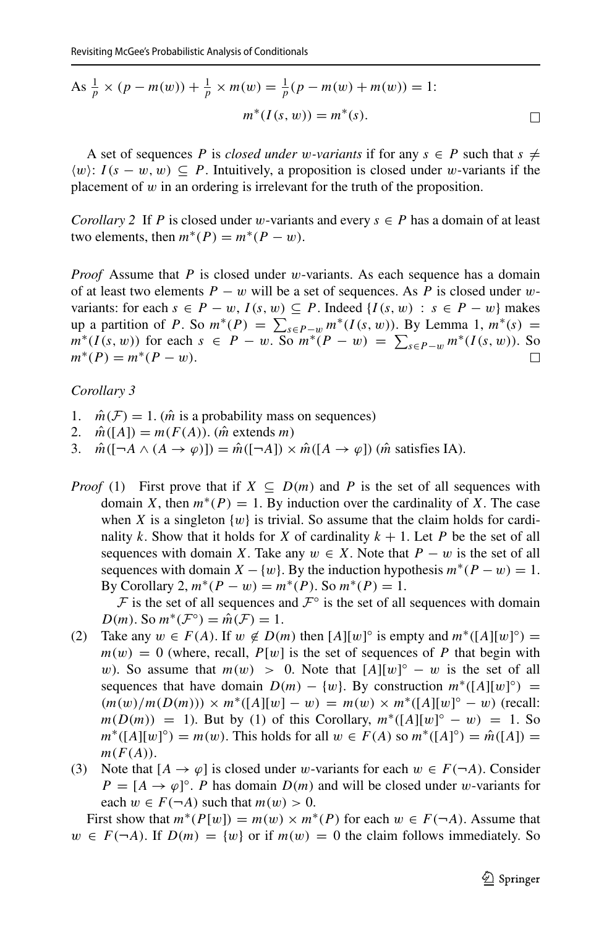As 
$$
\frac{1}{p} \times (p - m(w)) + \frac{1}{p} \times m(w) = \frac{1}{p}(p - m(w) + m(w)) = 1
$$
:  

$$
m^*(I(s, w)) = m^*(s).
$$

A set of sequences *P* is *closed under w-variants* if for any  $s \in P$  such that  $s \neq$  $\langle w \rangle$ : *I*(*s* − *w*, *w*) ⊆ *P*. Intuitively, a proposition is closed under *w*-variants if the placement of *w* in an ordering is irrelevant for the truth of the proposition.

*Corollary 2* If *P* is closed under *w*-variants and every  $s \in P$  has a domain of at least two elements, then  $m^*(P) = m^*(P - w)$ .

*Proof* Assume that *P* is closed under *w*-variants. As each sequence has a domain of at least two elements *P* − *w* will be a set of sequences. As *P* is closed under *w*variants: for each  $s \in P - w$ ,  $I(s, w) \subseteq P$ . Indeed  $\{I(s, w) : s \in P - w\}$  makes  $\lim_{x \to a} \frac{1}{h} m^*(s) = \sum_{s \in P - w} \frac{m^*(I(s, w))}{h}$ . By Lemma 1,  $m^*(s) =$ *m*<sup>∗</sup>(*I*(*s, w*)) for each *s* ∈ *P* − *w*. So *m*<sup>∗</sup>(*P* − *w*) =  $\sum_{s \in P-w} m$ <sup>\*</sup>(*I*(*s, w*)). So  $m^*(P) = m^*(P - w).$ 

#### *Corollary 3*

- 1.  $\hat{m}(\mathcal{F}) = 1$ . ( $\hat{m}$  is a probability mass on sequences)<br>2.  $\hat{m}([A]) = m(F(A))$ . ( $\hat{m}$  extends m)
- 2.  $\hat{m}([A]) = m(F(A)).$  ( $\hat{m}$  extends *m*)<br>3.  $\hat{m}([-A \land (A \rightarrow \emptyset)]) = \hat{m}([-A]) \times$
- $\hat{m}([ \neg A \wedge (A \rightarrow \varphi)]) = \hat{m}([ \neg A]) \times \hat{m}([A \rightarrow \varphi])$  ( $\hat{m}$  satisfies IA).
- *Proof* (1) First prove that if  $X \subseteq D(m)$  and P is the set of all sequences with domain *X*, then  $m^*(P) = 1$ . By induction over the cardinality of *X*. The case when *X* is a singleton  $\{w\}$  is trivial. So assume that the claim holds for cardinality *k*. Show that it holds for *X* of cardinality  $k + 1$ . Let *P* be the set of all sequences with domain *X*. Take any  $w \in X$ . Note that  $P - w$  is the set of all sequences with domain  $X - \{w\}$ . By the induction hypothesis  $m^*(P - w) = 1$ . By Corollary 2,  $m^*(P - w) = m^*(P)$ . So  $m^*(P) = 1$ .

F is the set of all sequences and  $\mathcal{F}^{\circ}$  is the set of all sequences with domain  $D(m)$ . So  $m^*(\mathcal{F}^{\circ}) = \hat{m}(\mathcal{F}) = 1$ .

- (2) Take any  $w \in F(A)$ . If  $w \notin D(m)$  then  $[A][w]^\circ$  is empty and  $m^*([A][w]^\circ) =$  $m(w) = 0$  (where, recall,  $P[w]$  is the set of sequences of P that begin with *w*). So assume that  $m(w) > 0$ . Note that  $[A][w]^\circ - w$  is the set of all sequences that have domain  $D(m) - \{w\}$ . By construction  $m^*([A][w])^{\circ}$  =  $(m(w)/m(D(m))) \times m^*([A][w] - w) = m(w) \times m^*([A][w] - w)$  (recall:  $m(D(m)) = 1$ . But by (1) of this Corollary,  $m^*([A][w]^\circ - w) = 1$ . So  $m^*([A][w]^{\circ}) = m(w)$ . This holds for all  $w \in F(A)$  so  $m^*([A]^{\circ}) = \hat{m}([A]) =$  $m(F(A)).$
- (3) Note that  $[A \rightarrow \varphi]$  is closed under *w*-variants for each  $w \in F(\neg A)$ . Consider  $P = [A \rightarrow \varphi]^{\circ}$ . *P* has domain *D(m)* and will be closed under *w*-variants for each  $w \in F(\neg A)$  such that  $m(w) > 0$ .

First show that  $m^*(P[w]) = m(w) \times m^*(P)$  for each  $w \in F(\neg A)$ . Assume that  $w \in F(\neg A)$ . If  $D(m) = \{w\}$  or if  $m(w) = 0$  the claim follows immediately. So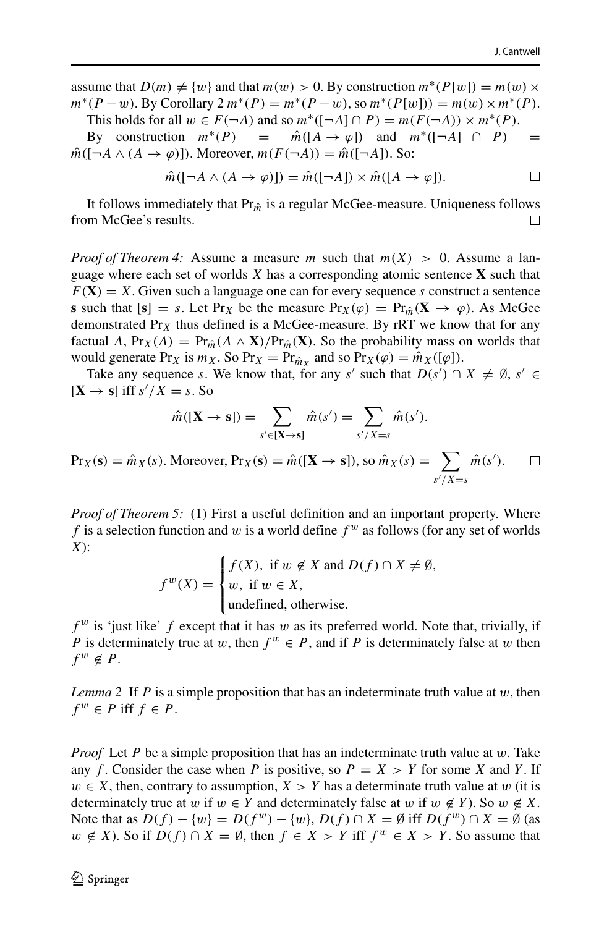assume that  $D(m) \neq \{w\}$  and that  $m(w) > 0$ . By construction  $m^*(P[w]) = m(w) \times$  $m^*(P - w)$ . By Corollary  $2 m^*(P) = m^*(P - w)$ , so  $m^*(P[w]) = m(w) \times m^*(P)$ .

This holds for all  $w \in F(\neg A)$  and so  $m^*([ \neg A] \cap P) = m(F(\neg A)) \times m^*(P)$ . By construction  $m^*(P) = \hat{m}([A \to \varphi])$  and  $m^*([A \to P]) =$ 

 $\hat{m}([ \neg A \land (A \rightarrow \varphi)])$ . Moreover,  $m(F(\neg A)) = \hat{m}([ \neg A])$ . So:

$$
\hat{m}([\neg A \land (A \to \varphi)]) = \hat{m}([\neg A]) \times \hat{m}([A \to \varphi]). \square
$$

It follows immediately that  $Pr_{\hat{m}}$  is a regular McGee-measure. Uniqueness follows om McGee's results. from McGee's results.

*Proof of Theorem 4:* Assume a measure *m* such that  $m(X) > 0$ . Assume a language where each set of worlds *X* has a corresponding atomic sentence **X** such that  $F(X) = X$ . Given such a language one can for every sequence *s* construct a sentence **s** such that  $[s] = s$ . Let Pr<sub>*X*</sub> be the measure Pr<sub>*X*</sub>( $\varphi$ ) = Pr<sub>*m*</sub>( $\mathbf{X} \to \varphi$ ). As McGee demonstrated Pr*<sup>X</sup>* thus defined is a McGee-measure. By rRT we know that for any factual *A*,  $Pr_X(A) = Pr_{\hat{m}}(A \wedge \mathbf{X})/Pr_{\hat{m}}(\mathbf{X})$ . So the probability mass on worlds that would generate Pr<sub>*X*</sub> is  $m_X$ . So Pr<sub>*X*</sub> = Pr<sub> $\hat{m}_X$ </sub> and so Pr<sub>*X*</sub>( $\varphi$ ) =  $\hat{m}_X$ ([ $\varphi$ ]).

Take any sequence *s*. We know that, for any *s'* such that  $D(s') \cap X \neq \emptyset$ ,  $s' \in$  $[X \rightarrow s]$  iff  $s'/X = s$ . So

$$
\hat{m}([\mathbf{X} \to \mathbf{s}]) = \sum_{s' \in [\mathbf{X} \to \mathbf{s}]} \hat{m}(s') = \sum_{s'/X = s} \hat{m}(s').
$$

 $\Pr_X(\mathbf{s}) = \hat{m}_X(s)$ . Moreover,  $\Pr_X(\mathbf{s}) = \hat{m}([\mathbf{X} \to \mathbf{s}])$ , so  $\hat{m}_X(s) = \sum$  $\hat{m}(s')$ .  $\Box$ *s /X*=*s*

*Proof of Theorem 5:* (1) First a useful definition and an important property. Where *f* is a selection function and *w* is a world define  $f^w$  as follows (for any set of worlds *X*):

$$
f^{w}(X) = \begin{cases} f(X), & \text{if } w \notin X \text{ and } D(f) \cap X \neq \emptyset, \\ w, & \text{if } w \in X, \\ \text{undefined, otherwise.} \end{cases}
$$

 $f^w$  is 'just like'  $f$  except that it has  $w$  as its preferred world. Note that, trivially, if *P* is determinately true at *w*, then  $f^w \in P$ , and if *P* is determinately false at *w* then  $f^w \notin P$ .

*Lemma 2* If *P* is a simple proposition that has an indeterminate truth value at  $w$ , then  $f^w \in P$  iff  $f \in P$ .

*Proof* Let *P* be a simple proposition that has an indeterminate truth value at *w*. Take any *f*. Consider the case when *P* is positive, so  $P = X > Y$  for some *X* and *Y*. If  $w \in X$ , then, contrary to assumption,  $X > Y$  has a determinate truth value at *w* (it is determinately true at *w* if  $w \in Y$  and determinately false at *w* if  $w \notin Y$ ). So  $w \notin X$ . Note that as  $D(f) - \{w\} = D(f^w) - \{w\}$ ,  $D(f) \cap X = \emptyset$  iff  $D(f^w) \cap X = \emptyset$  (as *w* ∉ *X*). So if *D*(*f*) ∩ *X* = Ø, then *f* ∈ *X* > *Y* iff  $f^w$  ∈ *X* > *Y*. So assume that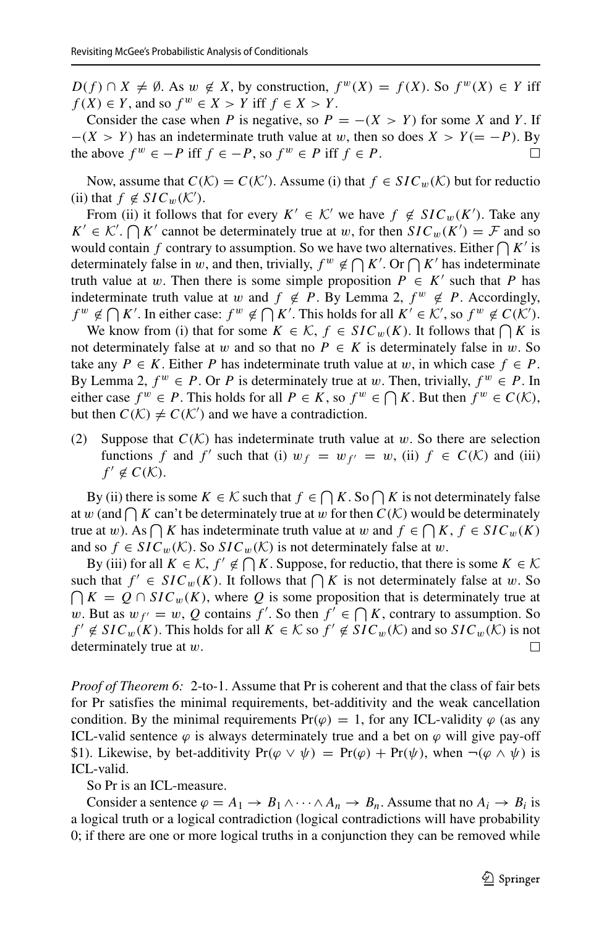*D(f)* ∩ *X*  $\neq \emptyset$ . As *w*  $\notin X$ , by construction,  $f^{w}(X) = f(X)$ . So  $f^{w}(X) \in Y$  iff  $f(X) \in Y$ , and so  $f^w \in X > Y$  iff  $f \in X > Y$ .

Consider the case when *P* is negative, so  $P = -(X > Y)$  for some *X* and *Y*. If  $-(X > Y)$  has an indeterminate truth value at *w*, then so does  $X > Y (= -P)$ . By the above  $f^w \in -P$  iff  $f \in -P$ , so  $f^w \in P$  iff  $f \in P$ . the above  $f^w \in -P$  iff  $f \in -P$ , so  $f^w \in P$  iff  $f \in P$ .

Now, assume that  $C(\mathcal{K}) = C(\mathcal{K}')$ . Assume (i) that  $f \in SIC_w(\mathcal{K})$  but for reduction (ii) that  $f \notin SIC_w(\mathcal{K}')$ .

From (ii) it follows that for every  $K' \in \mathcal{K}'$  we have  $f \notin SIC_w(K')$ . Take any  $K' \in \mathcal{K}'$ .  $\bigcap K'$  cannot be determinately true at *w*, for then  $SLC_w(K') = \mathcal{F}$  and so would contain f contrary to assumption. So we have two alternatives. Either  $\bigcap K'$  is determinately false in *w*, and then, trivially,  $f^w \notin \bigcap K'$ . Or  $\bigcap K'$  has indeterminate truth value at *w*. Then there is some simple proposition  $P \in K'$  such that *P* has indeterminate truth value at *w* and  $f \notin P$ . By Lemma 2,  $f^w \notin P$ . Accordingly,  $f^w \notin \bigcap K'$ . In either case:  $f^w \notin \bigcap K'$ . This holds for all  $K' \in \mathcal{K}'$ , so  $f^w \notin C(\mathcal{K}')$ .

We know from (i) that for some  $K \in \mathcal{K}$ ,  $f \in SIC_w(K)$ . It follows that  $\bigcap K$  is not determinately false at *w* and so that no  $P \in K$  is determinately false in *w*. So take any  $P \in K$ . Either *P* has indeterminate truth value at *w*, in which case  $f \in P$ . By Lemma 2,  $f^w \in P$ . Or P is determinately true at *w*. Then, trivially,  $f^w \in P$ . In either case  $f^w \in P$ . This holds for all  $P \in K$ , so  $f^w \in \bigcap K$ . But then  $f^w \in C(K)$ , but then  $C(\mathcal{K}) \neq C(\mathcal{K}')$  and we have a contradiction.

(2) Suppose that  $C(K)$  has indeterminate truth value at *w*. So there are selection functions f and f' such that (i)  $w_f = w_{f'} = w$ , (ii)  $f \in C(\mathcal{K})$  and (iii)  $f' \notin C(K)$ .

By (ii) there is some  $K \in \mathcal{K}$  such that  $f \in \bigcap K$ . So  $\bigcap K$  is not determinately false at *w* (and  $\bigcap K$  can't be determinately true at *w* for then  $C(K)$  would be determinately true at *w*). As  $\bigcap K$  has indeterminate truth value at *w* and  $f \in \bigcap K$ ,  $f \in SIC_w(K)$ and so  $f \in SIC_w(\mathcal{K})$ . So  $SIC_w(\mathcal{K})$  is not determinately false at *w*.

By (iii) for all  $K \in \mathcal{K}$ ,  $f' \notin \bigcap K$ . Suppose, for reductio, that there is some  $K \in \mathcal{K}$ such that  $f' \in SIC_w(K)$ . It follows that  $\bigcap K$  is not determinately false at *w*. So  $\bigcap K = Q \cap SIC_w(K)$ , where Q is some proposition that is determinately true at *w*. But as  $w_{f'} = w$ , *Q* contains *f'*. So then  $f' \in \bigcap K$ , contrary to assumption. So *f*′ ∉ *SIC<sub>w</sub>*( $\hat{K}$ ). This holds for all  $K \in \mathcal{K}$  so  $f' \notin SIC_w(\mathcal{K})$  and so  $SIC_w(\mathcal{K})$  is not determinately true at  $w$ . determinately true at *w*.

*Proof of Theorem 6:* 2-to-1. Assume that Pr is coherent and that the class of fair bets for Pr satisfies the minimal requirements, bet-additivity and the weak cancellation condition. By the minimal requirements  $Pr(\varphi) = 1$ , for any ICL-validity  $\varphi$  (as any ICL-valid sentence  $\varphi$  is always determinately true and a bet on  $\varphi$  will give pay-off \$1). Likewise, by bet-additivity  $Pr(\varphi \lor \psi) = Pr(\varphi) + Pr(\psi)$ , when  $\neg(\varphi \land \psi)$  is ICL-valid.

So Pr is an ICL-measure.

Consider a sentence  $\varphi = A_1 \rightarrow B_1 \land \cdots \land A_n \rightarrow B_n$ . Assume that no  $A_i \rightarrow B_i$  is a logical truth or a logical contradiction (logical contradictions will have probability 0; if there are one or more logical truths in a conjunction they can be removed while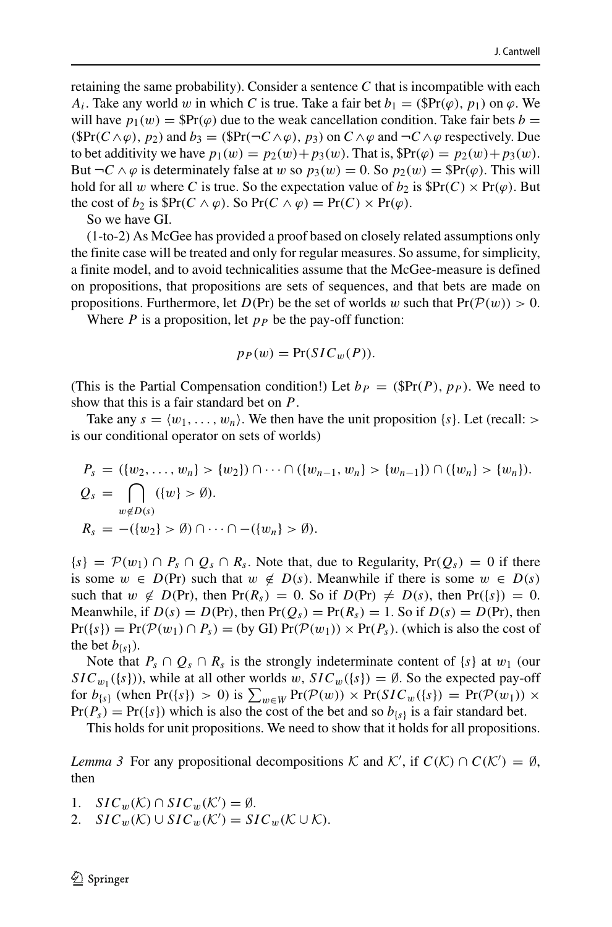retaining the same probability). Consider a sentence *C* that is incompatible with each *A<sub>i</sub>*. Take any world *w* in which *C* is true. Take a fair bet  $b_1 = (\mathbb{S}Pr(\varphi), p_1)$  on  $\varphi$ . We will have  $p_1(w) = \frac{\Re r(\varphi)}{\varphi}$  due to the weak cancellation condition. Take fair bets *b* =  $(SPr(C ∧ φ), p_2)$  and  $b_3 = (SPr(¬C ∧ φ), p_3)$  on  $C ∧ φ$  and  $¬C ∧ φ$  respectively. Due to bet additivity we have  $p_1(w) = p_2(w) + p_3(w)$ . That is,  $\Re(r(\varphi)) = p_2(w) + p_3(w)$ . But  $\neg C \wedge \varphi$  is determinately false at *w* so  $p_3(w) = 0$ . So  $p_2(w) = \mathbb{S}\text{Pr}(\varphi)$ . This will hold for all *w* where *C* is true. So the expectation value of  $b_2$  is  $\mathbb{S}Pr(C) \times Pr(\varphi)$ . But the cost of *b*<sub>2</sub> is  $\Re Pr(C \wedge \varphi)$ . So  $Pr(C \wedge \varphi) = Pr(C) \times Pr(\varphi)$ .

So we have GI.

(1-to-2) As McGee has provided a proof based on closely related assumptions only the finite case will be treated and only for regular measures. So assume, for simplicity, a finite model, and to avoid technicalities assume that the McGee-measure is defined on propositions, that propositions are sets of sequences, and that bets are made on propositions. Furthermore, let  $D(\Pr)$  be the set of worlds w such that  $Pr(\mathcal{P}(w)) > 0$ .

Where  $P$  is a proposition, let  $p_P$  be the pay-off function:

$$
p_P(w) = \Pr(SIC_w(P)).
$$

(This is the Partial Compensation condition!) Let  $b_P = (\mathbb{S}Pr(P), p_P)$ . We need to show that this is a fair standard bet on *P*.

Take any  $s = \langle w_1, \ldots, w_n \rangle$ . We then have the unit proposition  $\{s\}$ . Let (recall:  $>$ is our conditional operator on sets of worlds)

$$
P_s = (\{w_2, \ldots, w_n\} > \{w_2\}) \cap \cdots \cap (\{w_{n-1}, w_n\} > \{w_{n-1}\}) \cap (\{w_n\} > \{w_n\}).
$$
  
\n
$$
Q_s = \bigcap_{w \notin D(s)} (\{w\} > \emptyset).
$$
  
\n
$$
R_s = -(\{w_2\} > \emptyset) \cap \cdots \cap -(\{w_n\} > \emptyset).
$$

 ${s} = P(w_1) \cap P_s \cap Q_s \cap R_s$ . Note that, due to Regularity,  $Pr(Q_s) = 0$  if there is some  $w \in D(\text{Pr})$  such that  $w \notin D(s)$ . Meanwhile if there is some  $w \in D(s)$ such that  $w \notin D(\text{Pr})$ , then  $Pr(R_s) = 0$ . So if  $D(\text{Pr}) \neq D(s)$ , then  $Pr({s}) = 0$ . Meanwhile, if  $D(s) = D(\Pr)$ , then  $Pr(Q_s) = Pr(R_s) = 1$ . So if  $D(s) = D(\Pr)$ , then  $Pr({s}) = Pr(\mathcal{P}(w_1) \cap P_s) = (by \text{ GI}) Pr(\mathcal{P}(w_1)) \times Pr(P_s)$ . (which is also the cost of the bet  $b_{\{s\}}$ ).

Note that  $P_s \cap Q_s \cap R_s$  is the strongly indeterminate content of  $\{s\}$  at  $w_1$  (our  $SIC_{w_1}(\{s\})$ , while at all other worlds *w*,  $SIC_w(\{s\}) = \emptyset$ . So the expected pay-off for  $b_{\{s\}}$  (when Pr $(\{s\}) > 0$ ) is  $\sum_{w \in W} \Pr(\mathcal{P}(w)) \times \Pr(SIC_w(\{s\})) = \Pr(\mathcal{P}(w_1)) \times \Pr(SIC_w(\{s\})) = \Pr(\mathcal{P}(w_1))$  $Pr(P_s) = Pr({s})$  which is also the cost of the bet and so  $b_{s}$  is a fair standard bet.

This holds for unit propositions. We need to show that it holds for all propositions.

*Lemma 3* For any propositional decompositions K and K', if  $C(K) \cap C(K') = \emptyset$ , then

- 1.  $SIC_w(\mathcal{K}) \cap SIC_w(\mathcal{K}') = \emptyset$ .
- 2.  $SIC_w(\mathcal{K}) \cup SIC_w(\mathcal{K}') = SIC_w(\mathcal{K} \cup \mathcal{K})$ .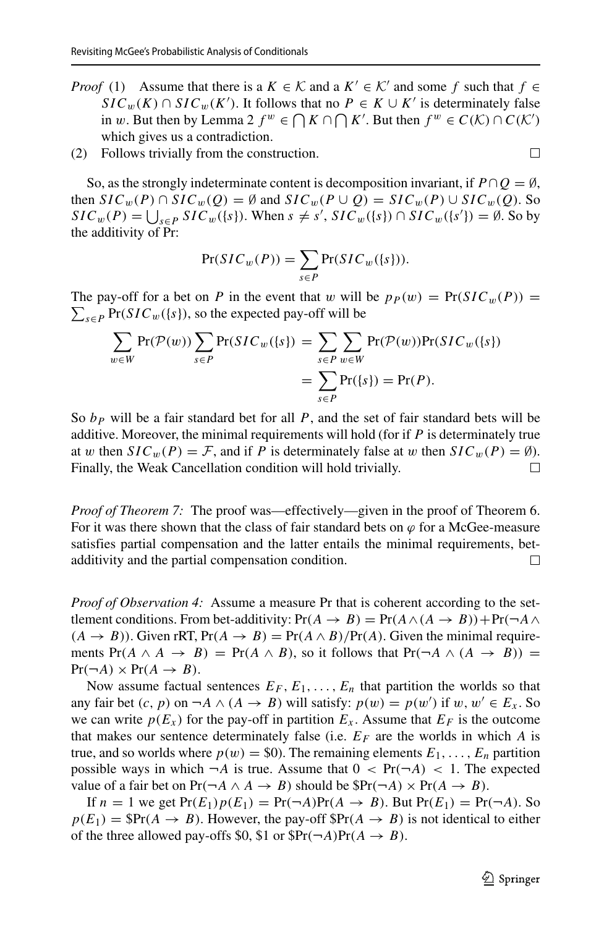- *Proof* (1) Assume that there is a  $K \in \mathcal{K}$  and a  $K' \in \mathcal{K}'$  and some *f* such that  $f \in$ *SIC<sub>w</sub>*(*K*) ∩ *SIC<sub>w</sub>*(*K'*). It follows that no *P* ∈ *K* ∪ *K'* is determinately false in *w*. But then by Lemma 2  $f^w \in \bigcap K \cap \bigcap K'$ . But then  $f^w \in C(\mathcal{K}) \cap C(\mathcal{K}')$ which gives us a contradiction.
- (2) Follows trivially from the construction.

So, as the strongly indeterminate content is decomposition invariant, if  $P \cap Q = \emptyset$ , then  $SIC_w(P) \cap SIC_w(Q) = \emptyset$  and  $SIC_w(P \cup Q) = SIC_w(P) \cup SIC_w(Q)$ . So  $SLC_w(P) = \bigcup_{s \in P} SLC_w(\{s\})$ . When  $s \neq s'$ ,  $SLC_w(\{s\}) \cap SLC_w(\{s'\}) = \emptyset$ . So by the additivity of Pr:

$$
Pr(SIC_w(P)) = \sum_{s \in P} Pr(SIC_w(\{s\})).
$$

The pay-off for a bet on *P* in the event that *w* will be  $p_P(w) = Pr(SIC_w(P)) =$  $\sum_{s \in P} \Pr(SIC_w(\{s\}), \text{ so the expected pay-off will be}$ 

$$
\sum_{w \in W} \Pr(\mathcal{P}(w)) \sum_{s \in P} \Pr(SIC_w(\{s\})) = \sum_{s \in P} \sum_{w \in W} \Pr(\mathcal{P}(w)) \Pr(SIC_w(\{s\}))
$$

$$
= \sum_{s \in P} \Pr(\{s\}) = \Pr(P).
$$

So  $b<sub>P</sub>$  will be a fair standard bet for all  $P$ , and the set of fair standard bets will be additive. Moreover, the minimal requirements will hold (for if *P* is determinately true at *w* then  $SIC_w(P) = F$ , and if *P* is determinately false at *w* then  $SIC_w(P) = \emptyset$ ).<br>Finally, the Weak Cancellation condition will hold trivially. Finally, the Weak Cancellation condition will hold trivially.

*Proof of Theorem 7:* The proof was—effectively—given in the proof of Theorem 6. For it was there shown that the class of fair standard bets on  $\varphi$  for a McGee-measure satisfies partial compensation and the latter entails the minimal requirements, betadditivity and the partial compensation condition.  $\Box$ 

*Proof of Observation 4:* Assume a measure Pr that is coherent according to the settlement conditions. From bet-additivity:  $Pr(A \rightarrow B) = Pr(A \land (A \rightarrow B)) + Pr(\neg A \land (A \rightarrow B))$  $(A \rightarrow B)$ ). Given rRT,  $Pr(A \rightarrow B) = Pr(A \wedge B)/Pr(A)$ . Given the minimal requirements  $Pr(A \land A \rightarrow B) = Pr(A \land B)$ , so it follows that  $Pr(\neg A \land (A \rightarrow B)) =$  $Pr(\neg A) \times Pr(A \rightarrow B)$ .

Now assume factual sentences  $E_F$ ,  $E_1$ ,  $\ldots$ ,  $E_n$  that partition the worlds so that any fair bet  $(c, p)$  on  $\neg A \land (A \rightarrow B)$  will satisfy:  $p(w) = p(w')$  if  $w, w' \in E_x$ . So we can write  $p(E_x)$  for the pay-off in partition  $E_x$ . Assume that  $E_F$  is the outcome that makes our sentence determinately false (i.e.  $E_F$  are the worlds in which *A* is true, and so worlds where  $p(w) = $0$ . The remaining elements  $E_1, \ldots, E_n$  partition possible ways in which  $\neg A$  is true. Assume that  $0 \leq Pr(\neg A) \leq 1$ . The expected value of a fair bet on  $Pr(\neg A \land A \rightarrow B)$  should be  $\Pr(\neg A) \times Pr(A \rightarrow B)$ .

If  $n = 1$  we get  $Pr(E_1)p(E_1) = Pr(\neg A)Pr(A \rightarrow B)$ . But  $Pr(E_1) = Pr(\neg A)$ . So  $p(E_1) = \text{SPr}(A \rightarrow B)$ . However, the pay-off  $\text{SPr}(A \rightarrow B)$  is not identical to either of the three allowed pay-offs \$0, \$1 or  $\text{SPr}(\neg A) \text{Pr}(A \rightarrow B)$ .

 $\Box$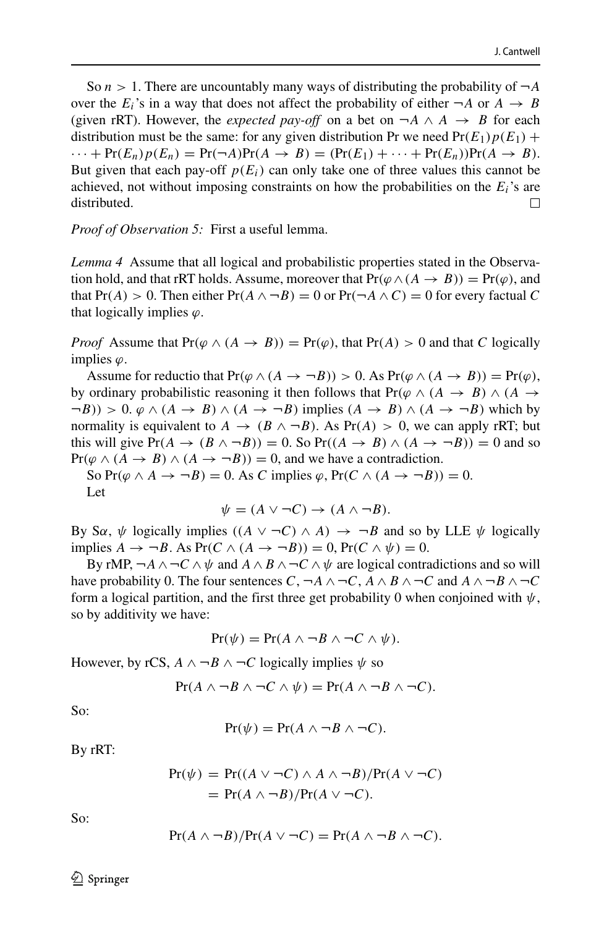So  $n > 1$ . There are uncountably many ways of distributing the probability of  $\neg A$ over the  $E_i$ 's in a way that does not affect the probability of either  $\neg A$  or  $A \rightarrow B$ (given rRT). However, the *expected pay-off* on a bet on  $\neg A \land A \rightarrow B$  for each distribution must be the same: for any given distribution Pr we need  $Pr(E_1)p(E_1)$  +  $\cdots$  + Pr*(E<sub>n</sub>)p(E<sub>n</sub>)* = Pr $(\neg A)$ Pr $(A \rightarrow B)$  =  $(\Pr(E_1) + \cdots + \Pr(E_n))$ Pr $(A \rightarrow B)$ . But given that each pay-off  $p(E_i)$  can only take one of three values this cannot be achieved, not without imposing constraints on how the probabilities on the *Ei*'s are distributed.  $\Box$ 

*Proof of Observation 5:* First a useful lemma.

*Lemma 4* Assume that all logical and probabilistic properties stated in the Observation hold, and that rRT holds. Assume, moreover that  $Pr(\varphi \land (A \rightarrow B)) = Pr(\varphi)$ , and that  $Pr(A) > 0$ . Then either  $Pr(A \wedge \neg B) = 0$  or  $Pr(\neg A \wedge C) = 0$  for every factual C that logically implies *ϕ*.

*Proof* Assume that  $Pr(\varphi \land (A \rightarrow B)) = Pr(\varphi)$ , that  $Pr(A) > 0$  and that *C* logically implies *ϕ*.

Assume for reductio that  $Pr(\varphi \land (A \rightarrow \neg B)) > 0$ . As  $Pr(\varphi \land (A \rightarrow B)) = Pr(\varphi)$ , by ordinary probabilistic reasoning it then follows that  $Pr(\varphi \land (A \rightarrow B) \land (A \rightarrow$  $(\neg B)$ ) > 0.  $\varphi \land (A \rightarrow B) \land (A \rightarrow \neg B)$  implies  $(A \rightarrow B) \land (A \rightarrow \neg B)$  which by normality is equivalent to  $A \rightarrow (B \land \neg B)$ . As  $Pr(A) > 0$ , we can apply rRT; but this will give  $Pr(A \to (B \land \neg B)) = 0$ . So  $Pr((A \to B) \land (A \to \neg B)) = 0$  and so  $Pr(\varphi \land (A \rightarrow B) \land (A \rightarrow \neg B)) = 0$ , and we have a contradiction.

So  $Pr(\varphi \land A \rightarrow \neg B) = 0$ . As *C* implies  $\varphi$ ,  $Pr(C \land (A \rightarrow \neg B)) = 0$ . Let

$$
\psi = (A \lor \neg C) \to (A \land \neg B).
$$

By S $\alpha$ ,  $\psi$  logically implies  $((A \lor \neg C) \land A) \rightarrow \neg B$  and so by LLE  $\psi$  logically implies  $A \rightarrow \neg B$ . As  $Pr(C \land (A \rightarrow \neg B)) = 0$ ,  $Pr(C \land \psi) = 0$ .

By rMP,  $\neg A \land \neg C \land \psi$  and  $A \land B \land \neg C \land \psi$  are logical contradictions and so will have probability 0. The four sentences  $C$ ,  $\neg A \land \neg C$ ,  $A \land B \land \neg C$  and  $A \land \neg B \land \neg C$ form a logical partition, and the first three get probability 0 when conjoined with  $\psi$ , so by additivity we have:

$$
Pr(\psi) = Pr(A \wedge \neg B \wedge \neg C \wedge \psi).
$$

However, by rCS,  $A \wedge \neg B \wedge \neg C$  logically implies  $\psi$  so

$$
Pr(A \wedge \neg B \wedge \neg C \wedge \psi) = Pr(A \wedge \neg B \wedge \neg C).
$$

So:

$$
Pr(\psi) = Pr(A \land \neg B \land \neg C).
$$

By rRT:

$$
Pr(\psi) = Pr((A \lor \neg C) \land A \land \neg B)/Pr(A \lor \neg C)
$$
  
= Pr(A \land \neg B)/Pr(A \lor \neg C).

So:

$$
Pr(A \wedge \neg B)/Pr(A \vee \neg C) = Pr(A \wedge \neg B \wedge \neg C).
$$

 $\textcircled{2}$  Springer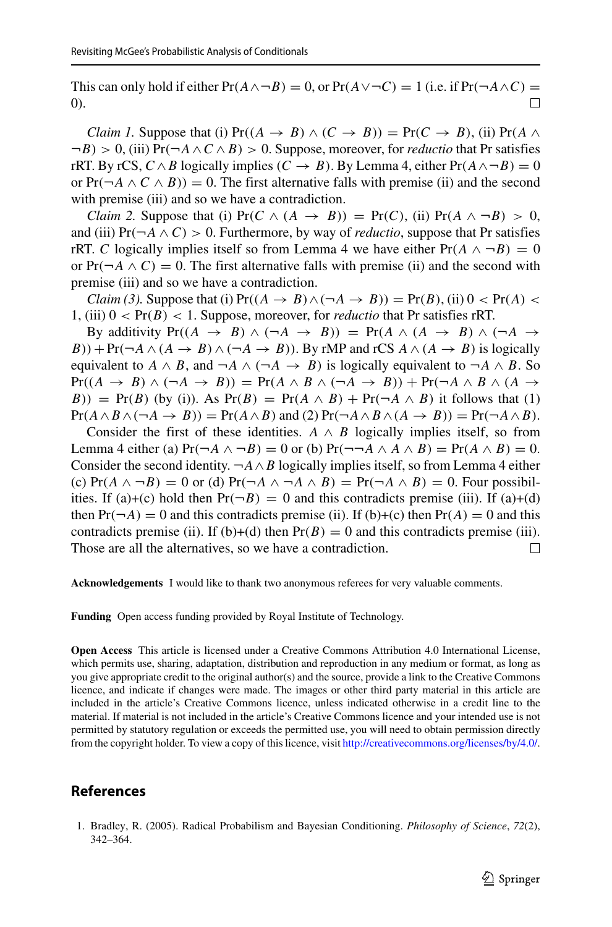This can only hold if either  $Pr(A \land \neg B) = 0$ , or  $Pr(A \lor \neg C) = 1$  (i.e. if  $Pr(\neg A \land C) = 0$ ) 0).

*Claim 1.* Suppose that (i)  $Pr((A \rightarrow B) \land (C \rightarrow B)) = Pr(C \rightarrow B)$ , (ii)  $Pr(A \land B) = Pr(C \rightarrow B)$ ¬*B) >* 0, (iii) Pr*(*¬*A*∧*C* ∧*B) >* 0. Suppose, moreover, for *reductio* that Pr satisfies rRT. By rCS,  $C \wedge B$  logically implies  $(C \rightarrow B)$ . By Lemma 4, either  $Pr(A \wedge \neg B) = 0$ or  $Pr(\neg A \land C \land B)$ ) = 0. The first alternative falls with premise (ii) and the second with premise (iii) and so we have a contradiction.

*Claim 2.* Suppose that (i)  $Pr(C \land (A \rightarrow B)) = Pr(C)$ , (ii)  $Pr(A \land \neg B) > 0$ , and (iii)  $Pr(\neg A \land C) > 0$ . Furthermore, by way of *reductio*, suppose that Pr satisfies rRT. *C* logically implies itself so from Lemma 4 we have either  $Pr(A \wedge \neg B) = 0$ or  $Pr(\neg A \land C) = 0$ . The first alternative falls with premise (ii) and the second with premise (iii) and so we have a contradiction.

*Claim (3).* Suppose that (i)  $Pr((A \rightarrow B) \land (\neg A \rightarrow B)) = Pr(B)$ , (ii)  $0 < Pr(A) <$ 1, (iii)  $0 < Pr(B) < 1$ . Suppose, moreover, for *reductio* that Pr satisfies rRT.

By additivity  $Pr((A \rightarrow B) \land (\neg A \rightarrow B)) = Pr(A \land (A \rightarrow B) \land (\neg A \rightarrow$ *B*)) + Pr( $\neg A \land (A \rightarrow B) \land (\neg A \rightarrow B)$ ). By rMP and rCS  $A \land (A \rightarrow B)$  is logically equivalent to *A*  $\land$  *B*, and  $\neg A \land (\neg A \rightarrow B)$  is logically equivalent to  $\neg A \land B$ . So  $Pr((A \rightarrow B) \land (\neg A \rightarrow B)) = Pr(A \land B \land (\neg A \rightarrow B)) + Pr(\neg A \land B \land (A \rightarrow B))$ *B*)) = Pr(*B*) (by (i)). As Pr(*B*) = Pr( $A \wedge B$ ) + Pr( $\neg A \wedge B$ ) it follows that (1)  $Pr(A \wedge B \wedge (\neg A \rightarrow B)) = Pr(A \wedge B)$  and (2)  $Pr(\neg A \wedge B \wedge (A \rightarrow B)) = Pr(\neg A \wedge B)$ .

Consider the first of these identities.  $A \wedge B$  logically implies itself, so from Lemma 4 either (a)  $Pr(\neg A \land \neg B) = 0$  or (b)  $Pr(\neg \neg A \land A \land B) = Pr(A \land B) = 0$ . Consider the second identity.  $\neg A \wedge B$  logically implies itself, so from Lemma 4 either (c)  $Pr(A \wedge \neg B) = 0$  or (d)  $Pr(\neg A \wedge \neg A \wedge B) = Pr(\neg A \wedge B) = 0$ . Four possibilities. If (a)+(c) hold then  $Pr(\neg B) = 0$  and this contradicts premise (iii). If (a)+(d) then  $Pr(\neg A) = 0$  and this contradicts premise (ii). If (b)+(c) then  $Pr(A) = 0$  and this contradicts premise (ii). If (b)+(d) then  $Pr(B) = 0$  and this contradicts premise (iii).<br>Those are all the alternatives, so we have a contradiction. Those are all the alternatives, so we have a contradiction.

**Acknowledgements** I would like to thank two anonymous referees for very valuable comments.

**Funding** Open access funding provided by Royal Institute of Technology.

**Open Access** This article is licensed under a Creative Commons Attribution 4.0 International License, which permits use, sharing, adaptation, distribution and reproduction in any medium or format, as long as you give appropriate credit to the original author(s) and the source, provide a link to the Creative Commons licence, and indicate if changes were made. The images or other third party material in this article are included in the article's Creative Commons licence, unless indicated otherwise in a credit line to the material. If material is not included in the article's Creative Commons licence and your intended use is not permitted by statutory regulation or exceeds the permitted use, you will need to obtain permission directly from the copyright holder. To view a copy of this licence, visit [http://creativecommons.org/licenses/by/4.0/.](http://creativecommons.org/licenses/by/4.0/)

# **References**

<span id="page-42-0"></span>1. Bradley, R. (2005). Radical Probabilism and Bayesian Conditioning. *Philosophy of Science*, *72*(2), 342–364.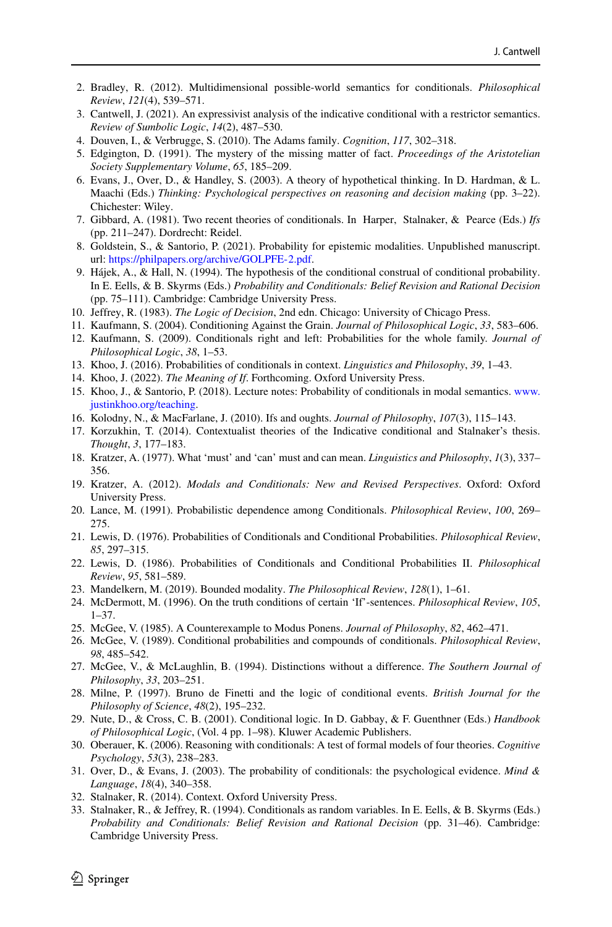- <span id="page-43-30"></span>2. Bradley, R. (2012). Multidimensional possible-world semantics for conditionals. *Philosophical Review*, *121*(4), 539–571.
- <span id="page-43-7"></span>3. Cantwell, J. (2021). An expressivist analysis of the indicative conditional with a restrictor semantics. *Review of Sumbolic Logic*, *14*(2), 487–530.
- <span id="page-43-13"></span>4. Douven, I., & Verbrugge, S. (2010). The Adams family. *Cognition*, *117*, 302–318.
- <span id="page-43-28"></span>5. Edgington, D. (1991). The mystery of the missing matter of fact. *Proceedings of the Aristotelian Society Supplementary Volume*, *65*, 185–209.
- <span id="page-43-14"></span>6. Evans, J., Over, D., & Handley, S. (2003). A theory of hypothetical thinking. In D. Hardman, & L. Maachi (Eds.) *Thinking: Psychological perspectives on reasoning and decision making* (pp. 3–22). Chichester: Wiley.
- <span id="page-43-3"></span>7. Gibbard, A. (1981). Two recent theories of conditionals. In Harper, Stalnaker, & Pearce (Eds.) *Ifs* (pp. 211–247). Dordrecht: Reidel.
- <span id="page-43-24"></span>8. Goldstein, S., & Santorio, P. (2021). Probability for epistemic modalities. Unpublished manuscript. url: [https://philpapers.org/archive/GOLPFE-2.pdf.](https://philpapers.org/archive/GOLPFE-2.pdf)
- <span id="page-43-20"></span>9. Hajek, A., & Hall, N. (1994). The hypothesis of the conditional construal of conditional probability. ´ In E. Eells, & B. Skyrms (Eds.) *Probability and Conditionals: Belief Revision and Rational Decision* (pp. 75–111). Cambridge: Cambridge University Press.
- <span id="page-43-17"></span>10. Jeffrey, R. (1983). *The Logic of Decision*, 2nd edn. Chicago: University of Chicago Press.
- <span id="page-43-0"></span>11. Kaufmann, S. (2004). Conditioning Against the Grain. *Journal of Philosophical Logic*, *33*, 583–606.
- <span id="page-43-12"></span>12. Kaufmann, S. (2009). Conditionals right and left: Probabilities for the whole family. *Journal of Philosophical Logic*, *38*, 1–53.
- <span id="page-43-1"></span>13. Khoo, J. (2016). Probabilities of conditionals in context. *Linguistics and Philosophy*, *39*, 1–43.
- <span id="page-43-23"></span>14. Khoo, J. (2022). *The Meaning of If*. Forthcoming. Oxford University Press.
- <span id="page-43-22"></span>15. Khoo, J., & Santorio, P. (2018). Lecture notes: Probability of conditionals in modal semantics. [www.](www.justinkhoo.org/teaching) [justinkhoo.org/teaching.](www.justinkhoo.org/teaching)
- <span id="page-43-6"></span>16. Kolodny, N., & MacFarlane, J. (2010). Ifs and oughts. *Journal of Philosophy*, *107*(3), 115–143.
- <span id="page-43-21"></span>17. Korzukhin, T. (2014). Contextualist theories of the Indicative conditional and Stalnaker's thesis. *Thought*, *3*, 177–183.
- <span id="page-43-4"></span>18. Kratzer, A. (1977). What 'must' and 'can' must and can mean. *Linguistics and Philosophy*, *1*(3), 337– 356.
- <span id="page-43-5"></span>19. Kratzer, A. (2012). *Modals and Conditionals: New and Revised Perspectives*. Oxford: Oxford University Press.
- <span id="page-43-29"></span>20. Lance, M. (1991). Probabilistic dependence among Conditionals. *Philosophical Review*, *100*, 269– 275.
- <span id="page-43-9"></span>21. Lewis, D. (1976). Probabilities of Conditionals and Conditional Probabilities. *Philosophical Review*, *85*, 297–315.
- <span id="page-43-10"></span>22. Lewis, D. (1986). Probabilities of Conditionals and Conditional Probabilities II. *Philosophical Review*, *95*, 581–589.
- <span id="page-43-19"></span>23. Mandelkern, M. (2019). Bounded modality. *The Philosophical Review*, *128*(1), 1–61.
- <span id="page-43-27"></span>24. McDermott, M. (1996). On the truth conditions of certain 'If'-sentences. *Philosophical Review*, *105*, 1–37.
- <span id="page-43-8"></span>25. McGee, V. (1985). A Counterexample to Modus Ponens. *Journal of Philosophy*, *82*, 462–471.
- <span id="page-43-11"></span>26. McGee, V. (1989). Conditional probabilities and compounds of conditionals. *Philosophical Review*, *98*, 485–542.
- <span id="page-43-26"></span>27. McGee, V., & McLaughlin, B. (1994). Distinctions without a difference. *The Southern Journal of Philosophy*, *33*, 203–251.
- <span id="page-43-25"></span>28. Milne, P. (1997). Bruno de Finetti and the logic of conditional events. *British Journal for the Philosophy of Science*, *48*(2), 195–232.
- <span id="page-43-31"></span>29. Nute, D., & Cross, C. B. (2001). Conditional logic. In D. Gabbay, & F. Guenthner (Eds.) *Handbook of Philosophical Logic*, (Vol. 4 pp. 1–98). Kluwer Academic Publishers.
- <span id="page-43-15"></span>30. Oberauer, K. (2006). Reasoning with conditionals: A test of formal models of four theories. *Cognitive Psychology*, *53*(3), 238–283.
- <span id="page-43-16"></span>31. Over, D., & Evans, J. (2003). The probability of conditionals: the psychological evidence. *Mind & Language*, *18*(4), 340–358.
- <span id="page-43-18"></span>32. Stalnaker, R. (2014). Context. Oxford University Press.
- <span id="page-43-2"></span>33. Stalnaker, R., & Jeffrey, R. (1994). Conditionals as random variables. In E. Eells, & B. Skyrms (Eds.) *Probability and Conditionals: Belief Revision and Rational Decision* (pp. 31–46). Cambridge: Cambridge University Press.